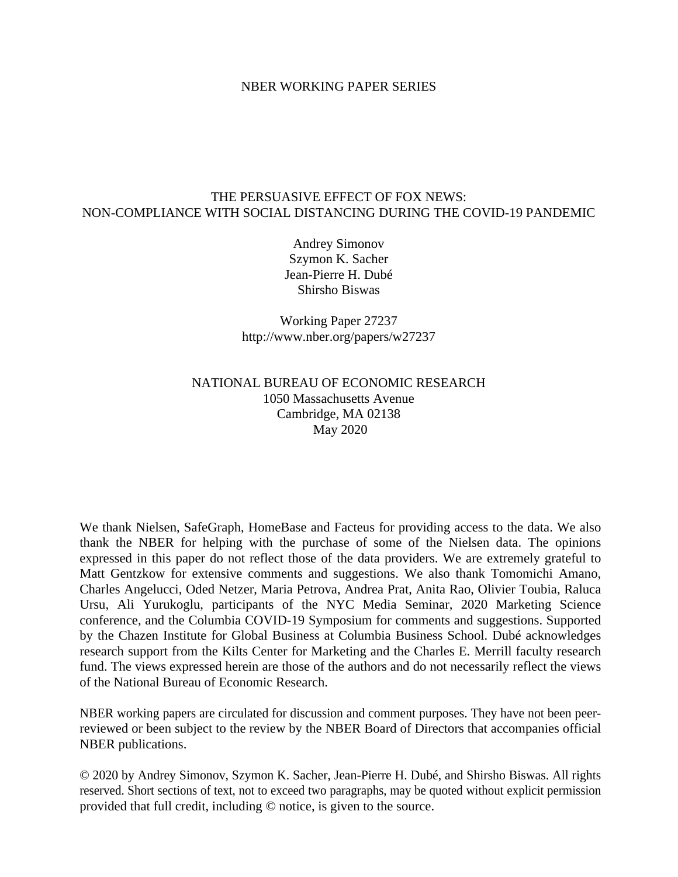#### NBER WORKING PAPER SERIES

#### THE PERSUASIVE EFFECT OF FOX NEWS: NON-COMPLIANCE WITH SOCIAL DISTANCING DURING THE COVID-19 PANDEMIC

Andrey Simonov Szymon K. Sacher Jean-Pierre H. Dubé Shirsho Biswas

Working Paper 27237 http://www.nber.org/papers/w27237

#### NATIONAL BUREAU OF ECONOMIC RESEARCH 1050 Massachusetts Avenue Cambridge, MA 02138 May 2020

We thank Nielsen, SafeGraph, HomeBase and Facteus for providing access to the data. We also thank the NBER for helping with the purchase of some of the Nielsen data. The opinions expressed in this paper do not reflect those of the data providers. We are extremely grateful to Matt Gentzkow for extensive comments and suggestions. We also thank Tomomichi Amano, Charles Angelucci, Oded Netzer, Maria Petrova, Andrea Prat, Anita Rao, Olivier Toubia, Raluca Ursu, Ali Yurukoglu, participants of the NYC Media Seminar, 2020 Marketing Science conference, and the Columbia COVID-19 Symposium for comments and suggestions. Supported by the Chazen Institute for Global Business at Columbia Business School. Dubé acknowledges research support from the Kilts Center for Marketing and the Charles E. Merrill faculty research fund. The views expressed herein are those of the authors and do not necessarily reflect the views of the National Bureau of Economic Research.

NBER working papers are circulated for discussion and comment purposes. They have not been peerreviewed or been subject to the review by the NBER Board of Directors that accompanies official NBER publications.

© 2020 by Andrey Simonov, Szymon K. Sacher, Jean-Pierre H. Dubé, and Shirsho Biswas. All rights reserved. Short sections of text, not to exceed two paragraphs, may be quoted without explicit permission provided that full credit, including © notice, is given to the source.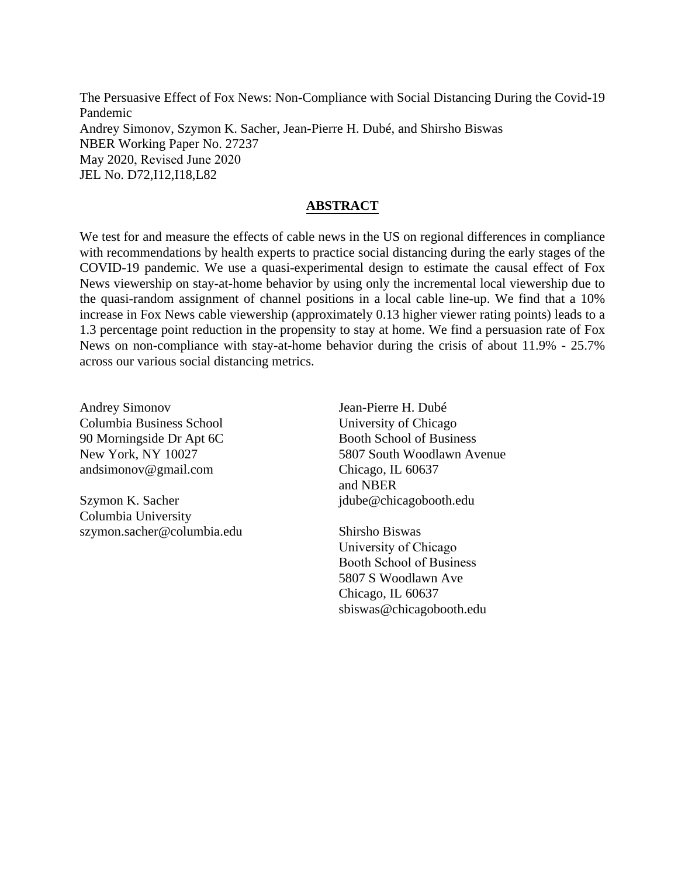The Persuasive Effect of Fox News: Non-Compliance with Social Distancing During the Covid-19 Pandemic Andrey Simonov, Szymon K. Sacher, Jean-Pierre H. Dubé, and Shirsho Biswas NBER Working Paper No. 27237 May 2020, Revised June 2020 JEL No. D72,I12,I18,L82

#### **ABSTRACT**

We test for and measure the effects of cable news in the US on regional differences in compliance with recommendations by health experts to practice social distancing during the early stages of the COVID-19 pandemic. We use a quasi-experimental design to estimate the causal effect of Fox News viewership on stay-at-home behavior by using only the incremental local viewership due to the quasi-random assignment of channel positions in a local cable line-up. We find that a 10% increase in Fox News cable viewership (approximately 0.13 higher viewer rating points) leads to a 1.3 percentage point reduction in the propensity to stay at home. We find a persuasion rate of Fox News on non-compliance with stay-at-home behavior during the crisis of about 11.9% - 25.7% across our various social distancing metrics.

Andrey Simonov Columbia Business School 90 Morningside Dr Apt 6C New York, NY 10027 andsimonov@gmail.com

Szymon K. Sacher Columbia University szymon.sacher@columbia.edu

Jean-Pierre H. Dubé University of Chicago Booth School of Business 5807 South Woodlawn Avenue Chicago, IL 60637 and NBER jdube@chicagobooth.edu

Shirsho Biswas University of Chicago Booth School of Business 5807 S Woodlawn Ave Chicago, IL 60637 sbiswas@chicagobooth.edu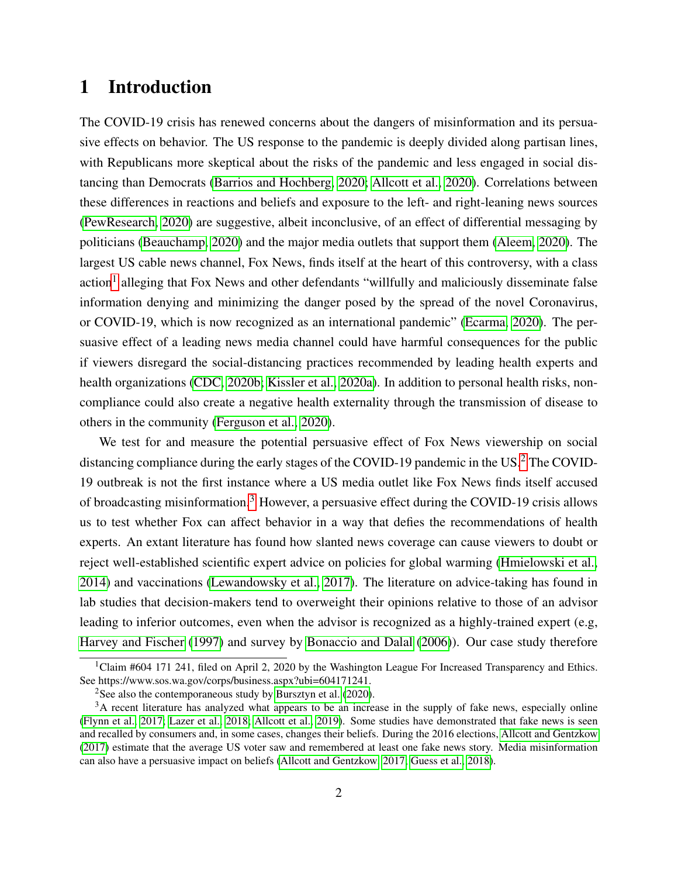# <span id="page-2-0"></span>1 Introduction

The COVID-19 crisis has renewed concerns about the dangers of misinformation and its persuasive effects on behavior. The US response to the pandemic is deeply divided along partisan lines, with Republicans more skeptical about the risks of the pandemic and less engaged in social distancing than Democrats [\(Barrios and Hochberg, 2020;](#page-28-0) [Allcott et al., 2020\)](#page-28-1). Correlations between these differences in reactions and beliefs and exposure to the left- and right-leaning news sources [\(PewResearch, 2020\)](#page-33-0) are suggestive, albeit inconclusive, of an effect of differential messaging by politicians [\(Beauchamp, 2020\)](#page-28-2) and the major media outlets that support them [\(Aleem, 2020\)](#page-28-3). The largest US cable news channel, Fox News, finds itself at the heart of this controversy, with a class action<sup>[1](#page--1-0)</sup> alleging that Fox News and other defendants "willfully and maliciously disseminate false information denying and minimizing the danger posed by the spread of the novel Coronavirus, or COVID-19, which is now recognized as an international pandemic" [\(Ecarma, 2020\)](#page-30-0). The persuasive effect of a leading news media channel could have harmful consequences for the public if viewers disregard the social-distancing practices recommended by leading health experts and health organizations [\(CDC, 2020b;](#page-29-0) [Kissler et al., 2020a\)](#page-32-0). In addition to personal health risks, noncompliance could also create a negative health externality through the transmission of disease to others in the community [\(Ferguson et al., 2020\)](#page-30-1).

We test for and measure the potential persuasive effect of Fox News viewership on social distancing compliance during the early stages of the COVID-19 pandemic in the US.<sup>[2](#page--1-0)</sup> The COVID-19 outbreak is not the first instance where a US media outlet like Fox News finds itself accused of broadcasting misinformation.[3](#page--1-0) However, a persuasive effect during the COVID-19 crisis allows us to test whether Fox can affect behavior in a way that defies the recommendations of health experts. An extant literature has found how slanted news coverage can cause viewers to doubt or reject well-established scientific expert advice on policies for global warming [\(Hmielowski et al.,](#page-31-0) [2014\)](#page-31-0) and vaccinations [\(Lewandowsky et al., 2017\)](#page-32-1). The literature on advice-taking has found in lab studies that decision-makers tend to overweight their opinions relative to those of an advisor leading to inferior outcomes, even when the advisor is recognized as a highly-trained expert (e.g, [Harvey and Fischer](#page-31-1) [\(1997\)](#page-31-1) and survey by [Bonaccio and Dalal](#page-29-1) [\(2006\)](#page-29-1)). Our case study therefore

<sup>&</sup>lt;sup>1</sup>Claim #604 171 241, filed on April 2, 2020 by the Washington League For Increased Transparency and Ethics. See https://www.sos.wa.gov/corps/business.aspx?ubi=604171241.

<sup>&</sup>lt;sup>2</sup>See also the contemporaneous study by [Bursztyn et al.](#page-29-2)  $(2020)$ .

<sup>&</sup>lt;sup>3</sup>A recent literature has analyzed what appears to be an increase in the supply of fake news, especially online [\(Flynn et al., 2017;](#page-30-2) [Lazer et al., 2018;](#page-32-2) [Allcott et al., 2019\)](#page-28-4). Some studies have demonstrated that fake news is seen and recalled by consumers and, in some cases, changes their beliefs. During the 2016 elections, [Allcott and Gentzkow](#page-28-5) [\(2017\)](#page-28-5) estimate that the average US voter saw and remembered at least one fake news story. Media misinformation can also have a persuasive impact on beliefs [\(Allcott and Gentzkow, 2017;](#page-28-5) [Guess et al., 2018\)](#page-31-2).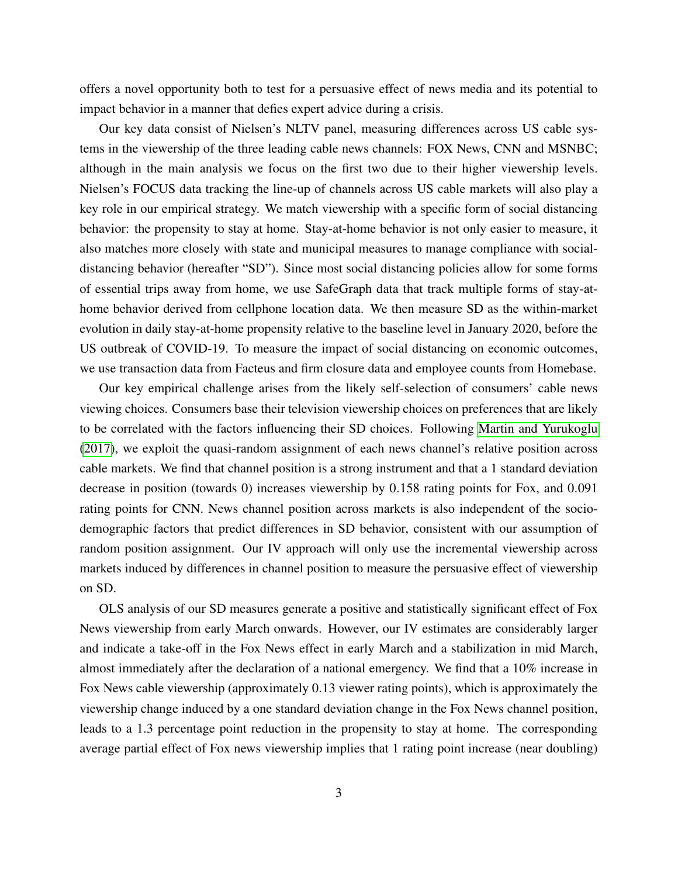offers a novel opportunity both to test for a persuasive effect of news media and its potential to impact behavior in a manner that defies expert advice during a crisis.

Our key data consist of Nielsen's NLTV panel, measuring differences across US cable systems in the viewership of the three leading cable news channels: FOX News, CNN and MSNBC; although in the main analysis we focus on the first two due to their higher viewership levels. Nielsen's FOCUS data tracking the line-up of channels across US cable markets will also play a key role in our empirical strategy. We match viewership with a specific form of social distancing behavior: the propensity to stay at home. Stay-at-home behavior is not only easier to measure, it also matches more closely with state and municipal measures to manage compliance with socialdistancing behavior (hereafter "SD"). Since most social distancing policies allow for some forms of essential trips away from home, we use SafeGraph data that track multiple forms of stay-athome behavior derived from cellphone location data. We then measure SD as the within-market evolution in daily stay-at-home propensity relative to the baseline level in January 2020, before the US outbreak of COVID-19. To measure the impact of social distancing on economic outcomes, we use transaction data from Facteus and firm closure data and employee counts from Homebase.

Our key empirical challenge arises from the likely self-selection of consumers' cable news viewing choices. Consumers base their television viewership choices on preferences that are likely to be correlated with the factors influencing their SD choices. Following [Martin and Yurukoglu](#page-33-1) [\(2017\)](#page-33-1), we exploit the quasi-random assignment of each news channel's relative position across cable markets. We find that channel position is a strong instrument and that a 1 standard deviation decrease in position (towards 0) increases viewership by 0.158 rating points for Fox, and 0.091 rating points for CNN. News channel position across markets is also independent of the sociodemographic factors that predict differences in SD behavior, consistent with our assumption of random position assignment. Our IV approach will only use the incremental viewership across markets induced by differences in channel position to measure the persuasive effect of viewership on SD.

OLS analysis of our SD measures generate a positive and statistically significant effect of Fox News viewership from early March onwards. However, our IV estimates are considerably larger and indicate a take-off in the Fox News effect in early March and a stabilization in mid March, almost immediately after the declaration of a national emergency. We find that a 10% increase in Fox News cable viewership (approximately 0.13 viewer rating points), which is approximately the viewership change induced by a one standard deviation change in the Fox News channel position, leads to a 1.3 percentage point reduction in the propensity to stay at home. The corresponding average partial effect of Fox news viewership implies that 1 rating point increase (near doubling)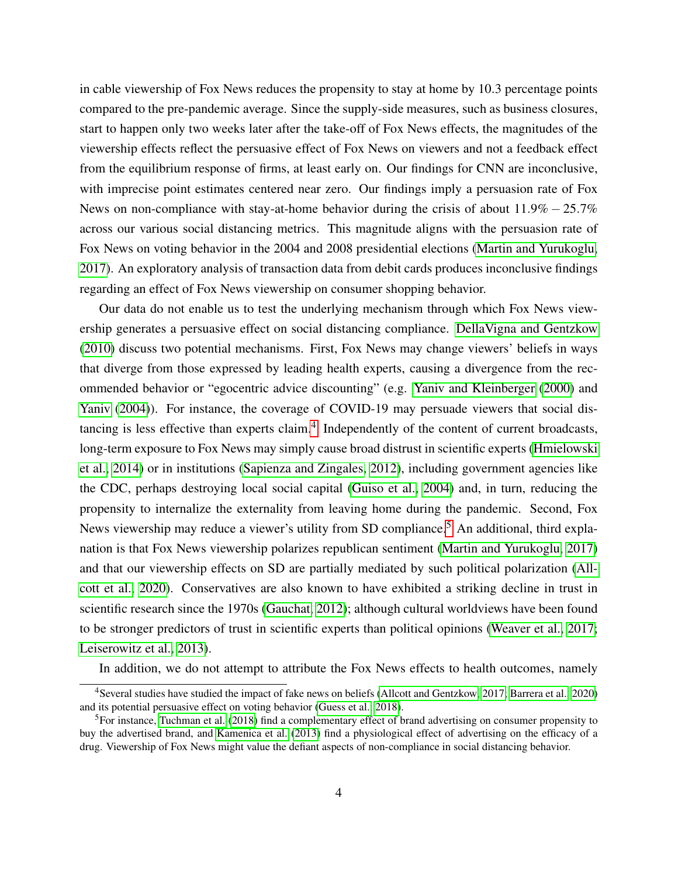in cable viewership of Fox News reduces the propensity to stay at home by 10.3 percentage points compared to the pre-pandemic average. Since the supply-side measures, such as business closures, start to happen only two weeks later after the take-off of Fox News effects, the magnitudes of the viewership effects reflect the persuasive effect of Fox News on viewers and not a feedback effect from the equilibrium response of firms, at least early on. Our findings for CNN are inconclusive, with imprecise point estimates centered near zero. Our findings imply a persuasion rate of Fox News on non-compliance with stay-at-home behavior during the crisis of about  $11.9\% - 25.7\%$ across our various social distancing metrics. This magnitude aligns with the persuasion rate of Fox News on voting behavior in the 2004 and 2008 presidential elections [\(Martin and Yurukoglu,](#page-33-1) [2017\)](#page-33-1). An exploratory analysis of transaction data from debit cards produces inconclusive findings regarding an effect of Fox News viewership on consumer shopping behavior.

Our data do not enable us to test the underlying mechanism through which Fox News viewership generates a persuasive effect on social distancing compliance. [DellaVigna and Gentzkow](#page-30-3) [\(2010\)](#page-30-3) discuss two potential mechanisms. First, Fox News may change viewers' beliefs in ways that diverge from those expressed by leading health experts, causing a divergence from the recommended behavior or "egocentric advice discounting" (e.g. [Yaniv and Kleinberger](#page-36-0) [\(2000\)](#page-36-0) and [Yaniv](#page-36-1) [\(2004\)](#page-36-1)). For instance, the coverage of COVID-19 may persuade viewers that social distancing is less effective than experts claim. $4$  Independently of the content of current broadcasts, long-term exposure to Fox News may simply cause broad distrust in scientific experts [\(Hmielowski](#page-31-0) [et al., 2014\)](#page-31-0) or in institutions [\(Sapienza and Zingales, 2012\)](#page-34-0), including government agencies like the CDC, perhaps destroying local social capital [\(Guiso et al., 2004\)](#page-31-3) and, in turn, reducing the propensity to internalize the externality from leaving home during the pandemic. Second, Fox News viewership may reduce a viewer's utility from SD compliance.<sup>[5](#page--1-0)</sup> An additional, third explanation is that Fox News viewership polarizes republican sentiment [\(Martin and Yurukoglu, 2017\)](#page-33-1) and that our viewership effects on SD are partially mediated by such political polarization [\(All](#page-28-1)[cott et al., 2020\)](#page-28-1). Conservatives are also known to have exhibited a striking decline in trust in scientific research since the 1970s [\(Gauchat, 2012\)](#page-31-4); although cultural worldviews have been found to be stronger predictors of trust in scientific experts than political opinions [\(Weaver et al., 2017;](#page-35-0) [Leiserowitz et al., 2013\)](#page-32-3).

In addition, we do not attempt to attribute the Fox News effects to health outcomes, namely

<sup>4</sup>Several studies have studied the impact of fake news on beliefs [\(Allcott and Gentzkow, 2017;](#page-28-5) [Barrera et al., 2020\)](#page-28-6) and its potential persuasive effect on voting behavior [\(Guess et al., 2018\)](#page-31-2).

<sup>5</sup>For instance, [Tuchman et al.](#page-35-1) [\(2018\)](#page-35-1) find a complementary effect of brand advertising on consumer propensity to buy the advertised brand, and [Kamenica et al.](#page-32-4) [\(2013\)](#page-32-4) find a physiological effect of advertising on the efficacy of a drug. Viewership of Fox News might value the defiant aspects of non-compliance in social distancing behavior.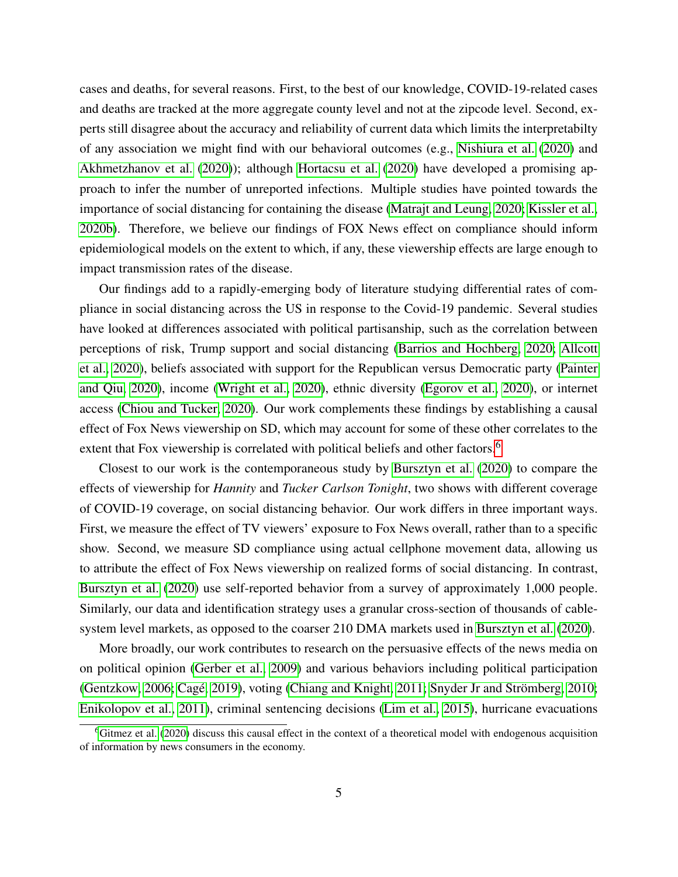cases and deaths, for several reasons. First, to the best of our knowledge, COVID-19-related cases and deaths are tracked at the more aggregate county level and not at the zipcode level. Second, experts still disagree about the accuracy and reliability of current data which limits the interpretabilty of any association we might find with our behavioral outcomes (e.g., [Nishiura et al.](#page-33-2) [\(2020\)](#page-33-2) and [Akhmetzhanov et al.](#page-28-7) [\(2020\)](#page-28-7)); although [Hortacsu et al.](#page-31-5) [\(2020\)](#page-31-5) have developed a promising approach to infer the number of unreported infections. Multiple studies have pointed towards the importance of social distancing for containing the disease [\(Matrajt and Leung, 2020;](#page-33-3) [Kissler et al.,](#page-32-5) [2020b\)](#page-32-5). Therefore, we believe our findings of FOX News effect on compliance should inform epidemiological models on the extent to which, if any, these viewership effects are large enough to impact transmission rates of the disease.

Our findings add to a rapidly-emerging body of literature studying differential rates of compliance in social distancing across the US in response to the Covid-19 pandemic. Several studies have looked at differences associated with political partisanship, such as the correlation between perceptions of risk, Trump support and social distancing [\(Barrios and Hochberg, 2020;](#page-28-0) [Allcott](#page-28-1) [et al., 2020\)](#page-28-1), beliefs associated with support for the Republican versus Democratic party [\(Painter](#page-33-4) [and Qiu, 2020\)](#page-33-4), income [\(Wright et al., 2020\)](#page-35-2), ethnic diversity [\(Egorov et al., 2020\)](#page-30-4), or internet access [\(Chiou and Tucker, 2020\)](#page-29-3). Our work complements these findings by establishing a causal effect of Fox News viewership on SD, which may account for some of these other correlates to the extent that Fox viewership is correlated with political beliefs and other factors.<sup>[6](#page--1-0)</sup>

Closest to our work is the contemporaneous study by [Bursztyn et al.](#page-29-2) [\(2020\)](#page-29-2) to compare the effects of viewership for *Hannity* and *Tucker Carlson Tonight*, two shows with different coverage of COVID-19 coverage, on social distancing behavior. Our work differs in three important ways. First, we measure the effect of TV viewers' exposure to Fox News overall, rather than to a specific show. Second, we measure SD compliance using actual cellphone movement data, allowing us to attribute the effect of Fox News viewership on realized forms of social distancing. In contrast, [Bursztyn et al.](#page-29-2) [\(2020\)](#page-29-2) use self-reported behavior from a survey of approximately 1,000 people. Similarly, our data and identification strategy uses a granular cross-section of thousands of cablesystem level markets, as opposed to the coarser 210 DMA markets used in [Bursztyn et al.](#page-29-2) [\(2020\)](#page-29-2).

More broadly, our work contributes to research on the persuasive effects of the news media on on political opinion [\(Gerber et al., 2009\)](#page-31-6) and various behaviors including political participation [\(Gentzkow, 2006;](#page-31-7) Cagé, 2019), voting [\(Chiang and Knight, 2011;](#page-29-5) [Snyder Jr and Str](#page-34-1)ömberg, [2010;](#page-34-1) [Enikolopov et al., 2011\)](#page-30-5), criminal sentencing decisions [\(Lim et al., 2015\)](#page-32-6), hurricane evacuations

 $6$ [Gitmez et al.](#page-31-8) [\(2020\)](#page-31-8) discuss this causal effect in the context of a theoretical model with endogenous acquisition of information by news consumers in the economy.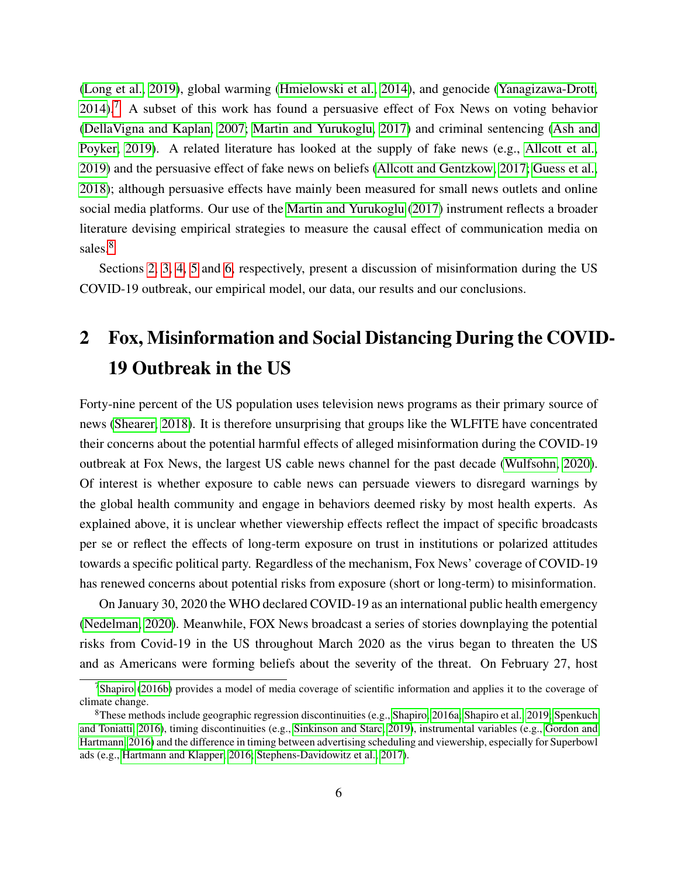[\(Long et al., 2019\)](#page-33-5), global warming [\(Hmielowski et al., 2014\)](#page-31-0), and genocide [\(Yanagizawa-Drott,](#page-36-2)  $2014$ ).<sup>[7](#page--1-0)</sup> A subset of this work has found a persuasive effect of Fox News on voting behavior [\(DellaVigna and Kaplan, 2007;](#page-30-6) [Martin and Yurukoglu, 2017\)](#page-33-1) and criminal sentencing [\(Ash and](#page-28-8) [Poyker, 2019\)](#page-28-8). A related literature has looked at the supply of fake news (e.g., [Allcott et al.,](#page-28-4) [2019\)](#page-28-4) and the persuasive effect of fake news on beliefs [\(Allcott and Gentzkow, 2017;](#page-28-5) [Guess et al.,](#page-31-2) [2018\)](#page-31-2); although persuasive effects have mainly been measured for small news outlets and online social media platforms. Our use of the [Martin and Yurukoglu](#page-33-1) [\(2017\)](#page-33-1) instrument reflects a broader literature devising empirical strategies to measure the causal effect of communication media on sales.<sup>[8](#page--1-0)</sup>

Sections [2,](#page-6-0) [3,](#page-8-0) [4,](#page-10-0) [5](#page-15-0) and [6,](#page-26-0) respectively, present a discussion of misinformation during the US COVID-19 outbreak, our empirical model, our data, our results and our conclusions.

# <span id="page-6-0"></span>2 Fox, Misinformation and Social Distancing During the COVID-19 Outbreak in the US

Forty-nine percent of the US population uses television news programs as their primary source of news [\(Shearer, 2018\)](#page-34-2). It is therefore unsurprising that groups like the WLFITE have concentrated their concerns about the potential harmful effects of alleged misinformation during the COVID-19 outbreak at Fox News, the largest US cable news channel for the past decade [\(Wulfsohn, 2020\)](#page-35-3). Of interest is whether exposure to cable news can persuade viewers to disregard warnings by the global health community and engage in behaviors deemed risky by most health experts. As explained above, it is unclear whether viewership effects reflect the impact of specific broadcasts per se or reflect the effects of long-term exposure on trust in institutions or polarized attitudes towards a specific political party. Regardless of the mechanism, Fox News' coverage of COVID-19 has renewed concerns about potential risks from exposure (short or long-term) to misinformation.

On January 30, 2020 the WHO declared COVID-19 as an international public health emergency [\(Nedelman, 2020\)](#page-33-6). Meanwhile, FOX News broadcast a series of stories downplaying the potential risks from Covid-19 in the US throughout March 2020 as the virus began to threaten the US and as Americans were forming beliefs about the severity of the threat. On February 27, host

<sup>7</sup>[Shapiro](#page-34-3) [\(2016b\)](#page-34-3) provides a model of media coverage of scientific information and applies it to the coverage of climate change.

<sup>8</sup>These methods include geographic regression discontinuities (e.g., [Shapiro, 2016a;](#page-34-4) [Shapiro et al., 2019;](#page-34-5) [Spenkuch](#page-34-6) [and Toniatti, 2016\)](#page-34-6), timing discontinuities (e.g., [Sinkinson and Starc, 2019\)](#page-34-7), instrumental variables (e.g., [Gordon and](#page-31-9) [Hartmann, 2016\)](#page-31-9) and the difference in timing between advertising scheduling and viewership, especially for Superbowl ads (e.g., [Hartmann and Klapper, 2016;](#page-31-10) [Stephens-Davidowitz et al., 2017\)](#page-34-8).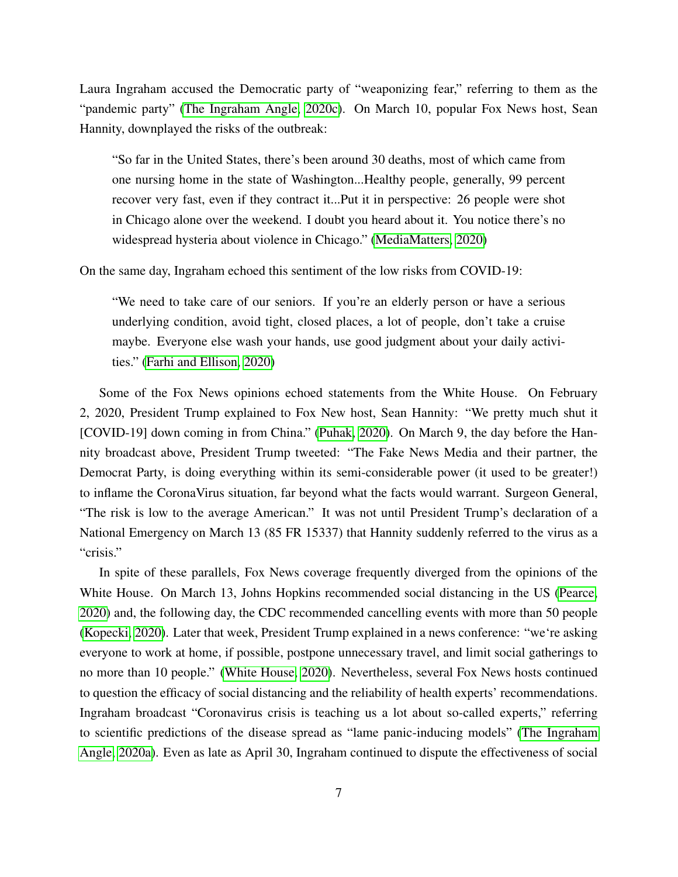Laura Ingraham accused the Democratic party of "weaponizing fear," referring to them as the "pandemic party" [\(The Ingraham Angle, 2020c\)](#page-35-4). On March 10, popular Fox News host, Sean Hannity, downplayed the risks of the outbreak:

"So far in the United States, there's been around 30 deaths, most of which came from one nursing home in the state of Washington...Healthy people, generally, 99 percent recover very fast, even if they contract it...Put it in perspective: 26 people were shot in Chicago alone over the weekend. I doubt you heard about it. You notice there's no widespread hysteria about violence in Chicago." [\(MediaMatters, 2020\)](#page-33-7)

On the same day, Ingraham echoed this sentiment of the low risks from COVID-19:

"We need to take care of our seniors. If you're an elderly person or have a serious underlying condition, avoid tight, closed places, a lot of people, don't take a cruise maybe. Everyone else wash your hands, use good judgment about your daily activities." [\(Farhi and Ellison, 2020\)](#page-30-7)

Some of the Fox News opinions echoed statements from the White House. On February 2, 2020, President Trump explained to Fox New host, Sean Hannity: "We pretty much shut it [COVID-19] down coming in from China." [\(Puhak, 2020\)](#page-34-9). On March 9, the day before the Hannity broadcast above, President Trump tweeted: "The Fake News Media and their partner, the Democrat Party, is doing everything within its semi-considerable power (it used to be greater!) to inflame the CoronaVirus situation, far beyond what the facts would warrant. Surgeon General, "The risk is low to the average American." It was not until President Trump's declaration of a National Emergency on March 13 (85 FR 15337) that Hannity suddenly referred to the virus as a "crisis."

In spite of these parallels, Fox News coverage frequently diverged from the opinions of the White House. On March 13, Johns Hopkins recommended social distancing in the US [\(Pearce,](#page-33-8) [2020\)](#page-33-8) and, the following day, the CDC recommended cancelling events with more than 50 people [\(Kopecki, 2020\)](#page-32-7). Later that week, President Trump explained in a news conference: "we're asking everyone to work at home, if possible, postpone unnecessary travel, and limit social gatherings to no more than 10 people." [\(White House, 2020\)](#page-35-5). Nevertheless, several Fox News hosts continued to question the efficacy of social distancing and the reliability of health experts' recommendations. Ingraham broadcast "Coronavirus crisis is teaching us a lot about so-called experts," referring to scientific predictions of the disease spread as "lame panic-inducing models" [\(The Ingraham](#page-34-10) [Angle, 2020a\)](#page-34-10). Even as late as April 30, Ingraham continued to dispute the effectiveness of social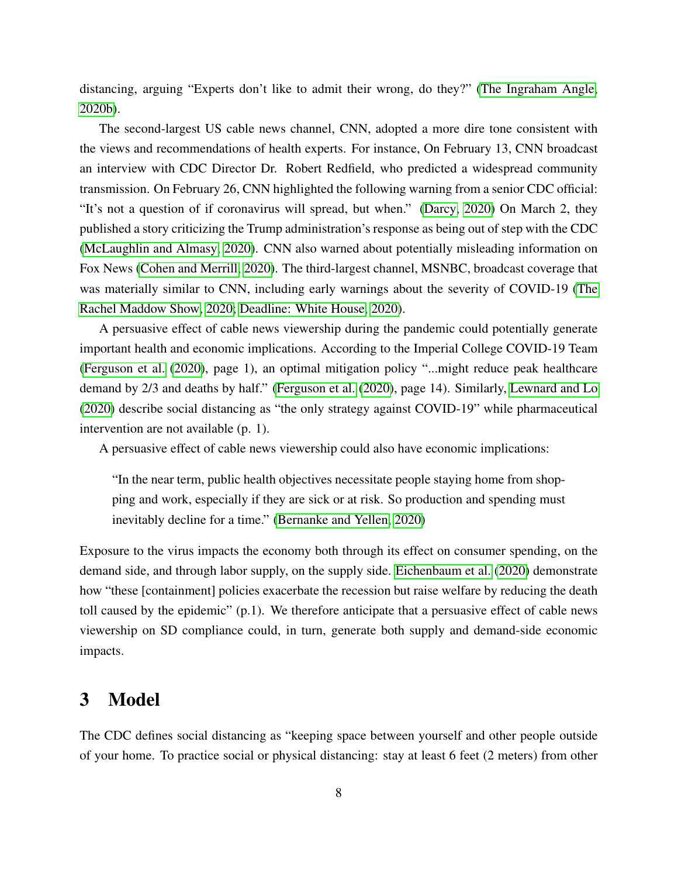distancing, arguing "Experts don't like to admit their wrong, do they?" [\(The Ingraham Angle,](#page-35-6) [2020b\)](#page-35-6).

The second-largest US cable news channel, CNN, adopted a more dire tone consistent with the views and recommendations of health experts. For instance, On February 13, CNN broadcast an interview with CDC Director Dr. Robert Redfield, who predicted a widespread community transmission. On February 26, CNN highlighted the following warning from a senior CDC official: "It's not a question of if coronavirus will spread, but when." [\(Darcy, 2020\)](#page-29-6) On March 2, they published a story criticizing the Trump administration's response as being out of step with the CDC [\(McLaughlin and Almasy, 2020\)](#page-33-9). CNN also warned about potentially misleading information on Fox News [\(Cohen and Merrill, 2020\)](#page-29-7). The third-largest channel, MSNBC, broadcast coverage that was materially similar to CNN, including early warnings about the severity of COVID-19 [\(The](#page-35-7) [Rachel Maddow Show, 2020;](#page-35-7) [Deadline: White House, 2020\)](#page-30-8).

A persuasive effect of cable news viewership during the pandemic could potentially generate important health and economic implications. According to the Imperial College COVID-19 Team [\(Ferguson et al.](#page-30-1) [\(2020\)](#page-30-1), page 1), an optimal mitigation policy "...might reduce peak healthcare demand by 2/3 and deaths by half." [\(Ferguson et al.](#page-30-1) [\(2020\)](#page-30-1), page 14). Similarly, [Lewnard and Lo](#page-32-8) [\(2020\)](#page-32-8) describe social distancing as "the only strategy against COVID-19" while pharmaceutical intervention are not available (p. 1).

A persuasive effect of cable news viewership could also have economic implications:

"In the near term, public health objectives necessitate people staying home from shopping and work, especially if they are sick or at risk. So production and spending must inevitably decline for a time." [\(Bernanke and Yellen, 2020\)](#page-29-8)

Exposure to the virus impacts the economy both through its effect on consumer spending, on the demand side, and through labor supply, on the supply side. [Eichenbaum et al.](#page-30-9) [\(2020\)](#page-30-9) demonstrate how "these [containment] policies exacerbate the recession but raise welfare by reducing the death toll caused by the epidemic" (p.1). We therefore anticipate that a persuasive effect of cable news viewership on SD compliance could, in turn, generate both supply and demand-side economic impacts.

# <span id="page-8-0"></span>3 Model

The CDC defines social distancing as "keeping space between yourself and other people outside of your home. To practice social or physical distancing: stay at least 6 feet (2 meters) from other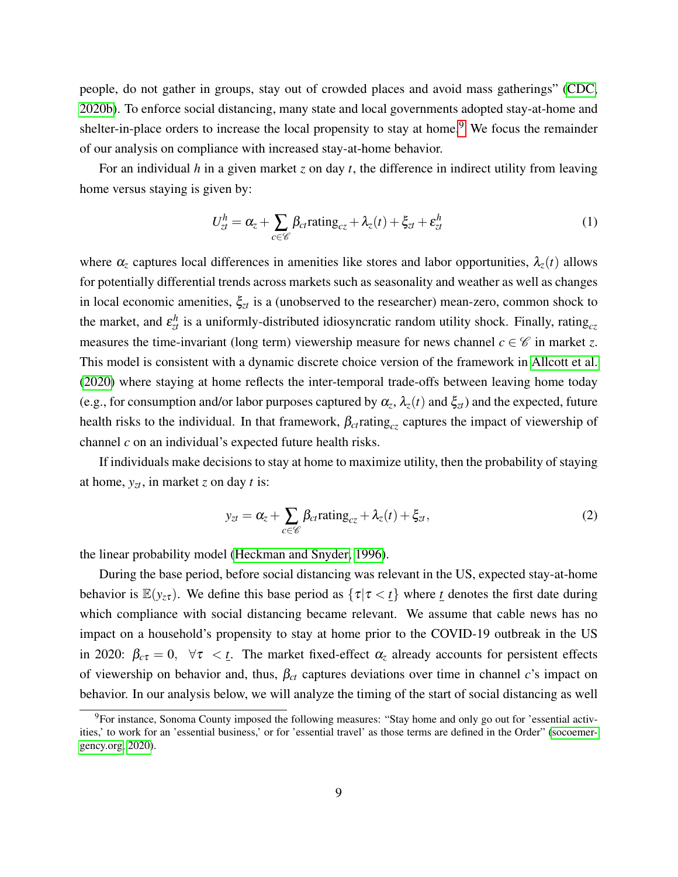people, do not gather in groups, stay out of crowded places and avoid mass gatherings" [\(CDC,](#page-29-0) [2020b\)](#page-29-0). To enforce social distancing, many state and local governments adopted stay-at-home and shelter-in-place orders to increase the local propensity to stay at home.<sup>[9](#page--1-0)</sup> We focus the remainder of our analysis on compliance with increased stay-at-home behavior.

For an individual *h* in a given market *z* on day *t*, the difference in indirect utility from leaving home versus staying is given by:

<span id="page-9-1"></span>
$$
U_{zt}^{h} = \alpha_{z} + \sum_{c \in \mathscr{C}} \beta_{ct} \text{rating}_{cz} + \lambda_{z}(t) + \xi_{zt} + \varepsilon_{zt}^{h}
$$
 (1)

where  $\alpha_z$  captures local differences in amenities like stores and labor opportunities,  $\lambda_z(t)$  allows for potentially differential trends across markets such as seasonality and weather as well as changes in local economic amenities,  $\xi_{zt}$  is a (unobserved to the researcher) mean-zero, common shock to the market, and  $\varepsilon_{zt}^h$  is a uniformly-distributed idiosyncratic random utility shock. Finally, rating<sub>cz</sub> measures the time-invariant (long term) viewership measure for news channel  $c \in \mathscr{C}$  in market *z*. This model is consistent with a dynamic discrete choice version of the framework in [Allcott et al.](#page-28-1) [\(2020\)](#page-28-1) where staying at home reflects the inter-temporal trade-offs between leaving home today (e.g., for consumption and/or labor purposes captured by  $\alpha_z$ ,  $\lambda_z(t)$  and  $\xi_{zt}$ ) and the expected, future health risks to the individual. In that framework,  $\beta_{ct}$  rating<sub>cz</sub> captures the impact of viewership of channel *c* on an individual's expected future health risks.

If individuals make decisions to stay at home to maximize utility, then the probability of staying at home, *yzt*, in market *z* on day *t* is:

<span id="page-9-0"></span>
$$
y_{zt} = \alpha_z + \sum_{c \in \mathscr{C}} \beta_{ct} \text{rating}_{cz} + \lambda_z(t) + \xi_{zt},\tag{2}
$$

the linear probability model [\(Heckman and Snyder, 1996\)](#page-31-11).

During the base period, before social distancing was relevant in the US, expected stay-at-home behavior is  $\mathbb{E}(y_{z\tau})$ . We define this base period as  $\{\tau | \tau \langle t \rangle\}$  where *t* denotes the first date during which compliance with social distancing became relevant. We assume that cable news has no impact on a household's propensity to stay at home prior to the COVID-19 outbreak in the US in 2020:  $\beta_{c\tau} = 0$ ,  $\forall \tau \leq \underline{t}$ . The market fixed-effect  $\alpha_z$  already accounts for persistent effects of viewership on behavior and, thus, β*ct* captures deviations over time in channel *c*'s impact on behavior. In our analysis below, we will analyze the timing of the start of social distancing as well

<sup>&</sup>lt;sup>9</sup>For instance, Sonoma County imposed the following measures: "Stay home and only go out for 'essential activities,' to work for an 'essential business,' or for 'essential travel' as those terms are defined in the Order" [\(socoemer](#page-34-11)[gency.org, 2020\)](#page-34-11).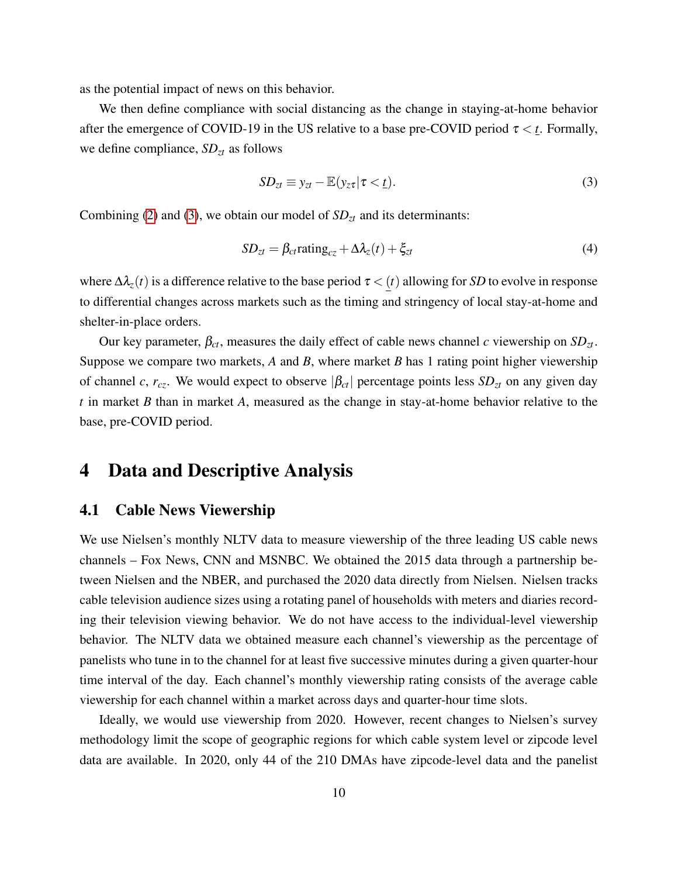as the potential impact of news on this behavior.

We then define compliance with social distancing as the change in staying-at-home behavior after the emergence of COVID-19 in the US relative to a base pre-COVID period  $\tau \lt t$ . Formally, we define compliance, *SDzt* as follows

<span id="page-10-1"></span>
$$
SD_{zt} \equiv y_{zt} - \mathbb{E}(y_{zt} | \tau < \underline{t}).\tag{3}
$$

Combining [\(2\)](#page-9-0) and [\(3\)](#page-10-1), we obtain our model of  $SD<sub>zt</sub>$  and its determinants:

<span id="page-10-2"></span>
$$
SD_{zt} = \beta_{ct} \text{rating}_{cz} + \Delta \lambda_z(t) + \xi_{zt}
$$
\n(4)

where  $\Delta \lambda_z(t)$  is a difference relative to the base period  $\tau < (t)$  allowing for *SD* to evolve in response to differential changes across markets such as the timing and stringency of local stay-at-home and shelter-in-place orders.

Our key parameter, β*ct*, measures the daily effect of cable news channel *c* viewership on *SDzt*. Suppose we compare two markets, *A* and *B*, where market *B* has 1 rating point higher viewership of channel *c*,  $r_{cz}$ . We would expect to observe  $|\beta_{ct}|$  percentage points less  $SD_{zt}$  on any given day *t* in market *B* than in market *A*, measured as the change in stay-at-home behavior relative to the base, pre-COVID period.

# <span id="page-10-0"></span>4 Data and Descriptive Analysis

### <span id="page-10-3"></span>4.1 Cable News Viewership

We use Nielsen's monthly NLTV data to measure viewership of the three leading US cable news channels – Fox News, CNN and MSNBC. We obtained the 2015 data through a partnership between Nielsen and the NBER, and purchased the 2020 data directly from Nielsen. Nielsen tracks cable television audience sizes using a rotating panel of households with meters and diaries recording their television viewing behavior. We do not have access to the individual-level viewership behavior. The NLTV data we obtained measure each channel's viewership as the percentage of panelists who tune in to the channel for at least five successive minutes during a given quarter-hour time interval of the day. Each channel's monthly viewership rating consists of the average cable viewership for each channel within a market across days and quarter-hour time slots.

Ideally, we would use viewership from 2020. However, recent changes to Nielsen's survey methodology limit the scope of geographic regions for which cable system level or zipcode level data are available. In 2020, only 44 of the 210 DMAs have zipcode-level data and the panelist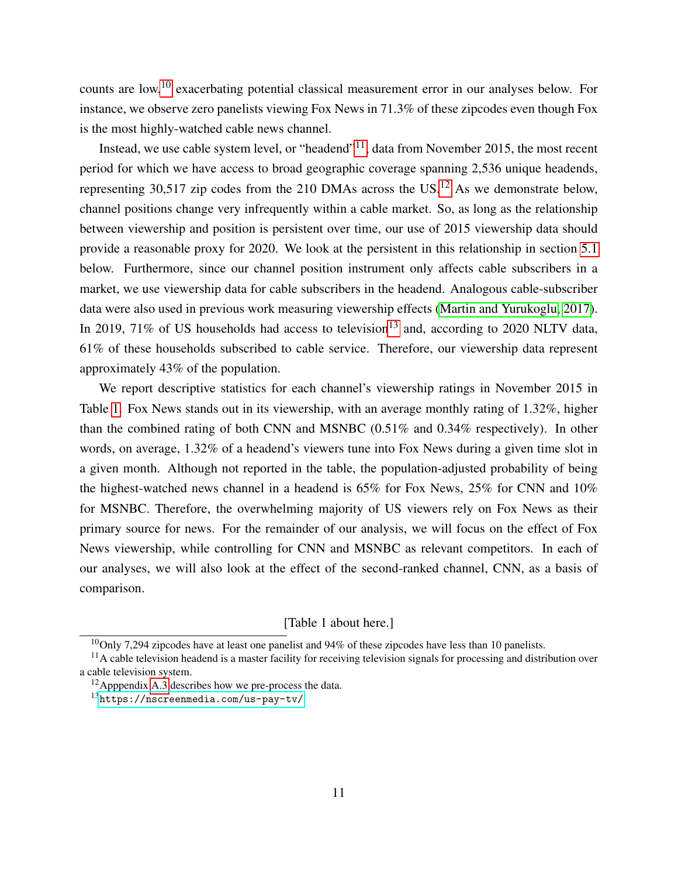counts are low,<sup>[10](#page--1-0)</sup> exacerbating potential classical measurement error in our analyses below. For instance, we observe zero panelists viewing Fox News in 71.3% of these zipcodes even though Fox is the most highly-watched cable news channel.

Instead, we use cable system level, or "headend"<sup>[11](#page--1-0)</sup>, data from November 2015, the most recent period for which we have access to broad geographic coverage spanning 2,536 unique headends, representing 30,517 zip codes from the 210 DMAs across the US.<sup>[12](#page--1-0)</sup> As we demonstrate below, channel positions change very infrequently within a cable market. So, as long as the relationship between viewership and position is persistent over time, our use of 2015 viewership data should provide a reasonable proxy for 2020. We look at the persistent in this relationship in section [5.1](#page-16-0) below. Furthermore, since our channel position instrument only affects cable subscribers in a market, we use viewership data for cable subscribers in the headend. Analogous cable-subscriber data were also used in previous work measuring viewership effects [\(Martin and Yurukoglu, 2017\)](#page-33-1). In 2019, 71% of US households had access to television<sup>[13](#page--1-0)</sup> and, according to 2020 NLTV data, 61% of these households subscribed to cable service. Therefore, our viewership data represent approximately 43% of the population.

We report descriptive statistics for each channel's viewership ratings in November 2015 in Table [1.](#page-42-0) Fox News stands out in its viewership, with an average monthly rating of 1.32%, higher than the combined rating of both CNN and MSNBC (0.51% and 0.34% respectively). In other words, on average, 1.32% of a headend's viewers tune into Fox News during a given time slot in a given month. Although not reported in the table, the population-adjusted probability of being the highest-watched news channel in a headend is 65% for Fox News, 25% for CNN and 10% for MSNBC. Therefore, the overwhelming majority of US viewers rely on Fox News as their primary source for news. For the remainder of our analysis, we will focus on the effect of Fox News viewership, while controlling for CNN and MSNBC as relevant competitors. In each of our analyses, we will also look at the effect of the second-ranked channel, CNN, as a basis of comparison.

[Table 1 about here.]

 $10$ Only 7,294 zipcodes have at least one panelist and 94% of these zipcodes have less than 10 panelists.

 $<sup>11</sup>$ A cable television headend is a master facility for receiving television signals for processing and distribution over</sup> a cable television system.

<sup>12</sup>Apppendix [A.3](#page-47-0) describes how we pre-process the data.

<sup>13</sup><https://nscreenmedia.com/us-pay-tv/>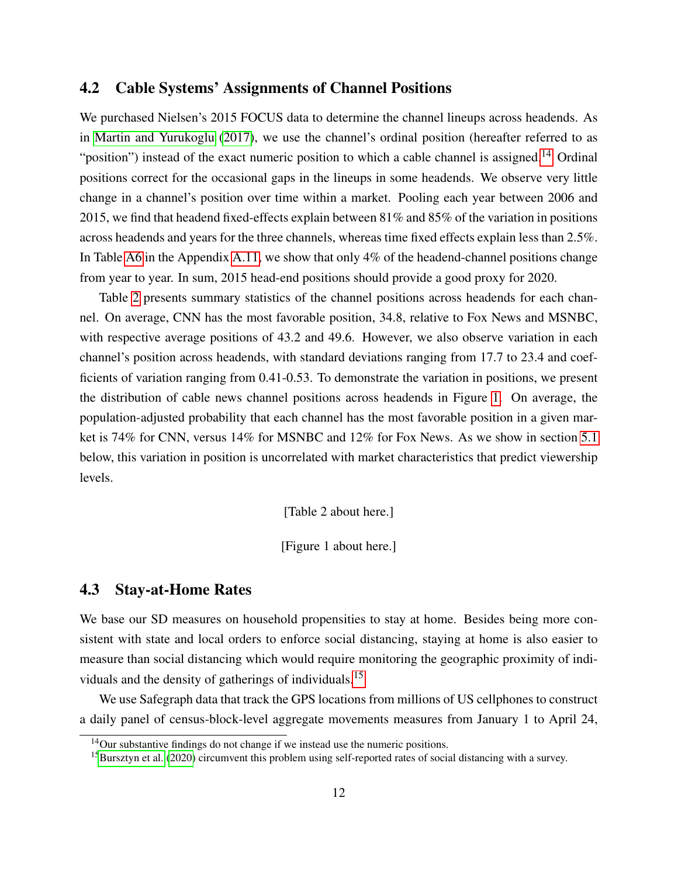# <span id="page-12-0"></span>4.2 Cable Systems' Assignments of Channel Positions

We purchased Nielsen's 2015 FOCUS data to determine the channel lineups across headends. As in [Martin and Yurukoglu](#page-33-1) [\(2017\)](#page-33-1), we use the channel's ordinal position (hereafter referred to as "position") instead of the exact numeric position to which a cable channel is assigned.<sup>[14](#page--1-0)</sup> Ordinal positions correct for the occasional gaps in the lineups in some headends. We observe very little change in a channel's position over time within a market. Pooling each year between 2006 and 2015, we find that headend fixed-effects explain between 81% and 85% of the variation in positions across headends and years for the three channels, whereas time fixed effects explain less than 2.5%. In Table [A6](#page-67-0) in the Appendix [A.11,](#page-48-0) we show that only 4% of the headend-channel positions change from year to year. In sum, 2015 head-end positions should provide a good proxy for 2020.

Table [2](#page-43-0) presents summary statistics of the channel positions across headends for each channel. On average, CNN has the most favorable position, 34.8, relative to Fox News and MSNBC, with respective average positions of 43.2 and 49.6. However, we also observe variation in each channel's position across headends, with standard deviations ranging from 17.7 to 23.4 and coefficients of variation ranging from 0.41-0.53. To demonstrate the variation in positions, we present the distribution of cable news channel positions across headends in Figure [1.](#page-37-0) On average, the population-adjusted probability that each channel has the most favorable position in a given market is 74% for CNN, versus 14% for MSNBC and 12% for Fox News. As we show in section [5.1](#page-16-0) below, this variation in position is uncorrelated with market characteristics that predict viewership levels.

[Table 2 about here.]

[Figure 1 about here.]

#### <span id="page-12-1"></span>4.3 Stay-at-Home Rates

We base our SD measures on household propensities to stay at home. Besides being more consistent with state and local orders to enforce social distancing, staying at home is also easier to measure than social distancing which would require monitoring the geographic proximity of individuals and the density of gatherings of individuals.[15](#page--1-0)

We use Safegraph data that track the GPS locations from millions of US cellphones to construct a daily panel of census-block-level aggregate movements measures from January 1 to April 24,

<sup>&</sup>lt;sup>14</sup>Our substantive findings do not change if we instead use the numeric positions.

<sup>&</sup>lt;sup>15</sup>[Bursztyn et al.](#page-29-2) [\(2020\)](#page-29-2) circumvent this problem using self-reported rates of social distancing with a survey.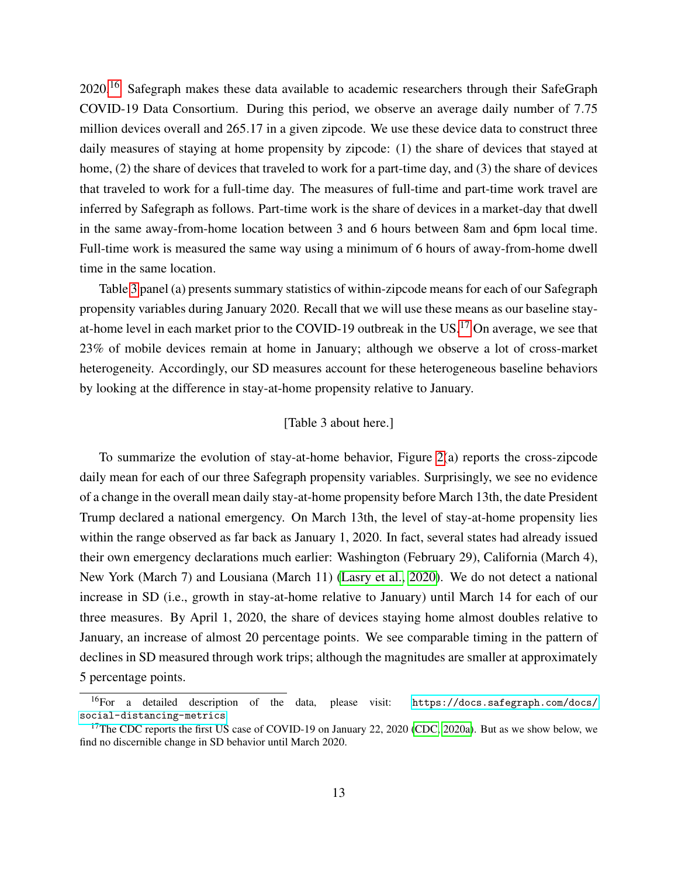2020.<sup>[16](#page--1-0)</sup> Safegraph makes these data available to academic researchers through their SafeGraph COVID-19 Data Consortium. During this period, we observe an average daily number of 7.75 million devices overall and 265.17 in a given zipcode. We use these device data to construct three daily measures of staying at home propensity by zipcode: (1) the share of devices that stayed at home, (2) the share of devices that traveled to work for a part-time day, and (3) the share of devices that traveled to work for a full-time day. The measures of full-time and part-time work travel are inferred by Safegraph as follows. Part-time work is the share of devices in a market-day that dwell in the same away-from-home location between 3 and 6 hours between 8am and 6pm local time. Full-time work is measured the same way using a minimum of 6 hours of away-from-home dwell time in the same location.

Table [3](#page-44-0) panel (a) presents summary statistics of within-zipcode means for each of our Safegraph propensity variables during January 2020. Recall that we will use these means as our baseline stayat-home level in each market prior to the COVID-19 outbreak in the US.[17](#page--1-0) On average, we see that 23% of mobile devices remain at home in January; although we observe a lot of cross-market heterogeneity. Accordingly, our SD measures account for these heterogeneous baseline behaviors by looking at the difference in stay-at-home propensity relative to January.

#### [Table 3 about here.]

To summarize the evolution of stay-at-home behavior, Figure  $2(a)$  reports the cross-zipcode daily mean for each of our three Safegraph propensity variables. Surprisingly, we see no evidence of a change in the overall mean daily stay-at-home propensity before March 13th, the date President Trump declared a national emergency. On March 13th, the level of stay-at-home propensity lies within the range observed as far back as January 1, 2020. In fact, several states had already issued their own emergency declarations much earlier: Washington (February 29), California (March 4), New York (March 7) and Lousiana (March 11) [\(Lasry et al., 2020\)](#page-32-9). We do not detect a national increase in SD (i.e., growth in stay-at-home relative to January) until March 14 for each of our three measures. By April 1, 2020, the share of devices staying home almost doubles relative to January, an increase of almost 20 percentage points. We see comparable timing in the pattern of declines in SD measured through work trips; although the magnitudes are smaller at approximately 5 percentage points.

<sup>16</sup>For a detailed description of the data, please visit: [https://docs.safegraph.com/docs/](https://docs.safegraph.com/docs/social-distancing-metrics) [social-distancing-metrics](https://docs.safegraph.com/docs/social-distancing-metrics).

<sup>&</sup>lt;sup>17</sup>The CDC reports the first US case of COVID-19 on January 22, 2020 [\(CDC, 2020a\)](#page-29-9). But as we show below, we find no discernible change in SD behavior until March 2020.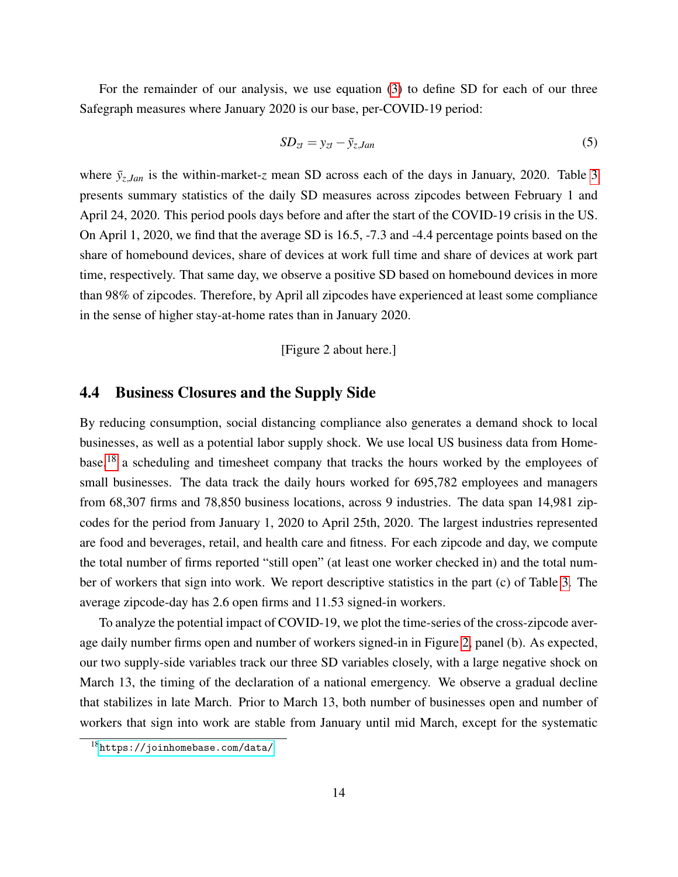For the remainder of our analysis, we use equation [\(3\)](#page-10-1) to define SD for each of our three Safegraph measures where January 2020 is our base, per-COVID-19 period:

$$
SD_{zt} = y_{zt} - \bar{y}_{z,Jan} \tag{5}
$$

where  $\bar{y}_{z, Jan}$  is the within-market-*z* mean SD across each of the days in January, 2020. Table [3](#page-44-0) presents summary statistics of the daily SD measures across zipcodes between February 1 and April 24, 2020. This period pools days before and after the start of the COVID-19 crisis in the US. On April 1, 2020, we find that the average SD is 16.5, -7.3 and -4.4 percentage points based on the share of homebound devices, share of devices at work full time and share of devices at work part time, respectively. That same day, we observe a positive SD based on homebound devices in more than 98% of zipcodes. Therefore, by April all zipcodes have experienced at least some compliance in the sense of higher stay-at-home rates than in January 2020.

#### [Figure 2 about here.]

#### <span id="page-14-0"></span>4.4 Business Closures and the Supply Side

By reducing consumption, social distancing compliance also generates a demand shock to local businesses, as well as a potential labor supply shock. We use local US business data from Homebase,[18](#page--1-0) a scheduling and timesheet company that tracks the hours worked by the employees of small businesses. The data track the daily hours worked for 695,782 employees and managers from 68,307 firms and 78,850 business locations, across 9 industries. The data span 14,981 zipcodes for the period from January 1, 2020 to April 25th, 2020. The largest industries represented are food and beverages, retail, and health care and fitness. For each zipcode and day, we compute the total number of firms reported "still open" (at least one worker checked in) and the total number of workers that sign into work. We report descriptive statistics in the part (c) of Table [3.](#page-44-0) The average zipcode-day has 2.6 open firms and 11.53 signed-in workers.

To analyze the potential impact of COVID-19, we plot the time-series of the cross-zipcode average daily number firms open and number of workers signed-in in Figure [2,](#page-38-0) panel (b). As expected, our two supply-side variables track our three SD variables closely, with a large negative shock on March 13, the timing of the declaration of a national emergency. We observe a gradual decline that stabilizes in late March. Prior to March 13, both number of businesses open and number of workers that sign into work are stable from January until mid March, except for the systematic

<sup>18</sup><https://joinhomebase.com/data/>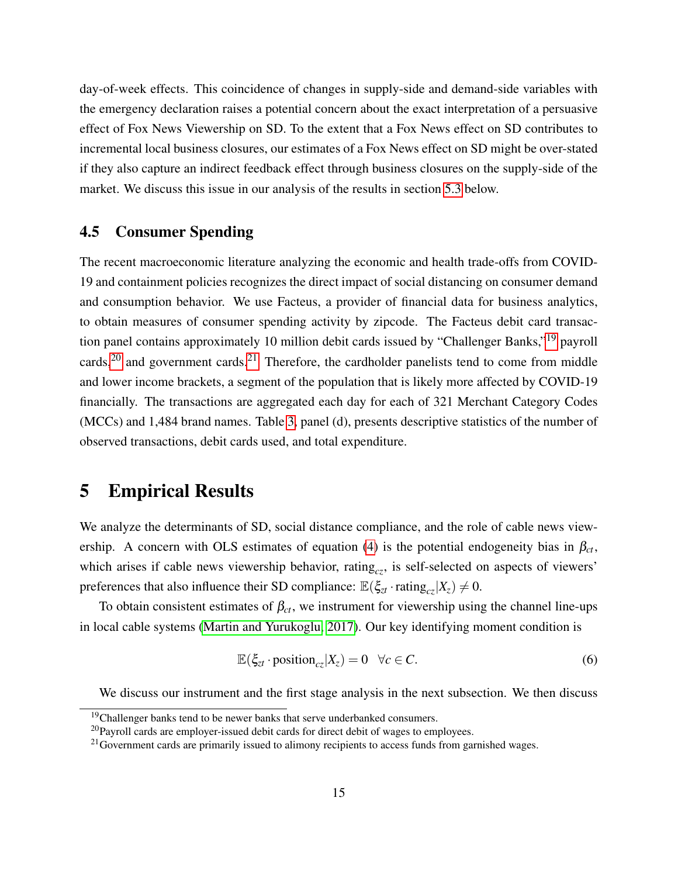day-of-week effects. This coincidence of changes in supply-side and demand-side variables with the emergency declaration raises a potential concern about the exact interpretation of a persuasive effect of Fox News Viewership on SD. To the extent that a Fox News effect on SD contributes to incremental local business closures, our estimates of a Fox News effect on SD might be over-stated if they also capture an indirect feedback effect through business closures on the supply-side of the market. We discuss this issue in our analysis of the results in section [5.3](#page-22-0) below.

## 4.5 Consumer Spending

The recent macroeconomic literature analyzing the economic and health trade-offs from COVID-19 and containment policies recognizes the direct impact of social distancing on consumer demand and consumption behavior. We use Facteus, a provider of financial data for business analytics, to obtain measures of consumer spending activity by zipcode. The Facteus debit card transaction panel contains approximately 10 million debit cards issued by "Challenger Banks,"[19](#page--1-0) payroll cards,<sup>[20](#page--1-0)</sup> and government cards.<sup>[21](#page--1-0)</sup> Therefore, the cardholder panelists tend to come from middle and lower income brackets, a segment of the population that is likely more affected by COVID-19 financially. The transactions are aggregated each day for each of 321 Merchant Category Codes (MCCs) and 1,484 brand names. Table [3,](#page-44-0) panel (d), presents descriptive statistics of the number of observed transactions, debit cards used, and total expenditure.

# <span id="page-15-0"></span>5 Empirical Results

We analyze the determinants of SD, social distance compliance, and the role of cable news view-ership. A concern with OLS estimates of equation [\(4\)](#page-10-2) is the potential endogeneity bias in  $\beta_{ct}$ , which arises if cable news viewership behavior, rating<sub>cz</sub>, is self-selected on aspects of viewers' preferences that also influence their SD compliance:  $\mathbb{E}(\xi_{zt} \cdot \text{rating}_{cz}|X_z) \neq 0$ .

To obtain consistent estimates of  $\beta_{ct}$ , we instrument for viewership using the channel line-ups in local cable systems [\(Martin and Yurukoglu, 2017\)](#page-33-1). Our key identifying moment condition is

<span id="page-15-1"></span>
$$
\mathbb{E}(\xi_{zt} \cdot \text{position}_{cz}|X_z) = 0 \quad \forall c \in C. \tag{6}
$$

We discuss our instrument and the first stage analysis in the next subsection. We then discuss

<sup>&</sup>lt;sup>19</sup>Challenger banks tend to be newer banks that serve underbanked consumers.

 $20$ Payroll cards are employer-issued debit cards for direct debit of wages to employees.

<sup>&</sup>lt;sup>21</sup> Government cards are primarily issued to alimony recipients to access funds from garnished wages.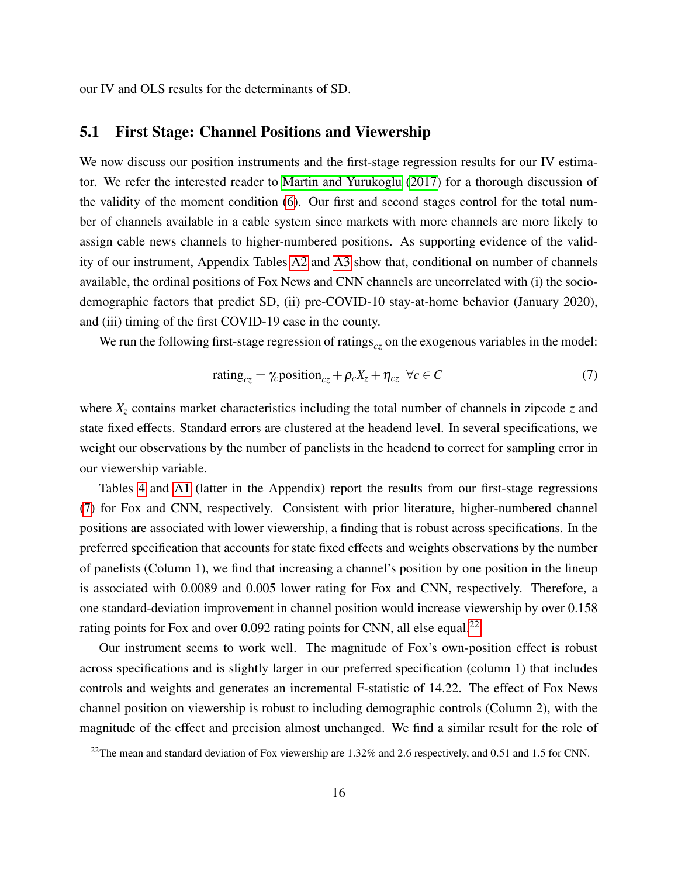our IV and OLS results for the determinants of SD.

#### <span id="page-16-0"></span>5.1 First Stage: Channel Positions and Viewership

We now discuss our position instruments and the first-stage regression results for our IV estimator. We refer the interested reader to [Martin and Yurukoglu](#page-33-1) [\(2017\)](#page-33-1) for a thorough discussion of the validity of the moment condition [\(6\)](#page-15-1). Our first and second stages control for the total number of channels available in a cable system since markets with more channels are more likely to assign cable news channels to higher-numbered positions. As supporting evidence of the validity of our instrument, Appendix Tables [A2](#page-43-0) and [A3](#page-44-0) show that, conditional on number of channels available, the ordinal positions of Fox News and CNN channels are uncorrelated with (i) the sociodemographic factors that predict SD, (ii) pre-COVID-10 stay-at-home behavior (January 2020), and (iii) timing of the first COVID-19 case in the county.

We run the following first-stage regression of ratings<sub>cz</sub> on the exogenous variables in the model:

<span id="page-16-1"></span>
$$
rating_{cz} = \gamma_c position_{cz} + \rho_c X_z + \eta_{cz} \ \forall c \in C \tag{7}
$$

where  $X<sub>z</sub>$  contains market characteristics including the total number of channels in zipcode  $z$  and state fixed effects. Standard errors are clustered at the headend level. In several specifications, we weight our observations by the number of panelists in the headend to correct for sampling error in our viewership variable.

Tables [4](#page-45-0) and [A1](#page-42-0) (latter in the Appendix) report the results from our first-stage regressions [\(7\)](#page-16-1) for Fox and CNN, respectively. Consistent with prior literature, higher-numbered channel positions are associated with lower viewership, a finding that is robust across specifications. In the preferred specification that accounts for state fixed effects and weights observations by the number of panelists (Column 1), we find that increasing a channel's position by one position in the lineup is associated with 0.0089 and 0.005 lower rating for Fox and CNN, respectively. Therefore, a one standard-deviation improvement in channel position would increase viewership by over 0.158 rating points for Fox and over 0.092 rating points for CNN, all else equal.<sup>[22](#page--1-0)</sup>

Our instrument seems to work well. The magnitude of Fox's own-position effect is robust across specifications and is slightly larger in our preferred specification (column 1) that includes controls and weights and generates an incremental F-statistic of 14.22. The effect of Fox News channel position on viewership is robust to including demographic controls (Column 2), with the magnitude of the effect and precision almost unchanged. We find a similar result for the role of

<sup>&</sup>lt;sup>22</sup>The mean and standard deviation of Fox viewership are 1.32% and 2.6 respectively, and 0.51 and 1.5 for CNN.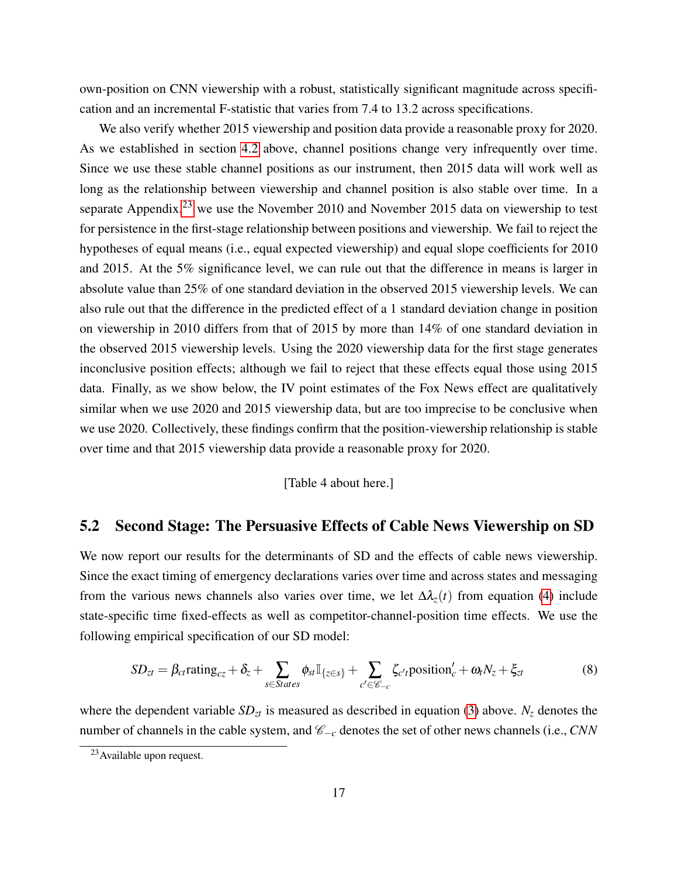own-position on CNN viewership with a robust, statistically significant magnitude across specification and an incremental F-statistic that varies from 7.4 to 13.2 across specifications.

We also verify whether 2015 viewership and position data provide a reasonable proxy for 2020. As we established in section [4.2](#page-12-0) above, channel positions change very infrequently over time. Since we use these stable channel positions as our instrument, then 2015 data will work well as long as the relationship between viewership and channel position is also stable over time. In a separate Appendix, $^{23}$  $^{23}$  $^{23}$  we use the November 2010 and November 2015 data on viewership to test for persistence in the first-stage relationship between positions and viewership. We fail to reject the hypotheses of equal means (i.e., equal expected viewership) and equal slope coefficients for 2010 and 2015. At the 5% significance level, we can rule out that the difference in means is larger in absolute value than 25% of one standard deviation in the observed 2015 viewership levels. We can also rule out that the difference in the predicted effect of a 1 standard deviation change in position on viewership in 2010 differs from that of 2015 by more than 14% of one standard deviation in the observed 2015 viewership levels. Using the 2020 viewership data for the first stage generates inconclusive position effects; although we fail to reject that these effects equal those using 2015 data. Finally, as we show below, the IV point estimates of the Fox News effect are qualitatively similar when we use 2020 and 2015 viewership data, but are too imprecise to be conclusive when we use 2020. Collectively, these findings confirm that the position-viewership relationship is stable over time and that 2015 viewership data provide a reasonable proxy for 2020.

[Table 4 about here.]

# 5.2 Second Stage: The Persuasive Effects of Cable News Viewership on SD

We now report our results for the determinants of SD and the effects of cable news viewership. Since the exact timing of emergency declarations varies over time and across states and messaging from the various news channels also varies over time, we let  $\Delta \lambda_z(t)$  from equation [\(4\)](#page-10-2) include state-specific time fixed-effects as well as competitor-channel-position time effects. We use the following empirical specification of our SD model:

<span id="page-17-0"></span>
$$
SD_{zt} = \beta_{ct} \text{rating}_{cz} + \delta_z + \sum_{s \in States} \phi_{st} \mathbb{I}_{\{z \in s\}} + \sum_{c' \in \mathscr{C}_{-c}} \zeta_{c't} \text{position}'_c + \omega_t N_z + \xi_{zt}
$$
(8)

where the dependent variable  $SD<sub>zt</sub>$  is measured as described in equation [\(3\)](#page-10-1) above.  $N<sub>z</sub>$  denotes the number of channels in the cable system, and C−*<sup>c</sup>* denotes the set of other news channels (i.e., *CNN*

<sup>&</sup>lt;sup>23</sup> Available upon request.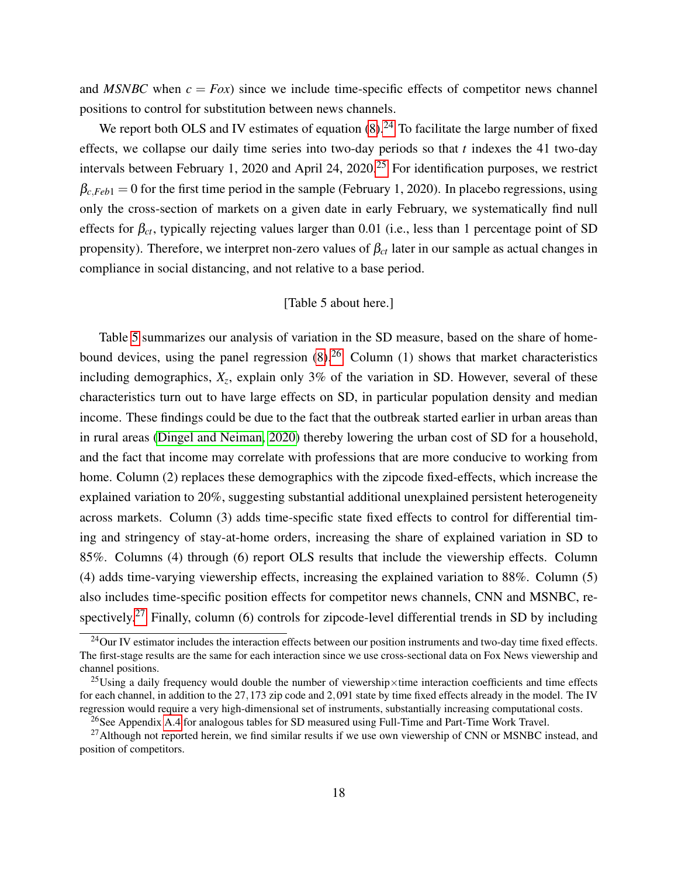and *MSNBC* when  $c = Fox$  since we include time-specific effects of competitor news channel positions to control for substitution between news channels.

We report both OLS and IV estimates of equation  $(8)$ .<sup>[24](#page--1-0)</sup> To facilitate the large number of fixed effects, we collapse our daily time series into two-day periods so that *t* indexes the 41 two-day intervals between February 1, 2020 and April 24, 2020.[25](#page--1-0) For identification purposes, we restrict  $\beta_{c,Feb1} = 0$  for the first time period in the sample (February 1, 2020). In placebo regressions, using only the cross-section of markets on a given date in early February, we systematically find null effects for  $\beta_{ct}$ , typically rejecting values larger than 0.01 (i.e., less than 1 percentage point of SD propensity). Therefore, we interpret non-zero values of  $\beta_{ct}$  later in our sample as actual changes in compliance in social distancing, and not relative to a base period.

#### [Table 5 about here.]

Table [5](#page-46-0) summarizes our analysis of variation in the SD measure, based on the share of homebound devices, using the panel regression  $(8)$ .<sup>[26](#page--1-0)</sup> Column (1) shows that market characteristics including demographics, *X<sup>z</sup>* , explain only 3% of the variation in SD. However, several of these characteristics turn out to have large effects on SD, in particular population density and median income. These findings could be due to the fact that the outbreak started earlier in urban areas than in rural areas [\(Dingel and Neiman, 2020\)](#page-30-10) thereby lowering the urban cost of SD for a household, and the fact that income may correlate with professions that are more conducive to working from home. Column (2) replaces these demographics with the zipcode fixed-effects, which increase the explained variation to 20%, suggesting substantial additional unexplained persistent heterogeneity across markets. Column (3) adds time-specific state fixed effects to control for differential timing and stringency of stay-at-home orders, increasing the share of explained variation in SD to 85%. Columns (4) through (6) report OLS results that include the viewership effects. Column (4) adds time-varying viewership effects, increasing the explained variation to 88%. Column (5) also includes time-specific position effects for competitor news channels, CNN and MSNBC, re-spectively.<sup>[27](#page--1-0)</sup> Finally, column (6) controls for zipcode-level differential trends in SD by including

 $^{24}$ Our IV estimator includes the interaction effects between our position instruments and two-day time fixed effects. The first-stage results are the same for each interaction since we use cross-sectional data on Fox News viewership and channel positions.

<sup>&</sup>lt;sup>25</sup>Using a daily frequency would double the number of viewership×time interaction coefficients and time effects for each channel, in addition to the 27,173 zip code and 2,091 state by time fixed effects already in the model. The IV regression would require a very high-dimensional set of instruments, substantially increasing computational costs.

<sup>&</sup>lt;sup>26</sup>See Appendix [A.4](#page-47-1) for analogous tables for SD measured using Full-Time and Part-Time Work Travel.

 $^{27}$ Although not reported herein, we find similar results if we use own viewership of CNN or MSNBC instead, and position of competitors.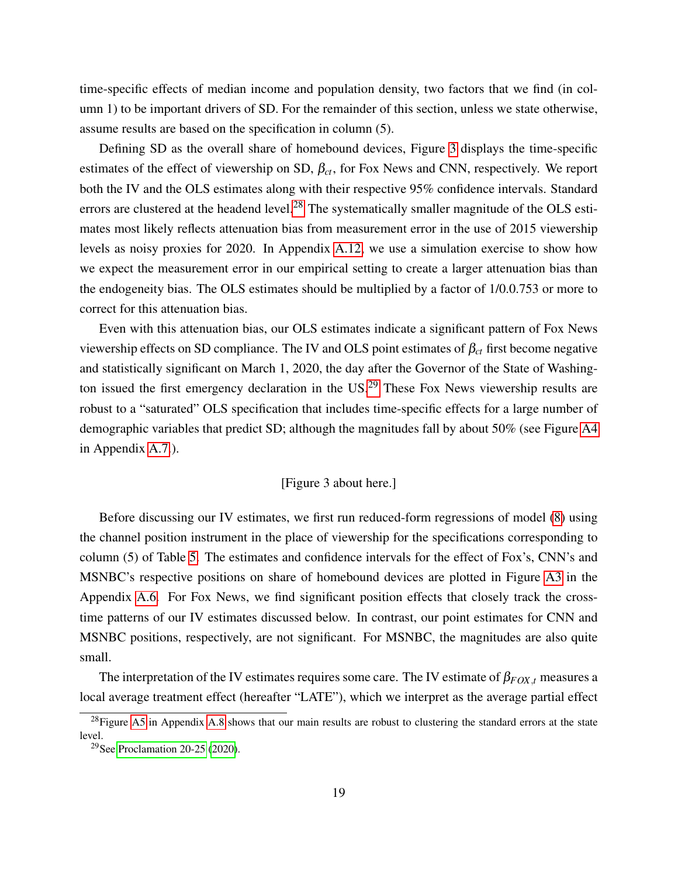time-specific effects of median income and population density, two factors that we find (in column 1) to be important drivers of SD. For the remainder of this section, unless we state otherwise, assume results are based on the specification in column (5).

Defining SD as the overall share of homebound devices, Figure [3](#page-39-0) displays the time-specific estimates of the effect of viewership on SD,  $\beta_{ct}$ , for Fox News and CNN, respectively. We report both the IV and the OLS estimates along with their respective 95% confidence intervals. Standard errors are clustered at the headend level.<sup>[28](#page--1-0)</sup> The systematically smaller magnitude of the OLS estimates most likely reflects attenuation bias from measurement error in the use of 2015 viewership levels as noisy proxies for 2020. In Appendix [A.12,](#page-49-0) we use a simulation exercise to show how we expect the measurement error in our empirical setting to create a larger attenuation bias than the endogeneity bias. The OLS estimates should be multiplied by a factor of 1/0.0.753 or more to correct for this attenuation bias.

Even with this attenuation bias, our OLS estimates indicate a significant pattern of Fox News viewership effects on SD compliance. The IV and OLS point estimates of  $\beta_{ct}$  first become negative and statistically significant on March 1, 2020, the day after the Governor of the State of Washing-ton issued the first emergency declaration in the US.<sup>[29](#page--1-0)</sup> These Fox News viewership results are robust to a "saturated" OLS specification that includes time-specific effects for a large number of demographic variables that predict SD; although the magnitudes fall by about 50% (see Figure [A4](#page-40-0) in Appendix [A.7.](#page-48-1)).

#### [Figure 3 about here.]

Before discussing our IV estimates, we first run reduced-form regressions of model [\(8\)](#page-17-0) using the channel position instrument in the place of viewership for the specifications corresponding to column (5) of Table [5.](#page-46-0) The estimates and confidence intervals for the effect of Fox's, CNN's and MSNBC's respective positions on share of homebound devices are plotted in Figure [A3](#page-39-0) in the Appendix [A.6.](#page-48-2) For Fox News, we find significant position effects that closely track the crosstime patterns of our IV estimates discussed below. In contrast, our point estimates for CNN and MSNBC positions, respectively, are not significant. For MSNBC, the magnitudes are also quite small.

The interpretation of the IV estimates requires some care. The IV estimate of  $\beta_{FOX,t}$  measures a local average treatment effect (hereafter "LATE"), which we interpret as the average partial effect

 $^{28}$ Figure [A5](#page-41-0) in Appendix [A.8](#page-48-3) shows that our main results are robust to clustering the standard errors at the state level.

<sup>29</sup>See [Proclamation 20-25](#page-34-12) [\(2020\)](#page-34-12).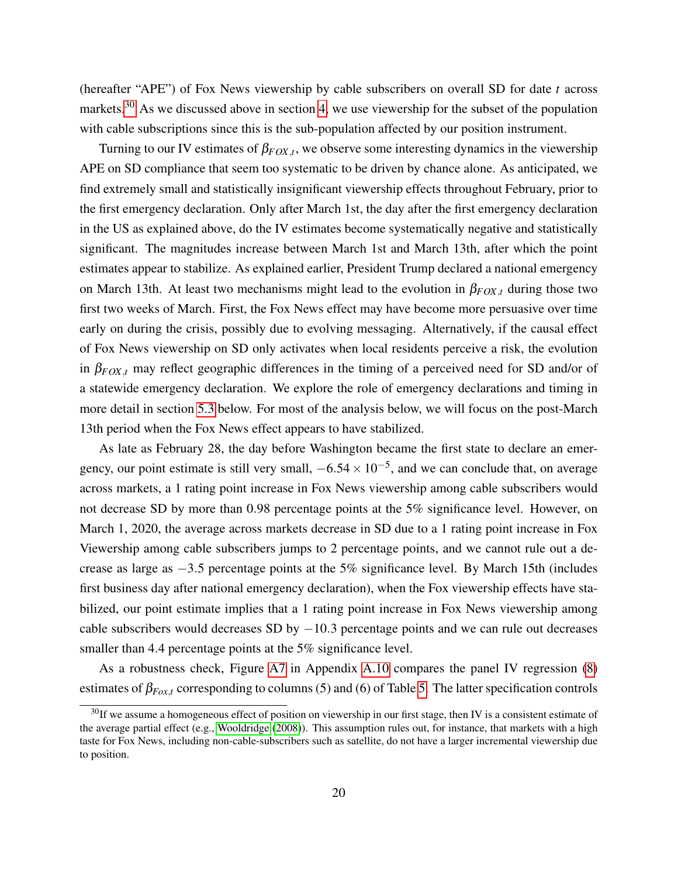(hereafter "APE") of Fox News viewership by cable subscribers on overall SD for date *t* across markets.<sup>[30](#page--1-0)</sup> As we discussed above in section [4,](#page-10-0) we use viewership for the subset of the population with cable subscriptions since this is the sub-population affected by our position instrument.

Turning to our IV estimates of  $\beta_{FOX,t}$ , we observe some interesting dynamics in the viewership APE on SD compliance that seem too systematic to be driven by chance alone. As anticipated, we find extremely small and statistically insignificant viewership effects throughout February, prior to the first emergency declaration. Only after March 1st, the day after the first emergency declaration in the US as explained above, do the IV estimates become systematically negative and statistically significant. The magnitudes increase between March 1st and March 13th, after which the point estimates appear to stabilize. As explained earlier, President Trump declared a national emergency on March 13th. At least two mechanisms might lead to the evolution in  $\beta_{FOX,t}$  during those two first two weeks of March. First, the Fox News effect may have become more persuasive over time early on during the crisis, possibly due to evolving messaging. Alternatively, if the causal effect of Fox News viewership on SD only activates when local residents perceive a risk, the evolution in  $\beta_{FOX,t}$  may reflect geographic differences in the timing of a perceived need for SD and/or of a statewide emergency declaration. We explore the role of emergency declarations and timing in more detail in section [5.3](#page-22-0) below. For most of the analysis below, we will focus on the post-March 13th period when the Fox News effect appears to have stabilized.

As late as February 28, the day before Washington became the first state to declare an emergency, our point estimate is still very small,  $-6.54 \times 10^{-5}$ , and we can conclude that, on average across markets, a 1 rating point increase in Fox News viewership among cable subscribers would not decrease SD by more than 0.98 percentage points at the 5% significance level. However, on March 1, 2020, the average across markets decrease in SD due to a 1 rating point increase in Fox Viewership among cable subscribers jumps to 2 percentage points, and we cannot rule out a decrease as large as −3.5 percentage points at the 5% significance level. By March 15th (includes first business day after national emergency declaration), when the Fox viewership effects have stabilized, our point estimate implies that a 1 rating point increase in Fox News viewership among cable subscribers would decreases SD by  $-10.3$  percentage points and we can rule out decreases smaller than 4.4 percentage points at the 5% significance level.

As a robustness check, Figure [A7](#page-58-0) in Appendix [A.10](#page-48-4) compares the panel IV regression [\(8\)](#page-17-0) estimates of  $\beta_{Fox,t}$  corresponding to columns (5) and (6) of Table [5.](#page-46-0) The latter specification controls

 $30$ If we assume a homogeneous effect of position on viewership in our first stage, then IV is a consistent estimate of the average partial effect (e.g., [Wooldridge](#page-35-8) [\(2008\)](#page-35-8)). This assumption rules out, for instance, that markets with a high taste for Fox News, including non-cable-subscribers such as satellite, do not have a larger incremental viewership due to position.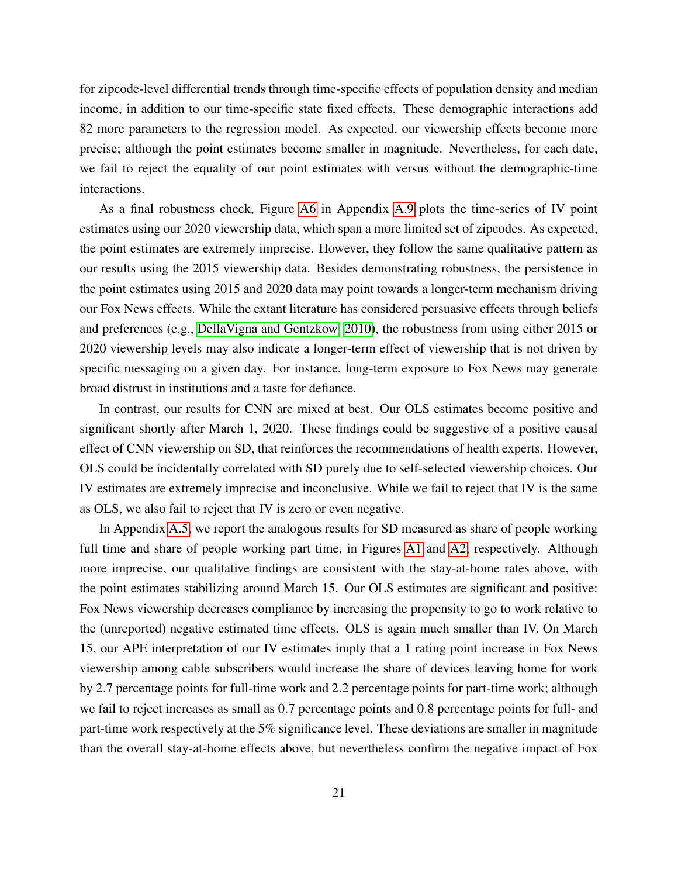for zipcode-level differential trends through time-specific effects of population density and median income, in addition to our time-specific state fixed effects. These demographic interactions add 82 more parameters to the regression model. As expected, our viewership effects become more precise; although the point estimates become smaller in magnitude. Nevertheless, for each date, we fail to reject the equality of our point estimates with versus without the demographic-time interactions.

As a final robustness check, Figure [A6](#page-57-0) in Appendix [A.9](#page-48-5) plots the time-series of IV point estimates using our 2020 viewership data, which span a more limited set of zipcodes. As expected, the point estimates are extremely imprecise. However, they follow the same qualitative pattern as our results using the 2015 viewership data. Besides demonstrating robustness, the persistence in the point estimates using 2015 and 2020 data may point towards a longer-term mechanism driving our Fox News effects. While the extant literature has considered persuasive effects through beliefs and preferences (e.g., [DellaVigna and Gentzkow, 2010\)](#page-30-3), the robustness from using either 2015 or 2020 viewership levels may also indicate a longer-term effect of viewership that is not driven by specific messaging on a given day. For instance, long-term exposure to Fox News may generate broad distrust in institutions and a taste for defiance.

In contrast, our results for CNN are mixed at best. Our OLS estimates become positive and significant shortly after March 1, 2020. These findings could be suggestive of a positive causal effect of CNN viewership on SD, that reinforces the recommendations of health experts. However, OLS could be incidentally correlated with SD purely due to self-selected viewership choices. Our IV estimates are extremely imprecise and inconclusive. While we fail to reject that IV is the same as OLS, we also fail to reject that IV is zero or even negative.

In Appendix [A.5,](#page-48-6) we report the analogous results for SD measured as share of people working full time and share of people working part time, in Figures [A1](#page-37-0) and [A2,](#page-38-0) respectively. Although more imprecise, our qualitative findings are consistent with the stay-at-home rates above, with the point estimates stabilizing around March 15. Our OLS estimates are significant and positive: Fox News viewership decreases compliance by increasing the propensity to go to work relative to the (unreported) negative estimated time effects. OLS is again much smaller than IV. On March 15, our APE interpretation of our IV estimates imply that a 1 rating point increase in Fox News viewership among cable subscribers would increase the share of devices leaving home for work by 2.7 percentage points for full-time work and 2.2 percentage points for part-time work; although we fail to reject increases as small as 0.7 percentage points and 0.8 percentage points for full- and part-time work respectively at the 5% significance level. These deviations are smaller in magnitude than the overall stay-at-home effects above, but nevertheless confirm the negative impact of Fox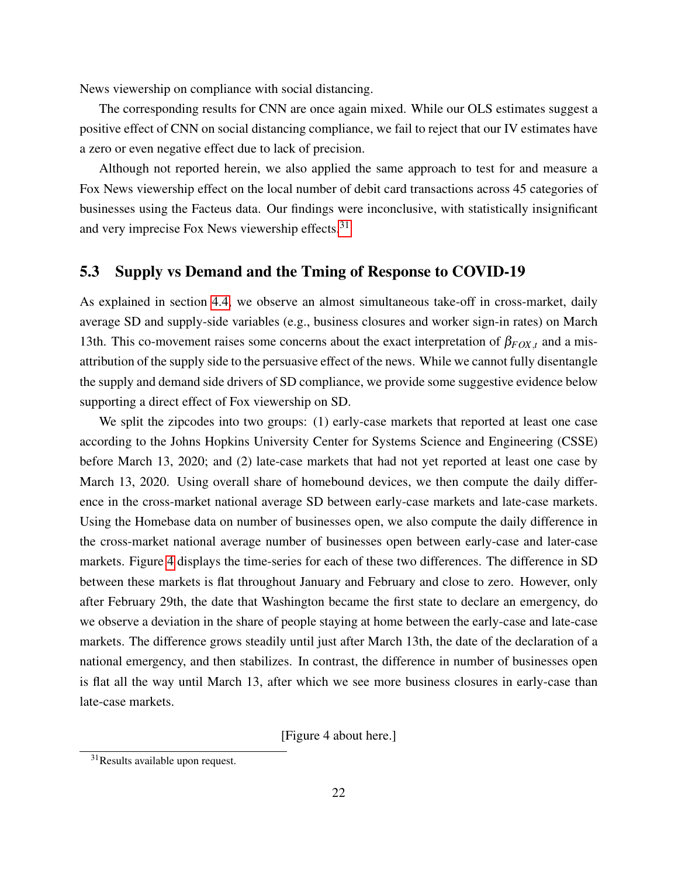News viewership on compliance with social distancing.

The corresponding results for CNN are once again mixed. While our OLS estimates suggest a positive effect of CNN on social distancing compliance, we fail to reject that our IV estimates have a zero or even negative effect due to lack of precision.

Although not reported herein, we also applied the same approach to test for and measure a Fox News viewership effect on the local number of debit card transactions across 45 categories of businesses using the Facteus data. Our findings were inconclusive, with statistically insignificant and very imprecise Fox News viewership effects.<sup>[31](#page--1-0)</sup>

#### <span id="page-22-0"></span>5.3 Supply vs Demand and the Tming of Response to COVID-19

As explained in section [4.4,](#page-14-0) we observe an almost simultaneous take-off in cross-market, daily average SD and supply-side variables (e.g., business closures and worker sign-in rates) on March 13th. This co-movement raises some concerns about the exact interpretation of  $\beta_{FOX,t}$  and a misattribution of the supply side to the persuasive effect of the news. While we cannot fully disentangle the supply and demand side drivers of SD compliance, we provide some suggestive evidence below supporting a direct effect of Fox viewership on SD.

We split the zipcodes into two groups: (1) early-case markets that reported at least one case according to the Johns Hopkins University Center for Systems Science and Engineering (CSSE) before March 13, 2020; and (2) late-case markets that had not yet reported at least one case by March 13, 2020. Using overall share of homebound devices, we then compute the daily difference in the cross-market national average SD between early-case markets and late-case markets. Using the Homebase data on number of businesses open, we also compute the daily difference in the cross-market national average number of businesses open between early-case and later-case markets. Figure [4](#page-40-0) displays the time-series for each of these two differences. The difference in SD between these markets is flat throughout January and February and close to zero. However, only after February 29th, the date that Washington became the first state to declare an emergency, do we observe a deviation in the share of people staying at home between the early-case and late-case markets. The difference grows steadily until just after March 13th, the date of the declaration of a national emergency, and then stabilizes. In contrast, the difference in number of businesses open is flat all the way until March 13, after which we see more business closures in early-case than late-case markets.

[Figure 4 about here.]

<sup>&</sup>lt;sup>31</sup>Results available upon request.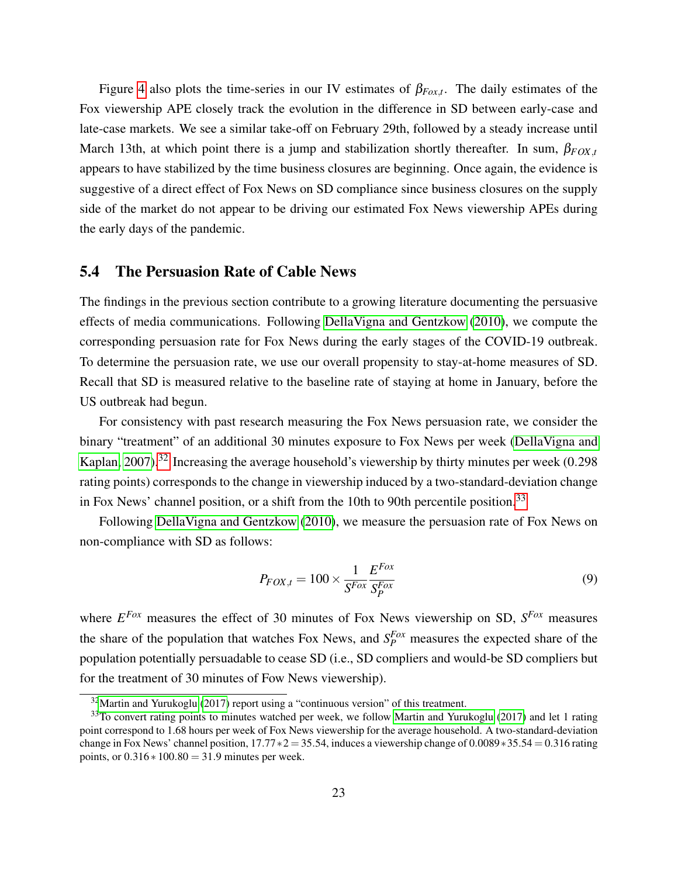Figure [4](#page-40-0) also plots the time-series in our IV estimates of  $\beta_{Fox,t}$ . The daily estimates of the Fox viewership APE closely track the evolution in the difference in SD between early-case and late-case markets. We see a similar take-off on February 29th, followed by a steady increase until March 13th, at which point there is a jump and stabilization shortly thereafter. In sum,  $\beta_{FOX,t}$ appears to have stabilized by the time business closures are beginning. Once again, the evidence is suggestive of a direct effect of Fox News on SD compliance since business closures on the supply side of the market do not appear to be driving our estimated Fox News viewership APEs during the early days of the pandemic.

#### <span id="page-23-0"></span>5.4 The Persuasion Rate of Cable News

The findings in the previous section contribute to a growing literature documenting the persuasive effects of media communications. Following [DellaVigna and Gentzkow](#page-30-3) [\(2010\)](#page-30-3), we compute the corresponding persuasion rate for Fox News during the early stages of the COVID-19 outbreak. To determine the persuasion rate, we use our overall propensity to stay-at-home measures of SD. Recall that SD is measured relative to the baseline rate of staying at home in January, before the US outbreak had begun.

For consistency with past research measuring the Fox News persuasion rate, we consider the binary "treatment" of an additional 30 minutes exposure to Fox News per week [\(DellaVigna and](#page-30-6) [Kaplan, 2007\)](#page-30-6).<sup>[32](#page--1-0)</sup> Increasing the average household's viewership by thirty minutes per week  $(0.298)$ rating points) corresponds to the change in viewership induced by a two-standard-deviation change in Fox News' channel position, or a shift from the 10th to 90th percentile position.<sup>[33](#page--1-0)</sup>

Following [DellaVigna and Gentzkow](#page-30-3) [\(2010\)](#page-30-3), we measure the persuasion rate of Fox News on non-compliance with SD as follows:

<span id="page-23-1"></span>
$$
P_{FOX,t} = 100 \times \frac{1}{S^{Fox}} \frac{E^{Fox}}{S_P^{Fox}}
$$
\n(9)

where *E Fox* measures the effect of 30 minutes of Fox News viewership on SD, *S Fox* measures the share of the population that watches Fox News, and  $S_P^{Fox}$  measures the expected share of the population potentially persuadable to cease SD (i.e., SD compliers and would-be SD compliers but for the treatment of 30 minutes of Fow News viewership).

 $32$ [Martin and Yurukoglu](#page-33-1) [\(2017\)](#page-33-1) report using a "continuous version" of this treatment.

<sup>&</sup>lt;sup>33</sup>To convert rating points to minutes watched per week, we follow [Martin and Yurukoglu](#page-33-1) [\(2017\)](#page-33-1) and let 1 rating point correspond to 1.68 hours per week of Fox News viewership for the average household. A two-standard-deviation change in Fox News' channel position,  $17.77 * 2 = 35.54$ , induces a viewership change of 0.0089∗35.54 = 0.316 rating points, or  $0.316 * 100.80 = 31.9$  minutes per week.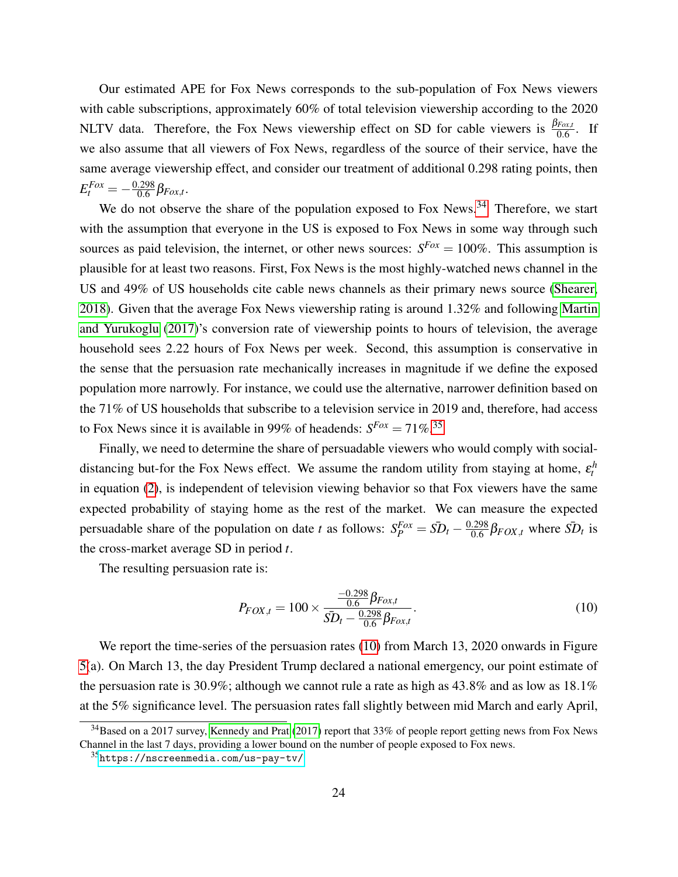Our estimated APE for Fox News corresponds to the sub-population of Fox News viewers with cable subscriptions, approximately 60% of total television viewership according to the 2020 NLTV data. Therefore, the Fox News viewership effect on SD for cable viewers is  $\frac{\beta_{Fox,t}}{0.6}$ . If we also assume that all viewers of Fox News, regardless of the source of their service, have the same average viewership effect, and consider our treatment of additional 0.298 rating points, then  $E_t^{Fox} = -\frac{0.298}{0.6}$  $\frac{0.298}{0.6}$   $\beta$ <sub>*Fox*,*t*</sub>.

We do not observe the share of the population exposed to Fox News.<sup>[34](#page--1-0)</sup> Therefore, we start with the assumption that everyone in the US is exposed to Fox News in some way through such sources as paid television, the internet, or other news sources:  $S^{F\alpha x} = 100\%$ . This assumption is plausible for at least two reasons. First, Fox News is the most highly-watched news channel in the US and 49% of US households cite cable news channels as their primary news source [\(Shearer,](#page-34-2) [2018\)](#page-34-2). Given that the average Fox News viewership rating is around 1.32% and following [Martin](#page-33-1) [and Yurukoglu](#page-33-1) [\(2017\)](#page-33-1)'s conversion rate of viewership points to hours of television, the average household sees 2.22 hours of Fox News per week. Second, this assumption is conservative in the sense that the persuasion rate mechanically increases in magnitude if we define the exposed population more narrowly. For instance, we could use the alternative, narrower definition based on the 71% of US households that subscribe to a television service in 2019 and, therefore, had access to Fox News since it is available in 99% of headends:  $S^{Fox} = 71\%$ <sup>[35](#page--1-0)</sup>

Finally, we need to determine the share of persuadable viewers who would comply with socialdistancing but-for the Fox News effect. We assume the random utility from staying at home,  $\varepsilon_t^h$ in equation [\(2\)](#page-9-0), is independent of television viewing behavior so that Fox viewers have the same expected probability of staying home as the rest of the market. We can measure the expected persuadable share of the population on date *t* as follows:  $S_P^{Fox} = \overline{SD}_t - \frac{0.298}{0.6}$  $\frac{.298}{0.6}$  $\beta$ <sub>*FOX*,*t*</sub> where  $\overline{SD}_t$  is the cross-market average SD in period *t*.

The resulting persuasion rate is:

<span id="page-24-0"></span>
$$
P_{FOX,t} = 100 \times \frac{\frac{-0.298}{0.6} \beta_{Fox,t}}{5D_t - \frac{0.298}{0.6} \beta_{Fox,t}}.
$$
\n(10)

We report the time-series of the persuasion rates [\(10\)](#page-24-0) from March 13, 2020 onwards in Figure [5\(](#page-41-0)a). On March 13, the day President Trump declared a national emergency, our point estimate of the persuasion rate is 30.9%; although we cannot rule a rate as high as  $43.8\%$  and as low as  $18.1\%$ at the 5% significance level. The persuasion rates fall slightly between mid March and early April,

<sup>&</sup>lt;sup>34</sup>Based on a 2017 survey, [Kennedy and Prat](#page-32-10) [\(2017\)](#page-32-10) report that 33% of people report getting news from Fox News Channel in the last 7 days, providing a lower bound on the number of people exposed to Fox news.

<sup>35</sup><https://nscreenmedia.com/us-pay-tv/>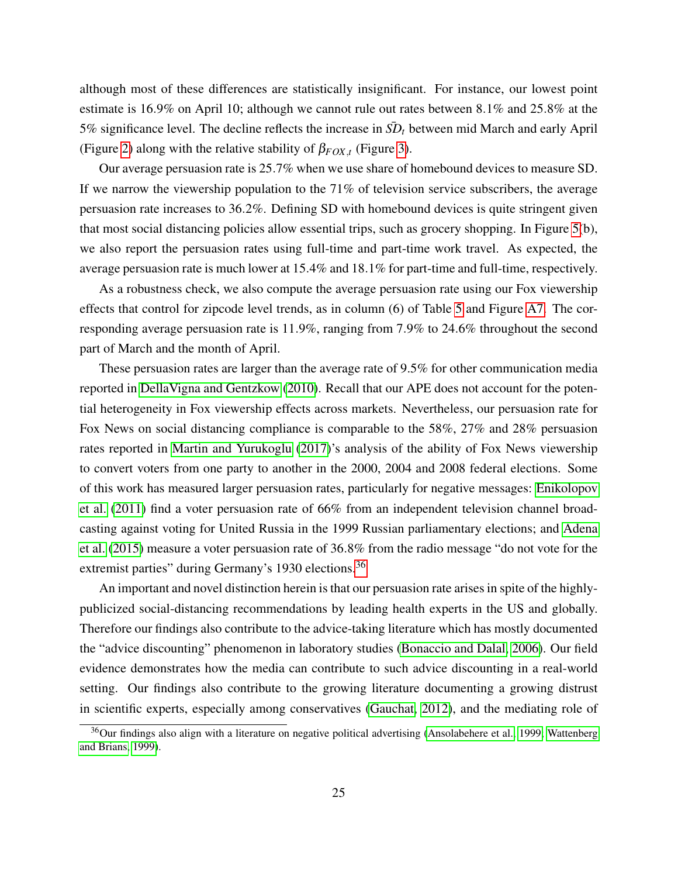although most of these differences are statistically insignificant. For instance, our lowest point estimate is 16.9% on April 10; although we cannot rule out rates between 8.1% and 25.8% at the 5% significance level. The decline reflects the increase in  $\bar{SD}_t$  between mid March and early April (Figure [2\)](#page-38-0) along with the relative stability of  $\beta_{FOX,t}$  (Figure [3\)](#page-39-0).

Our average persuasion rate is 25.7% when we use share of homebound devices to measure SD. If we narrow the viewership population to the 71% of television service subscribers, the average persuasion rate increases to 36.2%. Defining SD with homebound devices is quite stringent given that most social distancing policies allow essential trips, such as grocery shopping. In Figure [5\(](#page-41-0)b), we also report the persuasion rates using full-time and part-time work travel. As expected, the average persuasion rate is much lower at 15.4% and 18.1% for part-time and full-time, respectively.

As a robustness check, we also compute the average persuasion rate using our Fox viewership effects that control for zipcode level trends, as in column (6) of Table [5](#page-46-0) and Figure [A7.](#page-58-0) The corresponding average persuasion rate is 11.9%, ranging from 7.9% to 24.6% throughout the second part of March and the month of April.

These persuasion rates are larger than the average rate of 9.5% for other communication media reported in [DellaVigna and Gentzkow](#page-30-3) [\(2010\)](#page-30-3). Recall that our APE does not account for the potential heterogeneity in Fox viewership effects across markets. Nevertheless, our persuasion rate for Fox News on social distancing compliance is comparable to the 58%, 27% and 28% persuasion rates reported in [Martin and Yurukoglu](#page-33-1) [\(2017\)](#page-33-1)'s analysis of the ability of Fox News viewership to convert voters from one party to another in the 2000, 2004 and 2008 federal elections. Some of this work has measured larger persuasion rates, particularly for negative messages: [Enikolopov](#page-30-5) [et al.](#page-30-5) [\(2011\)](#page-30-5) find a voter persuasion rate of 66% from an independent television channel broadcasting against voting for United Russia in the 1999 Russian parliamentary elections; and [Adena](#page-28-9) [et al.](#page-28-9) [\(2015\)](#page-28-9) measure a voter persuasion rate of 36.8% from the radio message "do not vote for the extremist parties" during Germany's 1930 elections.<sup>[36](#page--1-0)</sup>

An important and novel distinction herein is that our persuasion rate arises in spite of the highlypublicized social-distancing recommendations by leading health experts in the US and globally. Therefore our findings also contribute to the advice-taking literature which has mostly documented the "advice discounting" phenomenon in laboratory studies [\(Bonaccio and Dalal, 2006\)](#page-29-1). Our field evidence demonstrates how the media can contribute to such advice discounting in a real-world setting. Our findings also contribute to the growing literature documenting a growing distrust in scientific experts, especially among conservatives [\(Gauchat, 2012\)](#page-31-4), and the mediating role of

 $36$ Our findings also align with a literature on negative political advertising [\(Ansolabehere et al., 1999;](#page-28-10) [Wattenberg](#page-35-9) [and Brians, 1999\)](#page-35-9).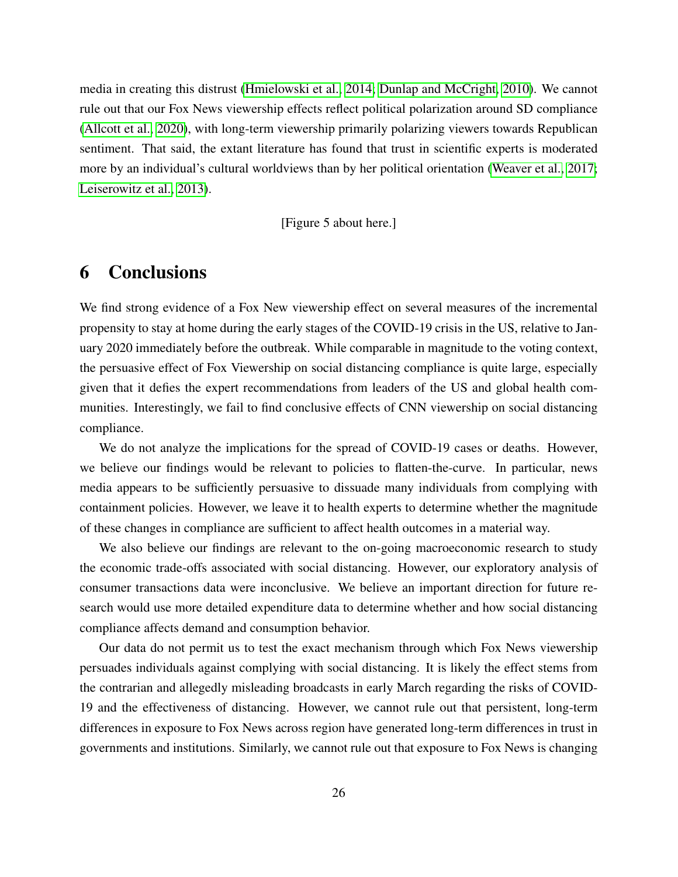media in creating this distrust [\(Hmielowski et al., 2014;](#page-31-0) [Dunlap and McCright, 2010\)](#page-30-11). We cannot rule out that our Fox News viewership effects reflect political polarization around SD compliance [\(Allcott et al., 2020\)](#page-28-1), with long-term viewership primarily polarizing viewers towards Republican sentiment. That said, the extant literature has found that trust in scientific experts is moderated more by an individual's cultural worldviews than by her political orientation [\(Weaver et al., 2017;](#page-35-0) [Leiserowitz et al., 2013\)](#page-32-3).

[Figure 5 about here.]

# <span id="page-26-0"></span>6 Conclusions

We find strong evidence of a Fox New viewership effect on several measures of the incremental propensity to stay at home during the early stages of the COVID-19 crisis in the US, relative to January 2020 immediately before the outbreak. While comparable in magnitude to the voting context, the persuasive effect of Fox Viewership on social distancing compliance is quite large, especially given that it defies the expert recommendations from leaders of the US and global health communities. Interestingly, we fail to find conclusive effects of CNN viewership on social distancing compliance.

We do not analyze the implications for the spread of COVID-19 cases or deaths. However, we believe our findings would be relevant to policies to flatten-the-curve. In particular, news media appears to be sufficiently persuasive to dissuade many individuals from complying with containment policies. However, we leave it to health experts to determine whether the magnitude of these changes in compliance are sufficient to affect health outcomes in a material way.

We also believe our findings are relevant to the on-going macroeconomic research to study the economic trade-offs associated with social distancing. However, our exploratory analysis of consumer transactions data were inconclusive. We believe an important direction for future research would use more detailed expenditure data to determine whether and how social distancing compliance affects demand and consumption behavior.

Our data do not permit us to test the exact mechanism through which Fox News viewership persuades individuals against complying with social distancing. It is likely the effect stems from the contrarian and allegedly misleading broadcasts in early March regarding the risks of COVID-19 and the effectiveness of distancing. However, we cannot rule out that persistent, long-term differences in exposure to Fox News across region have generated long-term differences in trust in governments and institutions. Similarly, we cannot rule out that exposure to Fox News is changing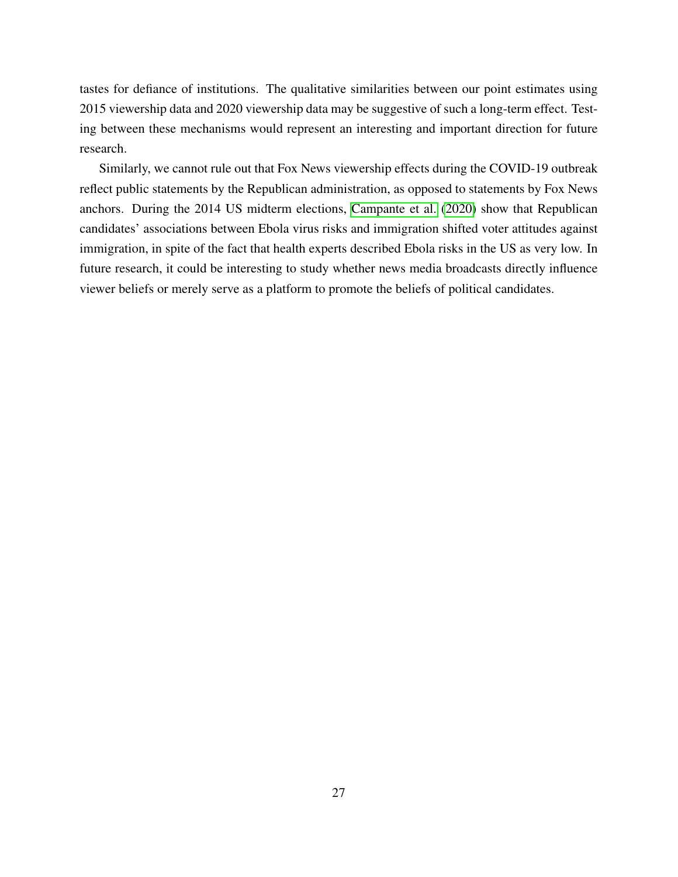tastes for defiance of institutions. The qualitative similarities between our point estimates using 2015 viewership data and 2020 viewership data may be suggestive of such a long-term effect. Testing between these mechanisms would represent an interesting and important direction for future research.

Similarly, we cannot rule out that Fox News viewership effects during the COVID-19 outbreak reflect public statements by the Republican administration, as opposed to statements by Fox News anchors. During the 2014 US midterm elections, [Campante et al.](#page-29-10) [\(2020\)](#page-29-10) show that Republican candidates' associations between Ebola virus risks and immigration shifted voter attitudes against immigration, in spite of the fact that health experts described Ebola risks in the US as very low. In future research, it could be interesting to study whether news media broadcasts directly influence viewer beliefs or merely serve as a platform to promote the beliefs of political candidates.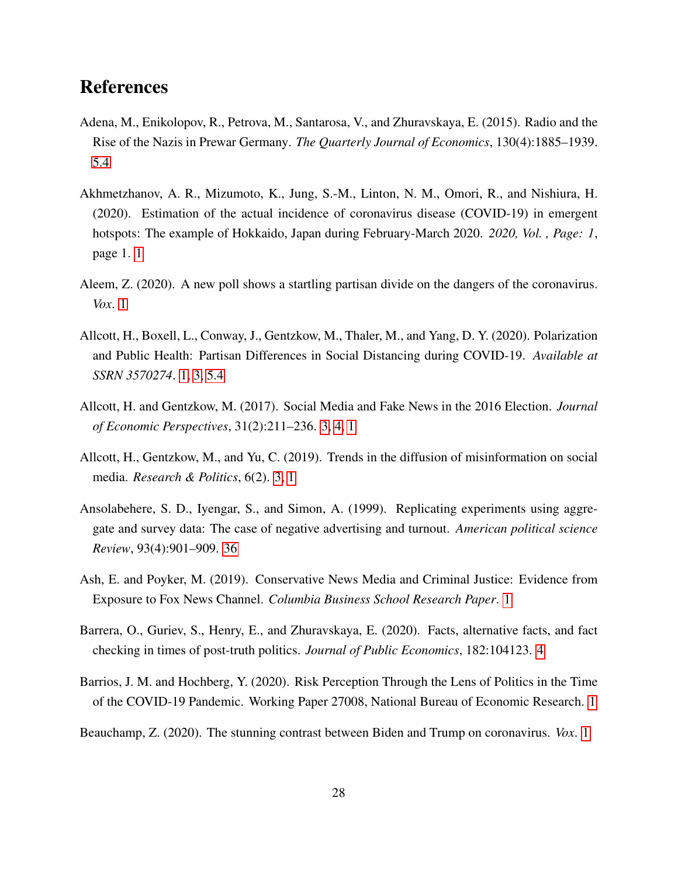# References

- <span id="page-28-9"></span>Adena, M., Enikolopov, R., Petrova, M., Santarosa, V., and Zhuravskaya, E. (2015). Radio and the Rise of the Nazis in Prewar Germany. *The Quarterly Journal of Economics*, 130(4):1885–1939. [5.4](#page-24-0)
- <span id="page-28-7"></span>Akhmetzhanov, A. R., Mizumoto, K., Jung, S.-M., Linton, N. M., Omori, R., and Nishiura, H. (2020). Estimation of the actual incidence of coronavirus disease (COVID-19) in emergent hotspots: The example of Hokkaido, Japan during February-March 2020. *2020, Vol. , Page: 1*, page 1. [1](#page-2-0)
- <span id="page-28-3"></span>Aleem, Z. (2020). A new poll shows a startling partisan divide on the dangers of the coronavirus. *Vox*. [1](#page-2-0)
- <span id="page-28-1"></span>Allcott, H., Boxell, L., Conway, J., Gentzkow, M., Thaler, M., and Yang, D. Y. (2020). Polarization and Public Health: Partisan Differences in Social Distancing during COVID-19. *Available at SSRN 3570274*. [1,](#page-2-0) [3,](#page-9-1) [5.4](#page-24-0)
- <span id="page-28-5"></span>Allcott, H. and Gentzkow, M. (2017). Social Media and Fake News in the 2016 Election. *Journal of Economic Perspectives*, 31(2):211–236. [3, 4, 1](#page-2-0)
- <span id="page-28-4"></span>Allcott, H., Gentzkow, M., and Yu, C. (2019). Trends in the diffusion of misinformation on social media. *Research & Politics*, 6(2). [3, 1](#page-2-0)
- <span id="page-28-10"></span>Ansolabehere, S. D., Iyengar, S., and Simon, A. (1999). Replicating experiments using aggregate and survey data: The case of negative advertising and turnout. *American political science Review*, 93(4):901–909. [36](#page-24-0)
- <span id="page-28-8"></span>Ash, E. and Poyker, M. (2019). Conservative News Media and Criminal Justice: Evidence from Exposure to Fox News Channel. *Columbia Business School Research Paper*. [1](#page-2-0)
- <span id="page-28-6"></span>Barrera, O., Guriev, S., Henry, E., and Zhuravskaya, E. (2020). Facts, alternative facts, and fact checking in times of post-truth politics. *Journal of Public Economics*, 182:104123. [4](#page-2-0)
- <span id="page-28-0"></span>Barrios, J. M. and Hochberg, Y. (2020). Risk Perception Through the Lens of Politics in the Time of the COVID-19 Pandemic. Working Paper 27008, National Bureau of Economic Research. [1](#page-2-0)
- <span id="page-28-2"></span>Beauchamp, Z. (2020). The stunning contrast between Biden and Trump on coronavirus. *Vox*. [1](#page-2-0)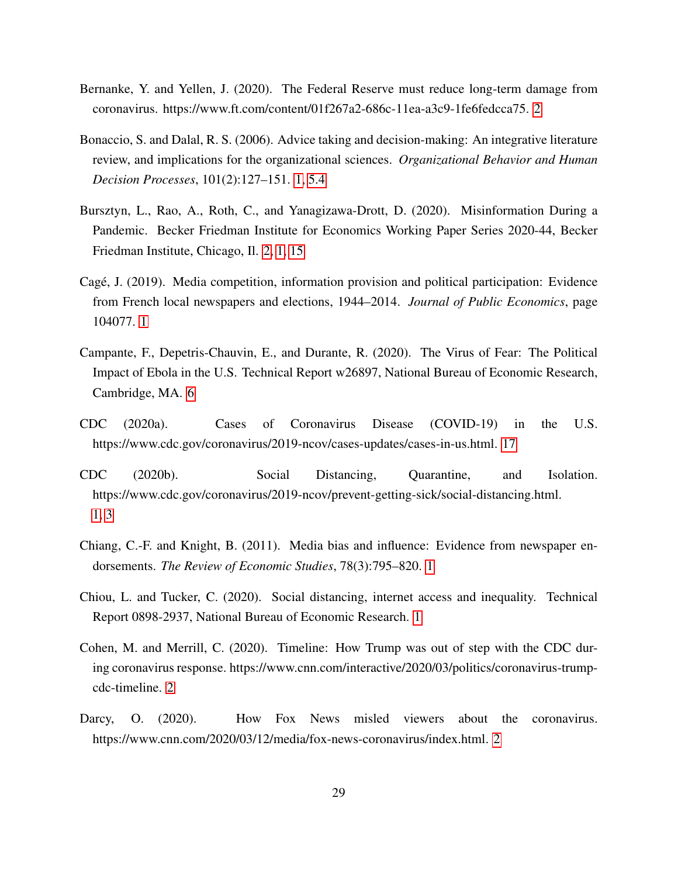- <span id="page-29-8"></span>Bernanke, Y. and Yellen, J. (2020). The Federal Reserve must reduce long-term damage from coronavirus. https://www.ft.com/content/01f267a2-686c-11ea-a3c9-1fe6fedcca75. [2](#page-6-0)
- <span id="page-29-1"></span>Bonaccio, S. and Dalal, R. S. (2006). Advice taking and decision-making: An integrative literature review, and implications for the organizational sciences. *Organizational Behavior and Human Decision Processes*, 101(2):127–151. [1,](#page-2-0) [5.4](#page-24-0)
- <span id="page-29-2"></span>Bursztyn, L., Rao, A., Roth, C., and Yanagizawa-Drott, D. (2020). Misinformation During a Pandemic. Becker Friedman Institute for Economics Working Paper Series 2020-44, Becker Friedman Institute, Chicago, Il. [2, 1,](#page-2-0) [15](#page-12-1)
- <span id="page-29-4"></span>Cage, J. (2019). Media competition, information provision and political participation: Evidence ´ from French local newspapers and elections, 1944–2014. *Journal of Public Economics*, page 104077. [1](#page-2-0)
- <span id="page-29-10"></span>Campante, F., Depetris-Chauvin, E., and Durante, R. (2020). The Virus of Fear: The Political Impact of Ebola in the U.S. Technical Report w26897, National Bureau of Economic Research, Cambridge, MA. [6](#page-26-0)
- <span id="page-29-9"></span>CDC (2020a). Cases of Coronavirus Disease (COVID-19) in the U.S. https://www.cdc.gov/coronavirus/2019-ncov/cases-updates/cases-in-us.html. [17](#page-12-1)
- <span id="page-29-0"></span>CDC (2020b). Social Distancing, Quarantine, and Isolation. https://www.cdc.gov/coronavirus/2019-ncov/prevent-getting-sick/social-distancing.html. [1,](#page-2-0) [3](#page-8-0)
- <span id="page-29-5"></span>Chiang, C.-F. and Knight, B. (2011). Media bias and influence: Evidence from newspaper endorsements. *The Review of Economic Studies*, 78(3):795–820. [1](#page-2-0)
- <span id="page-29-3"></span>Chiou, L. and Tucker, C. (2020). Social distancing, internet access and inequality. Technical Report 0898-2937, National Bureau of Economic Research. [1](#page-2-0)
- <span id="page-29-7"></span>Cohen, M. and Merrill, C. (2020). Timeline: How Trump was out of step with the CDC during coronavirus response. https://www.cnn.com/interactive/2020/03/politics/coronavirus-trumpcdc-timeline. [2](#page-6-0)
- <span id="page-29-6"></span>Darcy, O. (2020). How Fox News misled viewers about the coronavirus. https://www.cnn.com/2020/03/12/media/fox-news-coronavirus/index.html. [2](#page-6-0)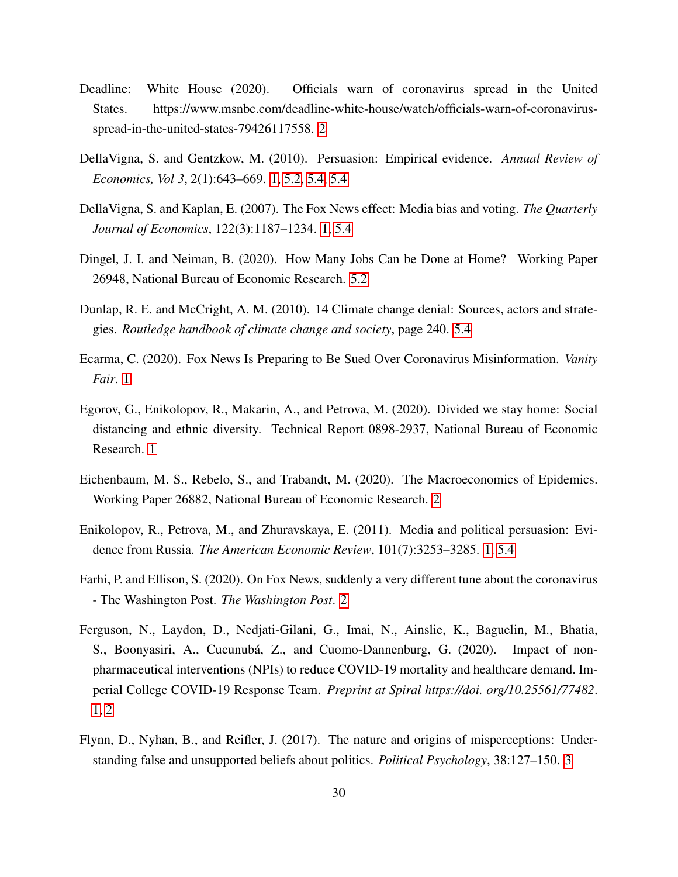- <span id="page-30-8"></span>Deadline: White House (2020). Officials warn of coronavirus spread in the United States. https://www.msnbc.com/deadline-white-house/watch/officials-warn-of-coronavirusspread-in-the-united-states-79426117558. [2](#page-6-0)
- <span id="page-30-3"></span>DellaVigna, S. and Gentzkow, M. (2010). Persuasion: Empirical evidence. *Annual Review of Economics, Vol 3*, 2(1):643–669. [1,](#page-2-0) [5.2,](#page-17-0) [5.4,](#page-23-0) [5.4](#page-24-0)
- <span id="page-30-6"></span>DellaVigna, S. and Kaplan, E. (2007). The Fox News effect: Media bias and voting. *The Quarterly Journal of Economics*, 122(3):1187–1234. [1,](#page-2-0) [5.4](#page-23-0)
- <span id="page-30-10"></span>Dingel, J. I. and Neiman, B. (2020). How Many Jobs Can be Done at Home? Working Paper 26948, National Bureau of Economic Research. [5.2](#page-17-0)
- <span id="page-30-11"></span>Dunlap, R. E. and McCright, A. M. (2010). 14 Climate change denial: Sources, actors and strategies. *Routledge handbook of climate change and society*, page 240. [5.4](#page-24-0)
- <span id="page-30-0"></span>Ecarma, C. (2020). Fox News Is Preparing to Be Sued Over Coronavirus Misinformation. *Vanity Fair*. [1](#page-2-0)
- <span id="page-30-4"></span>Egorov, G., Enikolopov, R., Makarin, A., and Petrova, M. (2020). Divided we stay home: Social distancing and ethnic diversity. Technical Report 0898-2937, National Bureau of Economic Research. [1](#page-2-0)
- <span id="page-30-9"></span>Eichenbaum, M. S., Rebelo, S., and Trabandt, M. (2020). The Macroeconomics of Epidemics. Working Paper 26882, National Bureau of Economic Research. [2](#page-6-0)
- <span id="page-30-5"></span>Enikolopov, R., Petrova, M., and Zhuravskaya, E. (2011). Media and political persuasion: Evidence from Russia. *The American Economic Review*, 101(7):3253–3285. [1,](#page-2-0) [5.4](#page-24-0)
- <span id="page-30-7"></span>Farhi, P. and Ellison, S. (2020). On Fox News, suddenly a very different tune about the coronavirus - The Washington Post. *The Washington Post*. [2](#page-6-0)
- <span id="page-30-1"></span>Ferguson, N., Laydon, D., Nedjati-Gilani, G., Imai, N., Ainslie, K., Baguelin, M., Bhatia, S., Boonyasiri, A., Cucunubá, Z., and Cuomo-Dannenburg, G. (2020). Impact of nonpharmaceutical interventions (NPIs) to reduce COVID-19 mortality and healthcare demand. Imperial College COVID-19 Response Team. *Preprint at Spiral https://doi. org/10.25561/77482*. [1,](#page-2-0) [2](#page-6-0)
- <span id="page-30-2"></span>Flynn, D., Nyhan, B., and Reifler, J. (2017). The nature and origins of misperceptions: Understanding false and unsupported beliefs about politics. *Political Psychology*, 38:127–150. [3](#page-2-0)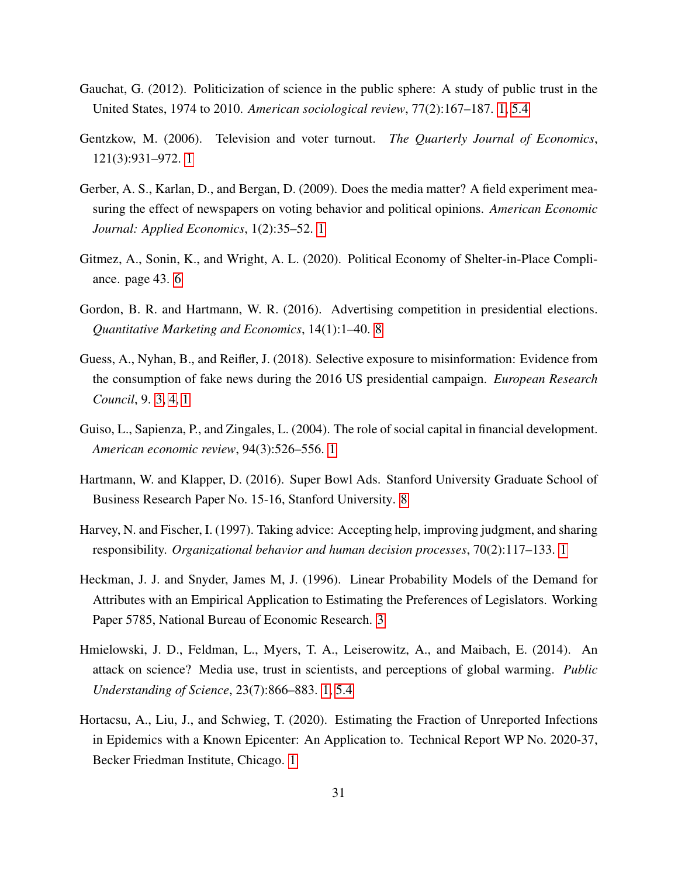- <span id="page-31-4"></span>Gauchat, G. (2012). Politicization of science in the public sphere: A study of public trust in the United States, 1974 to 2010. *American sociological review*, 77(2):167–187. [1,](#page-2-0) [5.4](#page-24-0)
- <span id="page-31-7"></span>Gentzkow, M. (2006). Television and voter turnout. *The Quarterly Journal of Economics*, 121(3):931–972. [1](#page-2-0)
- <span id="page-31-6"></span>Gerber, A. S., Karlan, D., and Bergan, D. (2009). Does the media matter? A field experiment measuring the effect of newspapers on voting behavior and political opinions. *American Economic Journal: Applied Economics*, 1(2):35–52. [1](#page-2-0)
- <span id="page-31-8"></span>Gitmez, A., Sonin, K., and Wright, A. L. (2020). Political Economy of Shelter-in-Place Compliance. page 43. [6](#page-2-0)
- <span id="page-31-9"></span>Gordon, B. R. and Hartmann, W. R. (2016). Advertising competition in presidential elections. *Quantitative Marketing and Economics*, 14(1):1–40. [8](#page-2-0)
- <span id="page-31-2"></span>Guess, A., Nyhan, B., and Reifler, J. (2018). Selective exposure to misinformation: Evidence from the consumption of fake news during the 2016 US presidential campaign. *European Research Council*, 9. [3, 4, 1](#page-2-0)
- <span id="page-31-3"></span>Guiso, L., Sapienza, P., and Zingales, L. (2004). The role of social capital in financial development. *American economic review*, 94(3):526–556. [1](#page-2-0)
- <span id="page-31-10"></span>Hartmann, W. and Klapper, D. (2016). Super Bowl Ads. Stanford University Graduate School of Business Research Paper No. 15-16, Stanford University. [8](#page-2-0)
- <span id="page-31-1"></span>Harvey, N. and Fischer, I. (1997). Taking advice: Accepting help, improving judgment, and sharing responsibility. *Organizational behavior and human decision processes*, 70(2):117–133. [1](#page-2-0)
- <span id="page-31-11"></span>Heckman, J. J. and Snyder, James M, J. (1996). Linear Probability Models of the Demand for Attributes with an Empirical Application to Estimating the Preferences of Legislators. Working Paper 5785, National Bureau of Economic Research. [3](#page-9-0)
- <span id="page-31-0"></span>Hmielowski, J. D., Feldman, L., Myers, T. A., Leiserowitz, A., and Maibach, E. (2014). An attack on science? Media use, trust in scientists, and perceptions of global warming. *Public Understanding of Science*, 23(7):866–883. [1,](#page-2-0) [5.4](#page-24-0)
- <span id="page-31-5"></span>Hortacsu, A., Liu, J., and Schwieg, T. (2020). Estimating the Fraction of Unreported Infections in Epidemics with a Known Epicenter: An Application to. Technical Report WP No. 2020-37, Becker Friedman Institute, Chicago. [1](#page-2-0)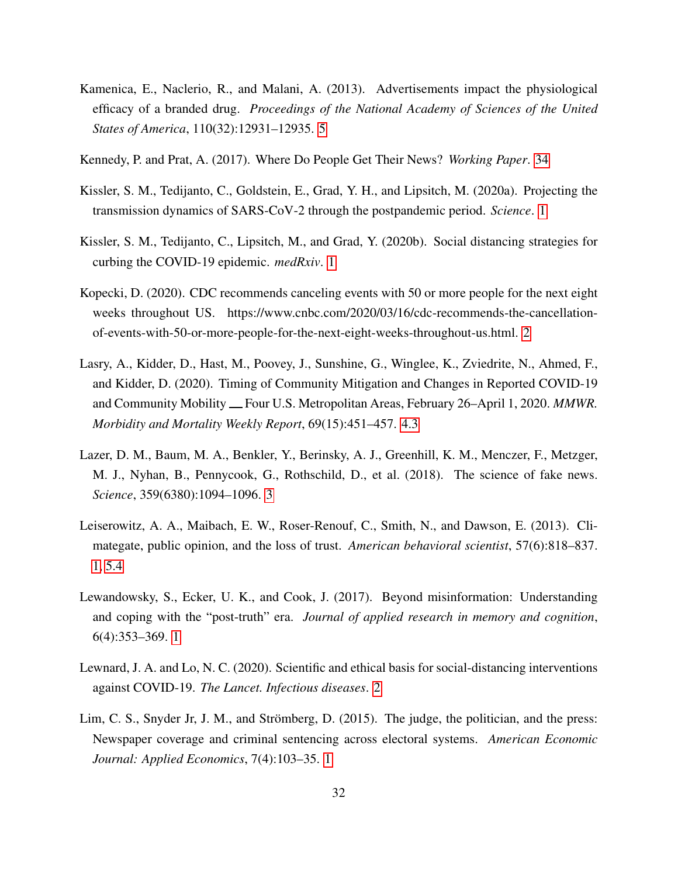- <span id="page-32-4"></span>Kamenica, E., Naclerio, R., and Malani, A. (2013). Advertisements impact the physiological efficacy of a branded drug. *Proceedings of the National Academy of Sciences of the United States of America*, 110(32):12931–12935. [5](#page-2-0)
- <span id="page-32-10"></span>Kennedy, P. and Prat, A. (2017). Where Do People Get Their News? *Working Paper*. [34](#page-23-1)
- <span id="page-32-0"></span>Kissler, S. M., Tedijanto, C., Goldstein, E., Grad, Y. H., and Lipsitch, M. (2020a). Projecting the transmission dynamics of SARS-CoV-2 through the postpandemic period. *Science*. [1](#page-2-0)
- <span id="page-32-5"></span>Kissler, S. M., Tedijanto, C., Lipsitch, M., and Grad, Y. (2020b). Social distancing strategies for curbing the COVID-19 epidemic. *medRxiv*. [1](#page-2-0)
- <span id="page-32-7"></span>Kopecki, D. (2020). CDC recommends canceling events with 50 or more people for the next eight weeks throughout US. https://www.cnbc.com/2020/03/16/cdc-recommends-the-cancellationof-events-with-50-or-more-people-for-the-next-eight-weeks-throughout-us.html. [2](#page-6-0)
- <span id="page-32-9"></span>Lasry, A., Kidder, D., Hast, M., Poovey, J., Sunshine, G., Winglee, K., Zviedrite, N., Ahmed, F., and Kidder, D. (2020). Timing of Community Mitigation and Changes in Reported COVID-19 and Community Mobility — Four U.S. Metropolitan Areas, February 26–April 1, 2020. *MMWR. Morbidity and Mortality Weekly Report*, 69(15):451–457. [4.3](#page-12-1)
- <span id="page-32-2"></span>Lazer, D. M., Baum, M. A., Benkler, Y., Berinsky, A. J., Greenhill, K. M., Menczer, F., Metzger, M. J., Nyhan, B., Pennycook, G., Rothschild, D., et al. (2018). The science of fake news. *Science*, 359(6380):1094–1096. [3](#page-2-0)
- <span id="page-32-3"></span>Leiserowitz, A. A., Maibach, E. W., Roser-Renouf, C., Smith, N., and Dawson, E. (2013). Climategate, public opinion, and the loss of trust. *American behavioral scientist*, 57(6):818–837. [1,](#page-2-0) [5.4](#page-24-0)
- <span id="page-32-1"></span>Lewandowsky, S., Ecker, U. K., and Cook, J. (2017). Beyond misinformation: Understanding and coping with the "post-truth" era. *Journal of applied research in memory and cognition*, 6(4):353–369. [1](#page-2-0)
- <span id="page-32-8"></span>Lewnard, J. A. and Lo, N. C. (2020). Scientific and ethical basis for social-distancing interventions against COVID-19. *The Lancet. Infectious diseases*. [2](#page-6-0)
- <span id="page-32-6"></span>Lim, C. S., Snyder Jr, J. M., and Strömberg, D. (2015). The judge, the politician, and the press: Newspaper coverage and criminal sentencing across electoral systems. *American Economic Journal: Applied Economics*, 7(4):103–35. [1](#page-2-0)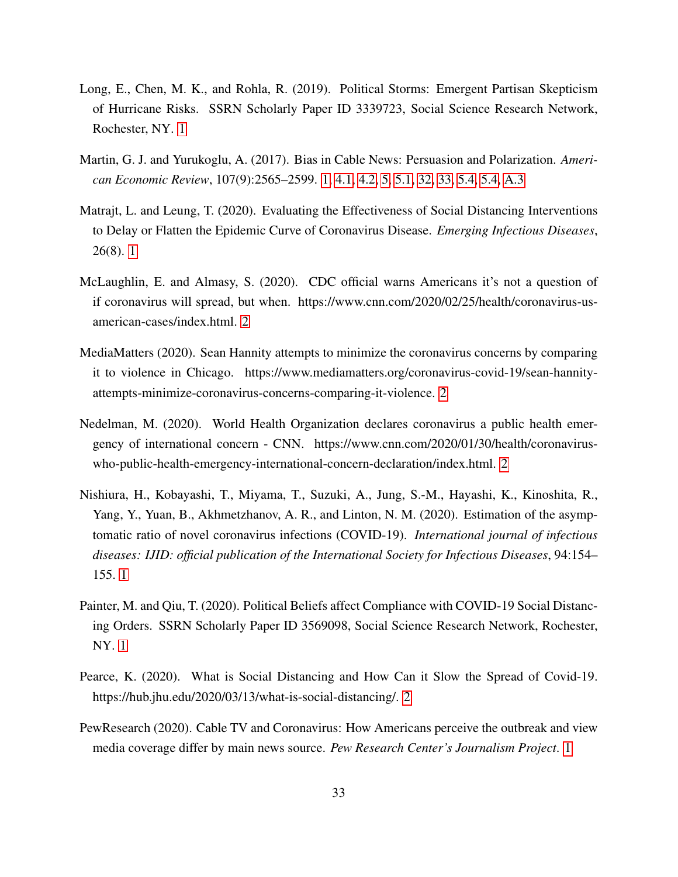- <span id="page-33-5"></span>Long, E., Chen, M. K., and Rohla, R. (2019). Political Storms: Emergent Partisan Skepticism of Hurricane Risks. SSRN Scholarly Paper ID 3339723, Social Science Research Network, Rochester, NY. [1](#page-2-0)
- <span id="page-33-1"></span>Martin, G. J. and Yurukoglu, A. (2017). Bias in Cable News: Persuasion and Polarization. *American Economic Review*, 107(9):2565–2599. [1,](#page-2-0) [4.1,](#page-10-3) [4.2,](#page-12-0) [5,](#page-15-0) [5.1,](#page-16-0) [32, 33,](#page-23-0) [5.4,](#page-23-1) [5.4,](#page-24-0) [A.3](#page-47-0)
- <span id="page-33-3"></span>Matrajt, L. and Leung, T. (2020). Evaluating the Effectiveness of Social Distancing Interventions to Delay or Flatten the Epidemic Curve of Coronavirus Disease. *Emerging Infectious Diseases*, 26(8). [1](#page-2-0)
- <span id="page-33-9"></span>McLaughlin, E. and Almasy, S. (2020). CDC official warns Americans it's not a question of if coronavirus will spread, but when. https://www.cnn.com/2020/02/25/health/coronavirus-usamerican-cases/index.html. [2](#page-6-0)
- <span id="page-33-7"></span>MediaMatters (2020). Sean Hannity attempts to minimize the coronavirus concerns by comparing it to violence in Chicago. https://www.mediamatters.org/coronavirus-covid-19/sean-hannityattempts-minimize-coronavirus-concerns-comparing-it-violence. [2](#page-6-0)
- <span id="page-33-6"></span>Nedelman, M. (2020). World Health Organization declares coronavirus a public health emergency of international concern - CNN. https://www.cnn.com/2020/01/30/health/coronaviruswho-public-health-emergency-international-concern-declaration/index.html. [2](#page-6-0)
- <span id="page-33-2"></span>Nishiura, H., Kobayashi, T., Miyama, T., Suzuki, A., Jung, S.-M., Hayashi, K., Kinoshita, R., Yang, Y., Yuan, B., Akhmetzhanov, A. R., and Linton, N. M. (2020). Estimation of the asymptomatic ratio of novel coronavirus infections (COVID-19). *International journal of infectious diseases: IJID: official publication of the International Society for Infectious Diseases*, 94:154– 155. [1](#page-2-0)
- <span id="page-33-4"></span>Painter, M. and Qiu, T. (2020). Political Beliefs affect Compliance with COVID-19 Social Distancing Orders. SSRN Scholarly Paper ID 3569098, Social Science Research Network, Rochester, NY. [1](#page-2-0)
- <span id="page-33-8"></span>Pearce, K. (2020). What is Social Distancing and How Can it Slow the Spread of Covid-19. https://hub.jhu.edu/2020/03/13/what-is-social-distancing/. [2](#page-6-0)
- <span id="page-33-0"></span>PewResearch (2020). Cable TV and Coronavirus: How Americans perceive the outbreak and view media coverage differ by main news source. *Pew Research Center's Journalism Project*. [1](#page-2-0)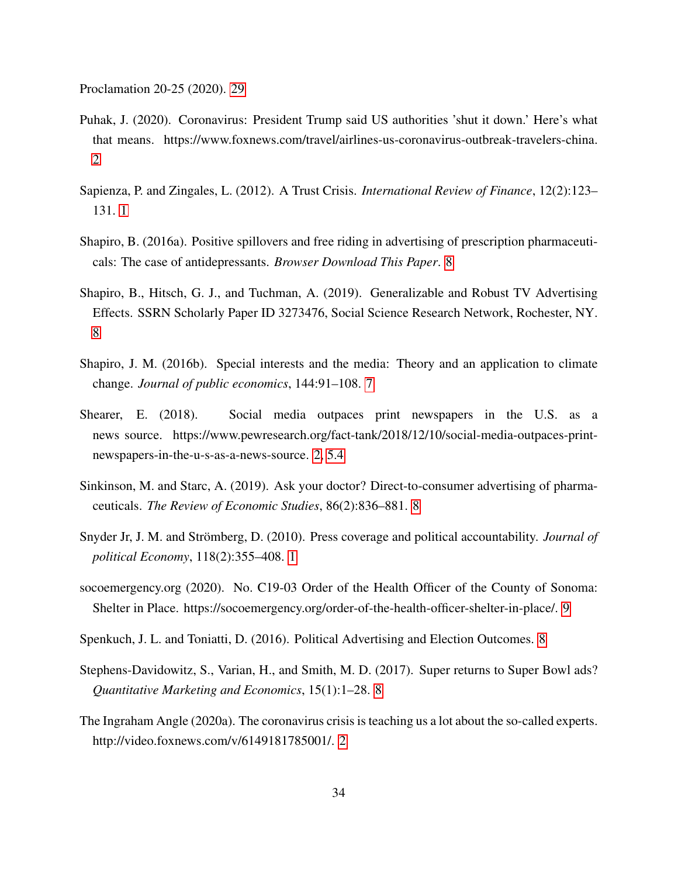<span id="page-34-12"></span>Proclamation 20-25 (2020). [29](#page-17-0)

- <span id="page-34-9"></span>Puhak, J. (2020). Coronavirus: President Trump said US authorities 'shut it down.' Here's what that means. https://www.foxnews.com/travel/airlines-us-coronavirus-outbreak-travelers-china. [2](#page-6-0)
- <span id="page-34-0"></span>Sapienza, P. and Zingales, L. (2012). A Trust Crisis. *International Review of Finance*, 12(2):123– 131. [1](#page-2-0)
- <span id="page-34-4"></span>Shapiro, B. (2016a). Positive spillovers and free riding in advertising of prescription pharmaceuticals: The case of antidepressants. *Browser Download This Paper*. [8](#page-2-0)
- <span id="page-34-5"></span>Shapiro, B., Hitsch, G. J., and Tuchman, A. (2019). Generalizable and Robust TV Advertising Effects. SSRN Scholarly Paper ID 3273476, Social Science Research Network, Rochester, NY. [8](#page-2-0)
- <span id="page-34-3"></span>Shapiro, J. M. (2016b). Special interests and the media: Theory and an application to climate change. *Journal of public economics*, 144:91–108. [7](#page-2-0)
- <span id="page-34-2"></span>Shearer, E. (2018). Social media outpaces print newspapers in the U.S. as a news source. https://www.pewresearch.org/fact-tank/2018/12/10/social-media-outpaces-printnewspapers-in-the-u-s-as-a-news-source. [2,](#page-6-0) [5.4](#page-23-1)
- <span id="page-34-7"></span>Sinkinson, M. and Starc, A. (2019). Ask your doctor? Direct-to-consumer advertising of pharmaceuticals. *The Review of Economic Studies*, 86(2):836–881. [8](#page-2-0)
- <span id="page-34-1"></span>Snyder Jr, J. M. and Strömberg, D. (2010). Press coverage and political accountability. *Journal of political Economy*, 118(2):355–408. [1](#page-2-0)
- <span id="page-34-11"></span>socoemergency.org (2020). No. C19-03 Order of the Health Officer of the County of Sonoma: Shelter in Place. https://socoemergency.org/order-of-the-health-officer-shelter-in-place/. [9](#page-8-0)
- <span id="page-34-6"></span>Spenkuch, J. L. and Toniatti, D. (2016). Political Advertising and Election Outcomes. [8](#page-2-0)
- <span id="page-34-8"></span>Stephens-Davidowitz, S., Varian, H., and Smith, M. D. (2017). Super returns to Super Bowl ads? *Quantitative Marketing and Economics*, 15(1):1–28. [8](#page-2-0)
- <span id="page-34-10"></span>The Ingraham Angle (2020a). The coronavirus crisis is teaching us a lot about the so-called experts. http://video.foxnews.com/v/6149181785001/. [2](#page-6-0)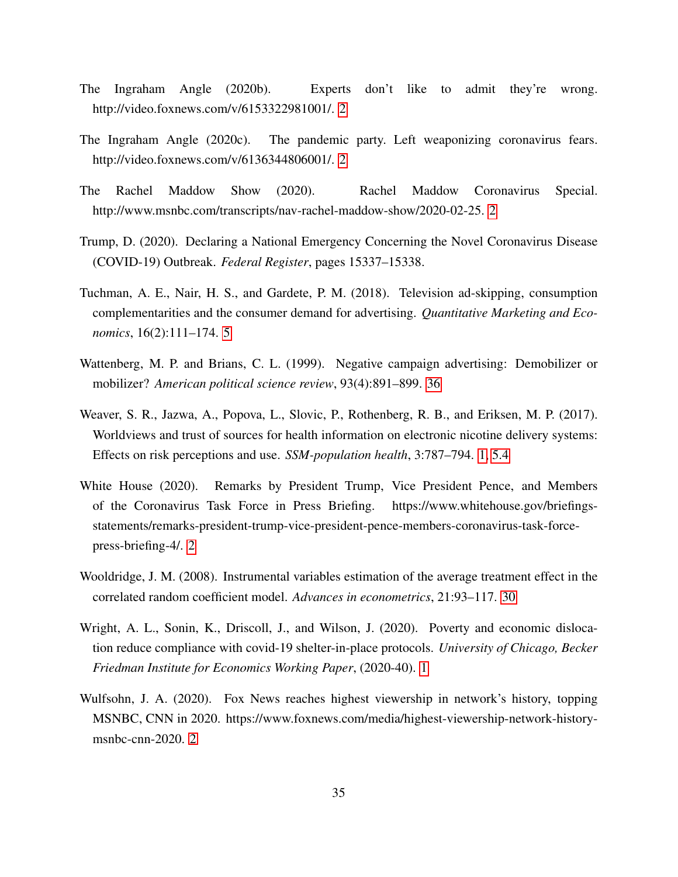- <span id="page-35-6"></span>The Ingraham Angle (2020b). Experts don't like to admit they're wrong. http://video.foxnews.com/v/6153322981001/. [2](#page-6-0)
- <span id="page-35-4"></span>The Ingraham Angle (2020c). The pandemic party. Left weaponizing coronavirus fears. http://video.foxnews.com/v/6136344806001/. [2](#page-6-0)
- <span id="page-35-7"></span>The Rachel Maddow Show (2020). Rachel Maddow Coronavirus Special. http://www.msnbc.com/transcripts/nav-rachel-maddow-show/2020-02-25. [2](#page-6-0)
- Trump, D. (2020). Declaring a National Emergency Concerning the Novel Coronavirus Disease (COVID-19) Outbreak. *Federal Register*, pages 15337–15338.
- <span id="page-35-1"></span>Tuchman, A. E., Nair, H. S., and Gardete, P. M. (2018). Television ad-skipping, consumption complementarities and the consumer demand for advertising. *Quantitative Marketing and Economics*, 16(2):111–174. [5](#page-2-0)
- <span id="page-35-9"></span>Wattenberg, M. P. and Brians, C. L. (1999). Negative campaign advertising: Demobilizer or mobilizer? *American political science review*, 93(4):891–899. [36](#page-24-0)
- <span id="page-35-0"></span>Weaver, S. R., Jazwa, A., Popova, L., Slovic, P., Rothenberg, R. B., and Eriksen, M. P. (2017). Worldviews and trust of sources for health information on electronic nicotine delivery systems: Effects on risk perceptions and use. *SSM-population health*, 3:787–794. [1,](#page-2-0) [5.4](#page-24-0)
- <span id="page-35-5"></span>White House (2020). Remarks by President Trump, Vice President Pence, and Members of the Coronavirus Task Force in Press Briefing. https://www.whitehouse.gov/briefingsstatements/remarks-president-trump-vice-president-pence-members-coronavirus-task-forcepress-briefing-4/. [2](#page-6-0)
- <span id="page-35-8"></span>Wooldridge, J. M. (2008). Instrumental variables estimation of the average treatment effect in the correlated random coefficient model. *Advances in econometrics*, 21:93–117. [30](#page-17-0)
- <span id="page-35-2"></span>Wright, A. L., Sonin, K., Driscoll, J., and Wilson, J. (2020). Poverty and economic dislocation reduce compliance with covid-19 shelter-in-place protocols. *University of Chicago, Becker Friedman Institute for Economics Working Paper*, (2020-40). [1](#page-2-0)
- <span id="page-35-3"></span>Wulfsohn, J. A. (2020). Fox News reaches highest viewership in network's history, topping MSNBC, CNN in 2020. https://www.foxnews.com/media/highest-viewership-network-history-msnbc-cnn-2020. [2](#page-6-0)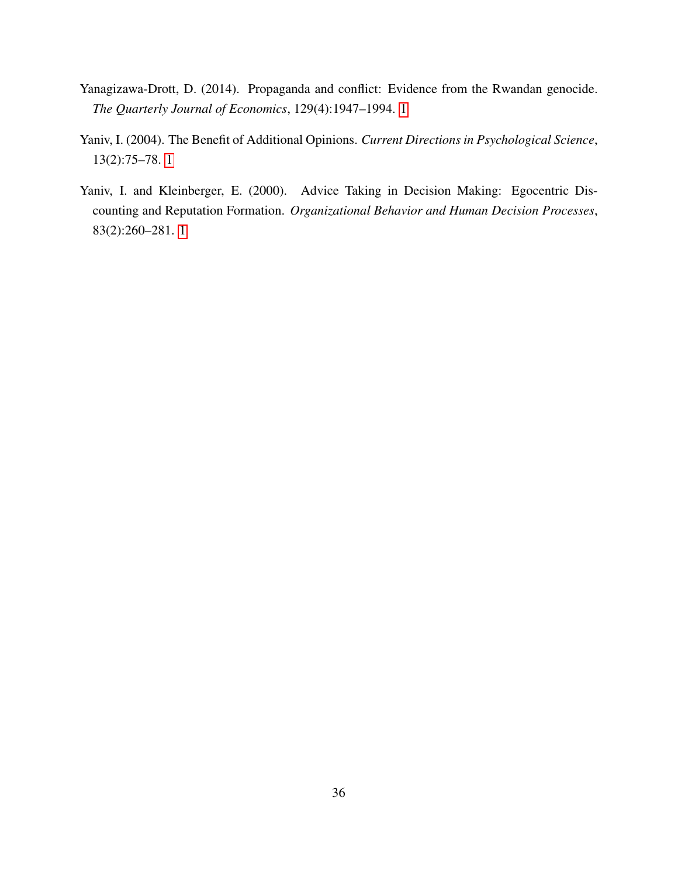- <span id="page-36-2"></span>Yanagizawa-Drott, D. (2014). Propaganda and conflict: Evidence from the Rwandan genocide. *The Quarterly Journal of Economics*, 129(4):1947–1994. [1](#page-2-0)
- <span id="page-36-1"></span>Yaniv, I. (2004). The Benefit of Additional Opinions. *Current Directions in Psychological Science*, 13(2):75–78. [1](#page-2-0)
- <span id="page-36-0"></span>Yaniv, I. and Kleinberger, E. (2000). Advice Taking in Decision Making: Egocentric Discounting and Reputation Formation. *Organizational Behavior and Human Decision Processes*, 83(2):260–281. [1](#page-2-0)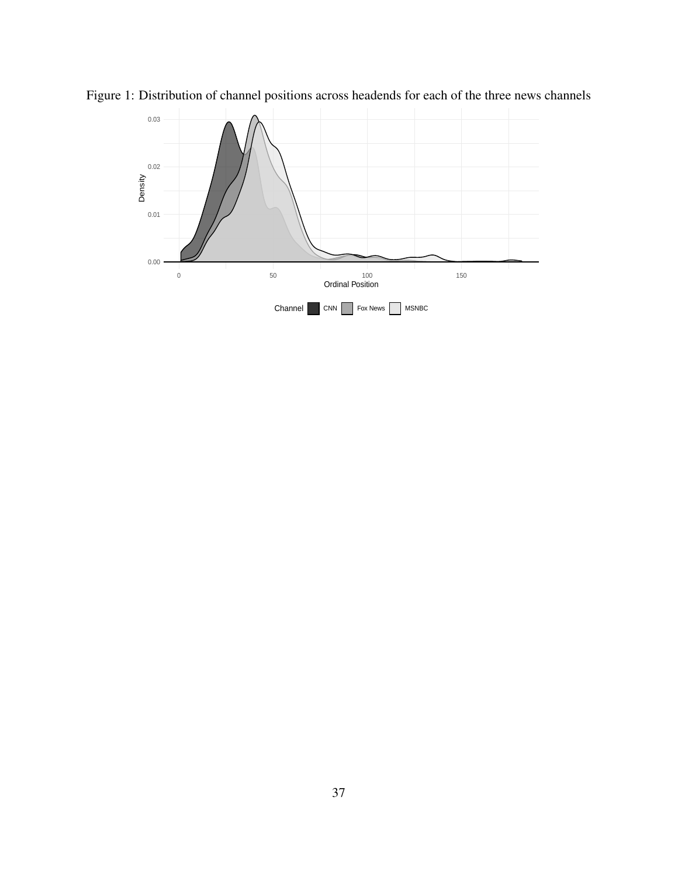<span id="page-37-0"></span>

Figure 1: Distribution of channel positions across headends for each of the three news channels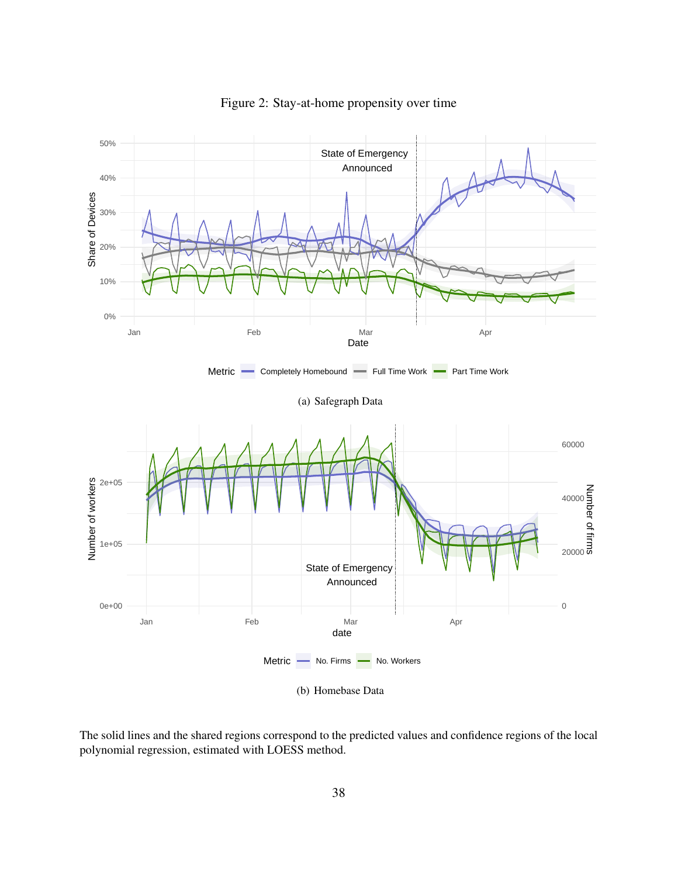

<span id="page-38-0"></span>Figure 2: Stay-at-home propensity over time

The solid lines and the shared regions correspond to the predicted values and confidence regions of the local polynomial regression, estimated with LOESS method.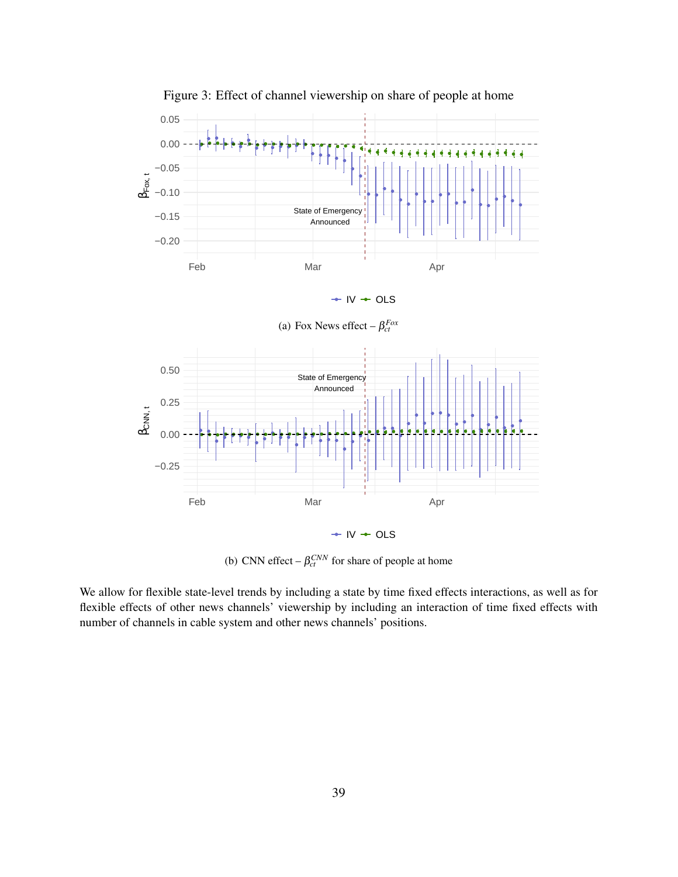

<span id="page-39-0"></span>Figure 3: Effect of channel viewership on share of people at home

(b) CNN effect  $-\beta_{ct}^{CNN}$  for share of people at home

We allow for flexible state-level trends by including a state by time fixed effects interactions, as well as for flexible effects of other news channels' viewership by including an interaction of time fixed effects with number of channels in cable system and other news channels' positions.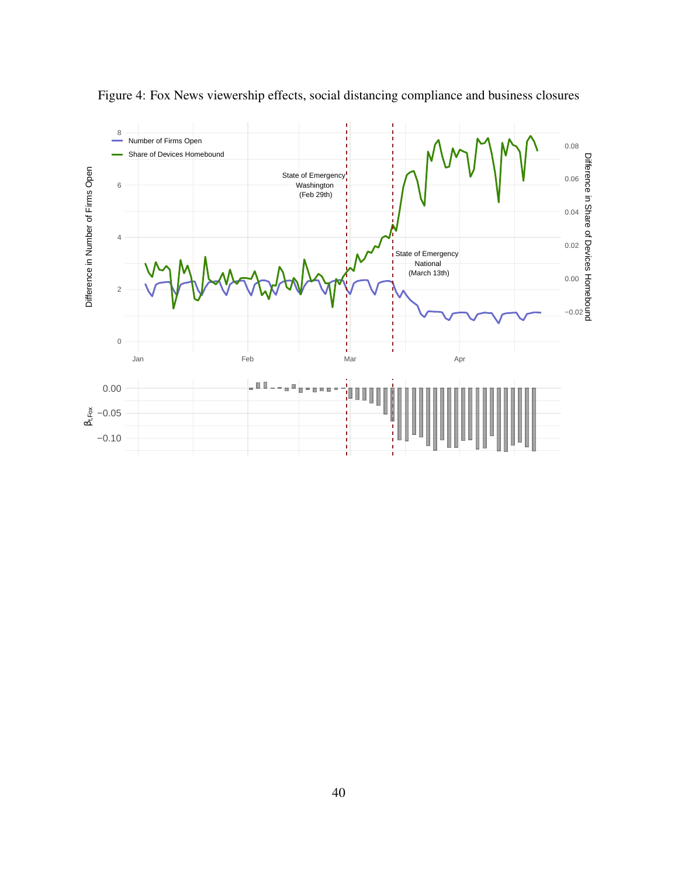

<span id="page-40-0"></span>Figure 4: Fox News viewership effects, social distancing compliance and business closures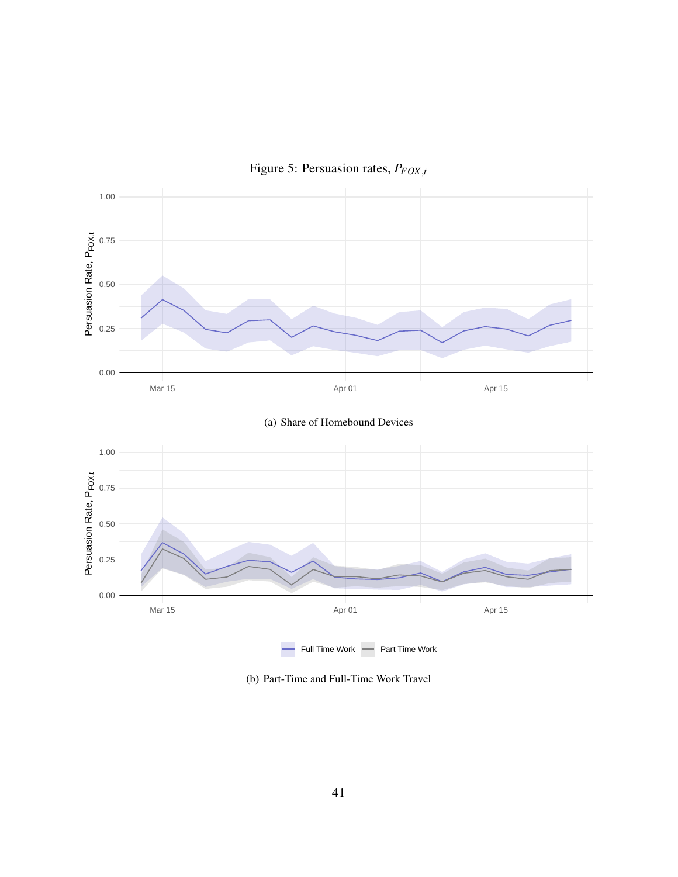

<span id="page-41-0"></span>Figure 5: Persuasion rates, *PFOX*,*<sup>t</sup>*

(b) Part-Time and Full-Time Work Travel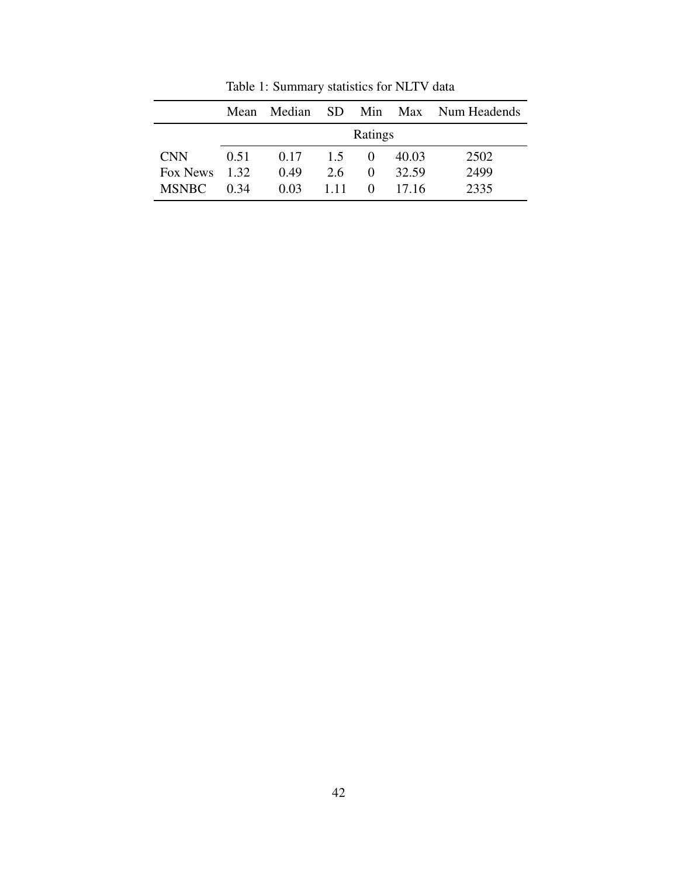|                 | Mean |                  |               |          |       | Median SD Min Max Num Headends |
|-----------------|------|------------------|---------------|----------|-------|--------------------------------|
|                 |      |                  |               | Ratings  |       |                                |
| <b>CNN</b>      | 0.51 | $0.17 \quad 1.5$ |               | $\theta$ | 40.03 | 2502                           |
| Fox News $1.32$ |      | 0.49             | $2.6^{\circ}$ | 0        | 32.59 | 2499                           |
| <b>MSNBC</b>    | 0.34 | 0.03             | 1 1 1         | $\theta$ | 17.16 | 2335                           |

<span id="page-42-0"></span>Table 1: Summary statistics for NLTV data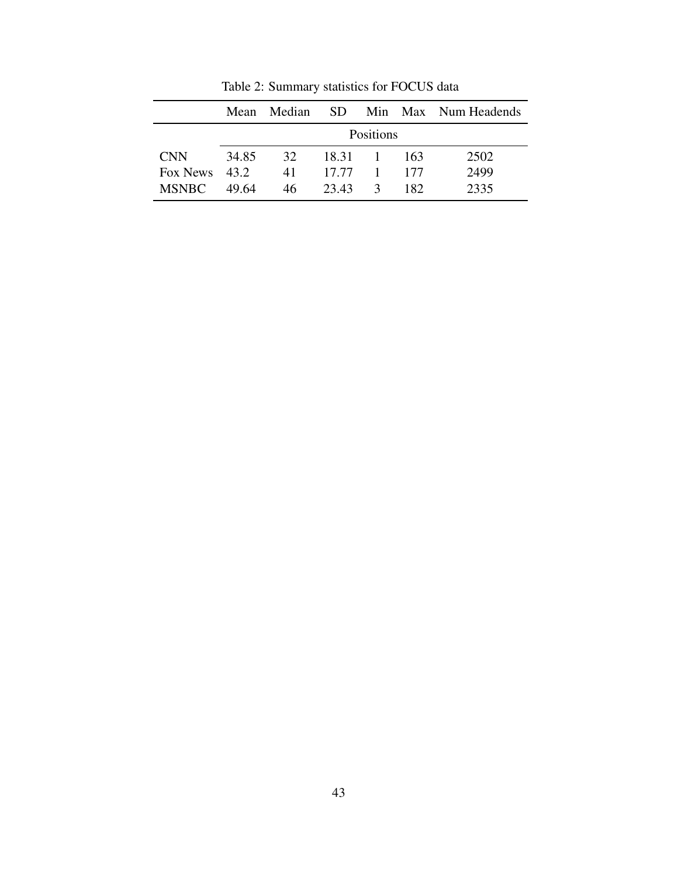|               | Mean  | Median | - SD    |                  |     | Min Max Num Headends |
|---------------|-------|--------|---------|------------------|-----|----------------------|
|               |       |        |         | <b>Positions</b> |     |                      |
| <b>CNN</b>    | 34.85 | 32.    | 18.31 1 |                  | 163 | 2502                 |
| Fox News 43.2 |       | 41     | 17.77   | $-1$             | 177 | 2499                 |
| <b>MSNBC</b>  | 49.64 | 46.    | 23.43   | $\mathcal{R}$    | 182 | 2335                 |

<span id="page-43-0"></span>Table 2: Summary statistics for FOCUS data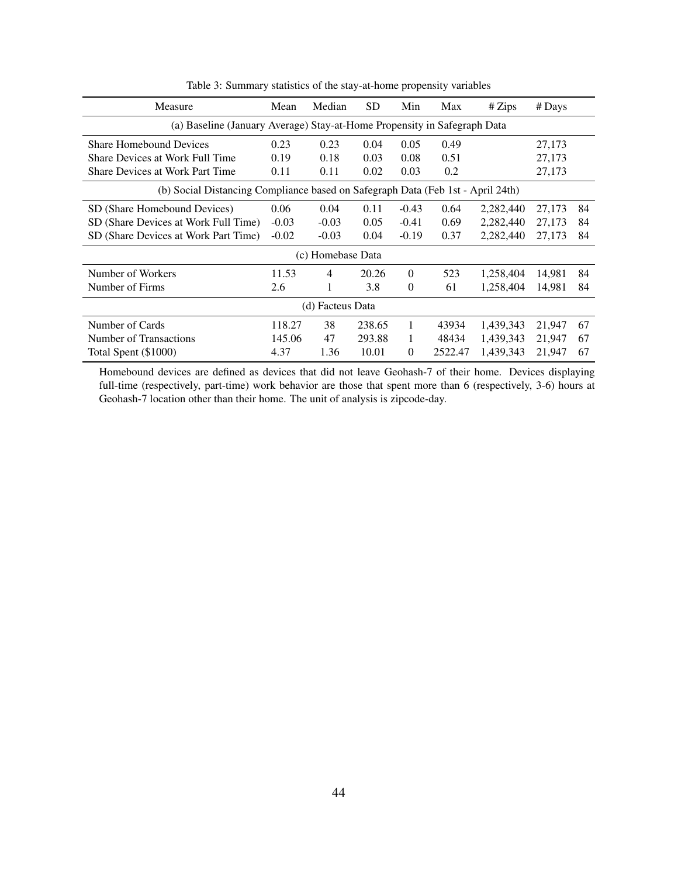| Measure                                                                         | Mean    | Median            | <b>SD</b> | Min      | Max     | # Zips    | # Days |    |
|---------------------------------------------------------------------------------|---------|-------------------|-----------|----------|---------|-----------|--------|----|
| (a) Baseline (January Average) Stay-at-Home Propensity in Safegraph Data        |         |                   |           |          |         |           |        |    |
| <b>Share Homebound Devices</b>                                                  | 0.23    | 0.23              | 0.04      | 0.05     | 0.49    |           | 27,173 |    |
| Share Devices at Work Full Time                                                 | 0.19    | 0.18              | 0.03      | 0.08     | 0.51    |           | 27,173 |    |
| <b>Share Devices at Work Part Time</b>                                          | 0.11    | 0.11              | 0.02      | 0.03     | 0.2     |           | 27,173 |    |
| (b) Social Distancing Compliance based on Safegraph Data (Feb 1st - April 24th) |         |                   |           |          |         |           |        |    |
| SD (Share Homebound Devices)                                                    | 0.06    | 0.04              | 0.11      | $-0.43$  | 0.64    | 2,282,440 | 27,173 | 84 |
| SD (Share Devices at Work Full Time)                                            | $-0.03$ | $-0.03$           | 0.05      | $-0.41$  | 0.69    | 2,282,440 | 27,173 | 84 |
| SD (Share Devices at Work Part Time)                                            | $-0.02$ | $-0.03$           | 0.04      | $-0.19$  | 0.37    | 2,282,440 | 27,173 | 84 |
|                                                                                 |         | (c) Homebase Data |           |          |         |           |        |    |
| Number of Workers                                                               | 11.53   | 4                 | 20.26     | $\Omega$ | 523     | 1,258,404 | 14,981 | 84 |
| Number of Firms                                                                 | 2.6     | 1                 | 3.8       | $\theta$ | 61      | 1,258,404 | 14,981 | 84 |
|                                                                                 |         | (d) Facteus Data  |           |          |         |           |        |    |
| Number of Cards                                                                 | 118.27  | 38                | 238.65    | 1        | 43934   | 1,439,343 | 21,947 | 67 |
| Number of Transactions                                                          | 145.06  | 47                | 293.88    | 1        | 48434   | 1,439,343 | 21,947 | 67 |
| Total Spent (\$1000)                                                            | 4.37    | 1.36              | 10.01     | $\theta$ | 2522.47 | 1,439,343 | 21,947 | 67 |

<span id="page-44-0"></span>Table 3: Summary statistics of the stay-at-home propensity variables

Homebound devices are defined as devices that did not leave Geohash-7 of their home. Devices displaying full-time (respectively, part-time) work behavior are those that spent more than 6 (respectively, 3-6) hours at Geohash-7 location other than their home. The unit of analysis is zipcode-day.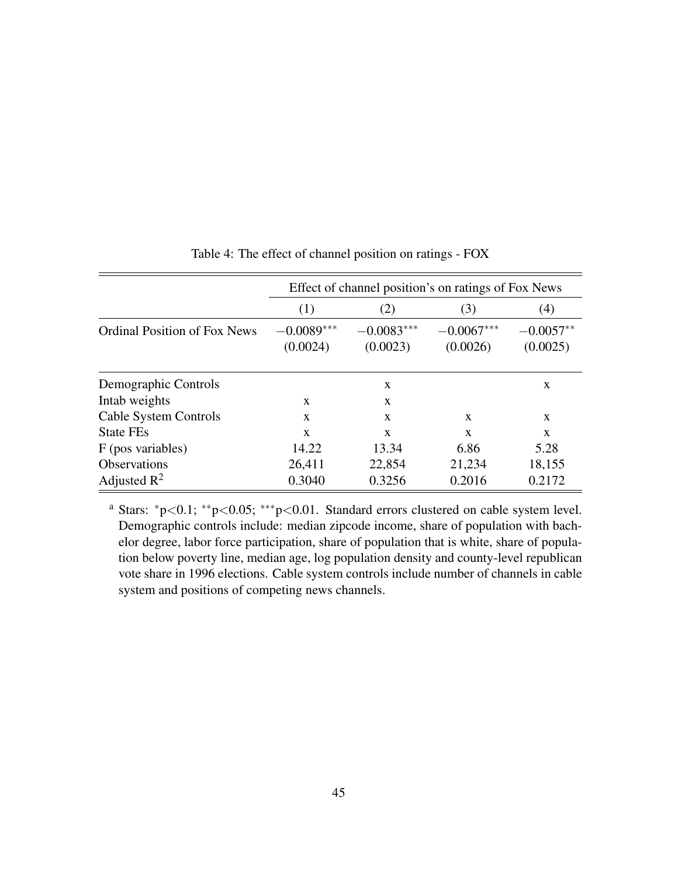|                                     |                          | Effect of channel position's on ratings of Fox News |                          |                         |
|-------------------------------------|--------------------------|-----------------------------------------------------|--------------------------|-------------------------|
|                                     | (1)                      | (2)                                                 | (3)                      | (4)                     |
| <b>Ordinal Position of Fox News</b> | $-0.0089***$<br>(0.0024) | $-0.0083***$<br>(0.0023)                            | $-0.0067***$<br>(0.0026) | $-0.0057**$<br>(0.0025) |
| Demographic Controls                |                          | X                                                   |                          | X                       |
| Intab weights                       | X                        | $\mathbf{x}$                                        |                          |                         |
| Cable System Controls               | X                        | $\mathbf{x}$                                        | X                        | X                       |
| <b>State FEs</b>                    | X                        | $\mathbf{x}$                                        | X                        | X                       |
| F (pos variables)                   | 14.22                    | 13.34                                               | 6.86                     | 5.28                    |
| <b>Observations</b>                 | 26,411                   | 22,854                                              | 21,234                   | 18,155                  |
| Adjusted $R^2$                      | 0.3040                   | 0.3256                                              | 0.2016                   | 0.2172                  |

## <span id="page-45-0"></span>Table 4: The effect of channel position on ratings - FOX

<sup>a</sup> Stars: <sup>∗</sup>p<0.1; ∗∗p<0.05; ∗∗∗p<0.01. Standard errors clustered on cable system level. Demographic controls include: median zipcode income, share of population with bachelor degree, labor force participation, share of population that is white, share of population below poverty line, median age, log population density and county-level republican vote share in 1996 elections. Cable system controls include number of channels in cable system and positions of competing news channels.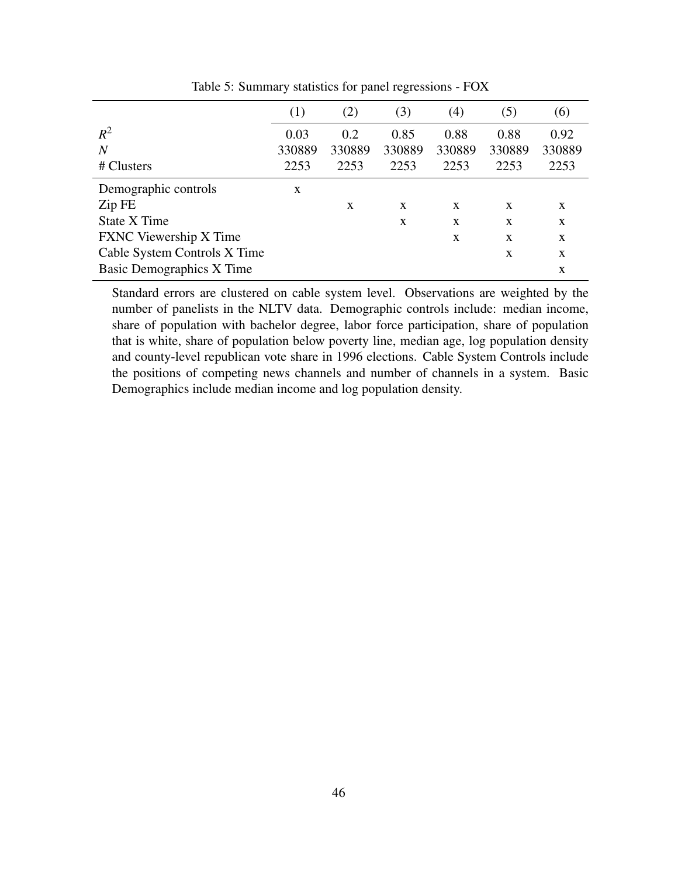|                                  | (1)    | (2)    | (3)    | (4)    | (5)    | (6)    |
|----------------------------------|--------|--------|--------|--------|--------|--------|
| $R^2$                            | 0.03   | 0.2    | 0.85   | 0.88   | 0.88   | 0.92   |
| $\overline{N}$                   | 330889 | 330889 | 330889 | 330889 | 330889 | 330889 |
| # Clusters                       | 2253   | 2253   | 2253   | 2253   | 2253   | 2253   |
| Demographic controls             | X      |        |        |        |        |        |
| Zip FE                           |        | X      | X      | X      | X      | X      |
| State X Time                     |        |        | X      | X      | X      | X      |
| <b>FXNC</b> Viewership X Time    |        |        |        | X      | X      | X      |
| Cable System Controls X Time     |        |        |        |        | X      | X      |
| <b>Basic Demographics X Time</b> |        |        |        |        |        | X      |

<span id="page-46-0"></span>Table 5: Summary statistics for panel regressions - FOX

Standard errors are clustered on cable system level. Observations are weighted by the number of panelists in the NLTV data. Demographic controls include: median income, share of population with bachelor degree, labor force participation, share of population that is white, share of population below poverty line, median age, log population density and county-level republican vote share in 1996 elections. Cable System Controls include the positions of competing news channels and number of channels in a system. Basic Demographics include median income and log population density.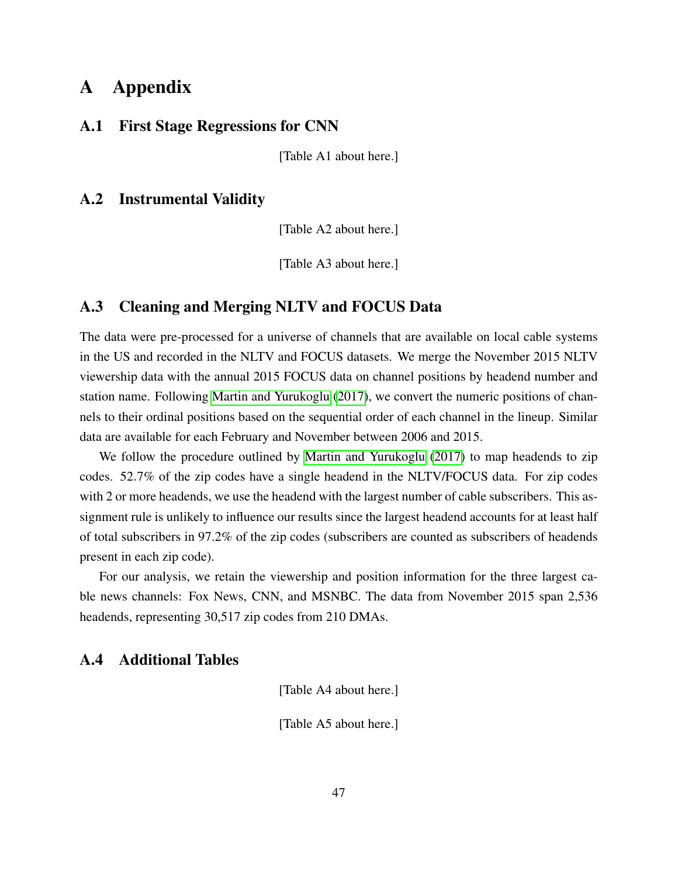# A Appendix

#### A.1 First Stage Regressions for CNN

[Table A1 about here.]

# A.2 Instrumental Validity

[Table A2 about here.]

[Table A3 about here.]

#### <span id="page-47-0"></span>A.3 Cleaning and Merging NLTV and FOCUS Data

The data were pre-processed for a universe of channels that are available on local cable systems in the US and recorded in the NLTV and FOCUS datasets. We merge the November 2015 NLTV viewership data with the annual 2015 FOCUS data on channel positions by headend number and station name. Following [Martin and Yurukoglu](#page-33-1) [\(2017\)](#page-33-1), we convert the numeric positions of channels to their ordinal positions based on the sequential order of each channel in the lineup. Similar data are available for each February and November between 2006 and 2015.

We follow the procedure outlined by [Martin and Yurukoglu](#page-33-1) [\(2017\)](#page-33-1) to map headends to zip codes. 52.7% of the zip codes have a single headend in the NLTV/FOCUS data. For zip codes with 2 or more headends, we use the headend with the largest number of cable subscribers. This assignment rule is unlikely to influence our results since the largest headend accounts for at least half of total subscribers in 97.2% of the zip codes (subscribers are counted as subscribers of headends present in each zip code).

For our analysis, we retain the viewership and position information for the three largest cable news channels: Fox News, CNN, and MSNBC. The data from November 2015 span 2,536 headends, representing 30,517 zip codes from 210 DMAs.

# <span id="page-47-1"></span>A.4 Additional Tables

[Table A4 about here.]

[Table A5 about here.]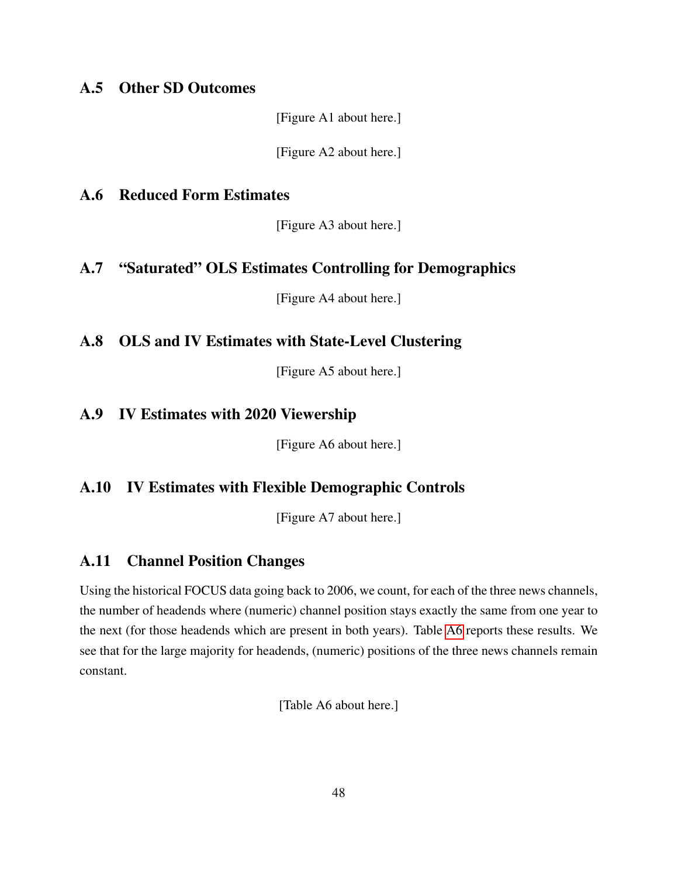# <span id="page-48-6"></span>A.5 Other SD Outcomes

[Figure A1 about here.]

[Figure A2 about here.]

### <span id="page-48-2"></span>A.6 Reduced Form Estimates

[Figure A3 about here.]

# <span id="page-48-1"></span>A.7 "Saturated" OLS Estimates Controlling for Demographics

[Figure A4 about here.]

# <span id="page-48-3"></span>A.8 OLS and IV Estimates with State-Level Clustering

[Figure A5 about here.]

# <span id="page-48-5"></span>A.9 IV Estimates with 2020 Viewership

[Figure A6 about here.]

# <span id="page-48-4"></span>A.10 IV Estimates with Flexible Demographic Controls

[Figure A7 about here.]

# <span id="page-48-0"></span>A.11 Channel Position Changes

Using the historical FOCUS data going back to 2006, we count, for each of the three news channels, the number of headends where (numeric) channel position stays exactly the same from one year to the next (for those headends which are present in both years). Table [A6](#page-67-0) reports these results. We see that for the large majority for headends, (numeric) positions of the three news channels remain constant.

[Table A6 about here.]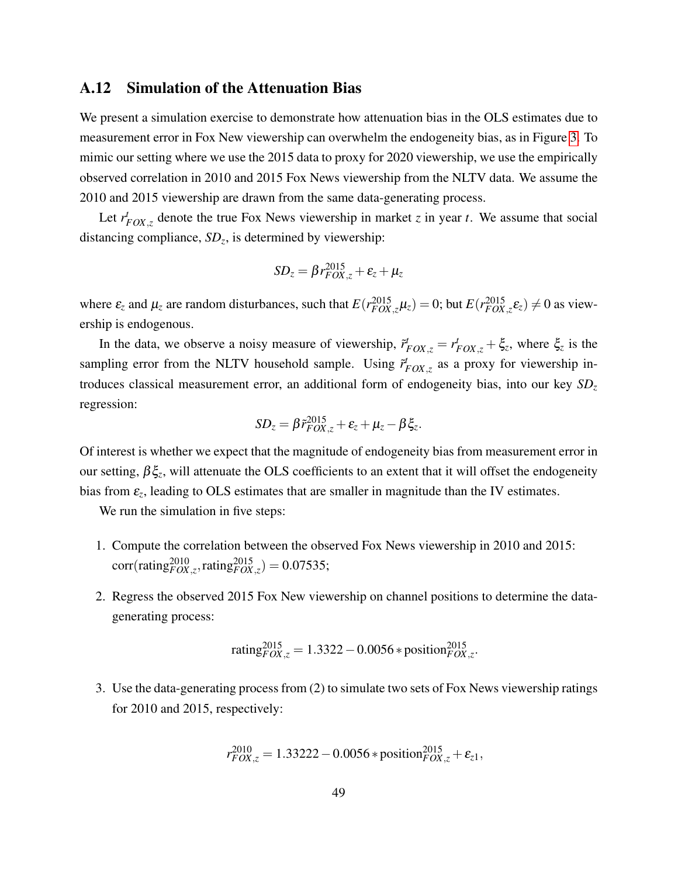#### <span id="page-49-0"></span>A.12 Simulation of the Attenuation Bias

We present a simulation exercise to demonstrate how attenuation bias in the OLS estimates due to measurement error in Fox New viewership can overwhelm the endogeneity bias, as in Figure [3.](#page-39-0) To mimic our setting where we use the 2015 data to proxy for 2020 viewership, we use the empirically observed correlation in 2010 and 2015 Fox News viewership from the NLTV data. We assume the 2010 and 2015 viewership are drawn from the same data-generating process.

Let  $r_{FOX,z}^t$  denote the true Fox News viewership in market *z* in year *t*. We assume that social distancing compliance, *SD<sup>z</sup>* , is determined by viewership:

$$
SD_z = \beta r_{FOX,z}^{2015} + \varepsilon_z + \mu_z
$$

where  $\varepsilon_z$  and  $\mu_z$  are random disturbances, such that  $E(r_{FOX,z}^{2015}\mu_z) = 0$ ; but  $E(r_{FOX,z}^{2015}\varepsilon_z) \neq 0$  as viewership is endogenous.

In the data, we observe a noisy measure of viewership,  $\tilde{r}_{FOX,z}^t = r_{FOX,z}^t + \xi_z$ , where  $\xi_z$  is the sampling error from the NLTV household sample. Using  $\tilde{r}_{FOX,z}^t$  as a proxy for viewership introduces classical measurement error, an additional form of endogeneity bias, into our key *SD<sup>z</sup>* regression:

$$
SD_z = \beta \tilde{r}_{FOX,z}^{2015} + \varepsilon_z + \mu_z - \beta \xi_z.
$$

Of interest is whether we expect that the magnitude of endogeneity bias from measurement error in our setting, βξ*<sup>z</sup>* , will attenuate the OLS coefficients to an extent that it will offset the endogeneity bias from  $\varepsilon$ <sub>z</sub>, leading to OLS estimates that are smaller in magnitude than the IV estimates.

We run the simulation in five steps:

- 1. Compute the correlation between the observed Fox News viewership in 2010 and 2015:  $corr(rating_{FOX,z}^{2010},rating_{FOX,z}^{2015}) = 0.07535;$
- 2. Regress the observed 2015 Fox New viewership on channel positions to determine the datagenerating process:

$$
rating_{FOX,z}^{2015} = 1.3322 - 0.0056 * position_{FOX,z}^{2015}.
$$

3. Use the data-generating process from (2) to simulate two sets of Fox News viewership ratings for 2010 and 2015, respectively:

$$
r_{FOX,z}^{2010} = 1.33222 - 0.0056 * \text{position}_{FOX,z}^{2015} + \varepsilon_{z1},
$$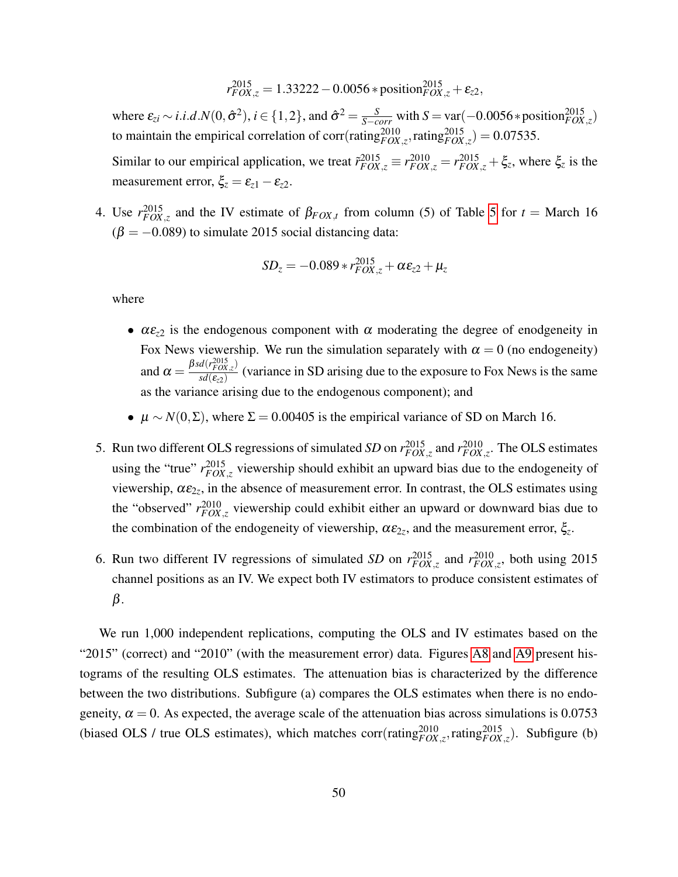$$
r_{FOX,z}^{2015} = 1.33222 - 0.0056 * \text{position}_{FOX,z}^{2015} + \varepsilon_{z2},
$$

where  $\varepsilon_{zi} \sim i.i.d. N(0, \hat{\sigma}^2), i \in \{1, 2\}$ , and  $\hat{\sigma}^2 = \frac{S}{S - corr}$  with  $S = \text{var}(-0.0056 * \text{position}_{FOX, z}^{2015})$ to maintain the empirical correlation of corr(rating ${}_{FOX,z}^{2010}$ , rating ${}_{FOX,z}^{2015}$ ) = 0.07535.

Similar to our empirical application, we treat  $\tilde{r}_{FOX,\zeta}^{2015} \equiv r_{FOX,\zeta}^{2015} = r_{FOX,\zeta}^{2015} + \xi_z$ , where  $\xi_z$  is the measurement error,  $\xi_z = \varepsilon_{z1} - \varepsilon_{z2}$ .

4. Use  $r_{FOX,z}^{2015}$  and the IV estimate of  $\beta_{FOX,t}$  from column (5) of Table [5](#page-46-0) for  $t = \text{March 16}$  $(\beta = -0.089)$  to simulate 2015 social distancing data:

$$
SD_z = -0.089 * r_{FOX,z}^{2015} + \alpha \varepsilon_{z2} + \mu_z
$$

where

- $\alpha \varepsilon_{z2}$  is the endogenous component with  $\alpha$  moderating the degree of enodgeneity in Fox News viewership. We run the simulation separately with  $\alpha = 0$  (no endogeneity) and  $\alpha = \frac{\beta s d(r_{FOX,z}^{2015})}{s d(\epsilon_z)}$  $\frac{d\sigma(P(X,z))}{s d(\epsilon_{22})}$  (variance in SD arising due to the exposure to Fox News is the same as the variance arising due to the endogenous component); and
- $\mu \sim N(0, \Sigma)$ , where  $\Sigma = 0.00405$  is the empirical variance of SD on March 16.
- 5. Run two different OLS regressions of simulated *SD* on  $r_{FOX,z}^{2015}$  and  $r_{FOX,z}^{2010}$ . The OLS estimates using the "true"  $r_{FOX,z}^{2015}$  viewership should exhibit an upward bias due to the endogeneity of viewership,  $\alpha \varepsilon_{2z}$ , in the absence of measurement error. In contrast, the OLS estimates using the "observed"  $r_{FOX,z}^{2010}$  viewership could exhibit either an upward or downward bias due to the combination of the endogeneity of viewership,  $\alpha \varepsilon_{2z}$ , and the measurement error,  $\xi_z$ .
- 6. Run two different IV regressions of simulated *SD* on  $r_{FOX,z}^{2015}$  and  $r_{FOX,z}^{2010}$ , both using 2015 channel positions as an IV. We expect both IV estimators to produce consistent estimates of β.

We run 1,000 independent replications, computing the OLS and IV estimates based on the "2015" (correct) and "2010" (with the measurement error) data. Figures [A8](#page-59-0) and [A9](#page-60-0) present histograms of the resulting OLS estimates. The attenuation bias is characterized by the difference between the two distributions. Subfigure (a) compares the OLS estimates when there is no endogeneity,  $\alpha = 0$ . As expected, the average scale of the attenuation bias across simulations is 0.0753 (biased OLS / true OLS estimates), which matches  $corr(rating_{FOX,z}^{2010}, rating_{FOX,z}^{2015})$ . Subfigure (b)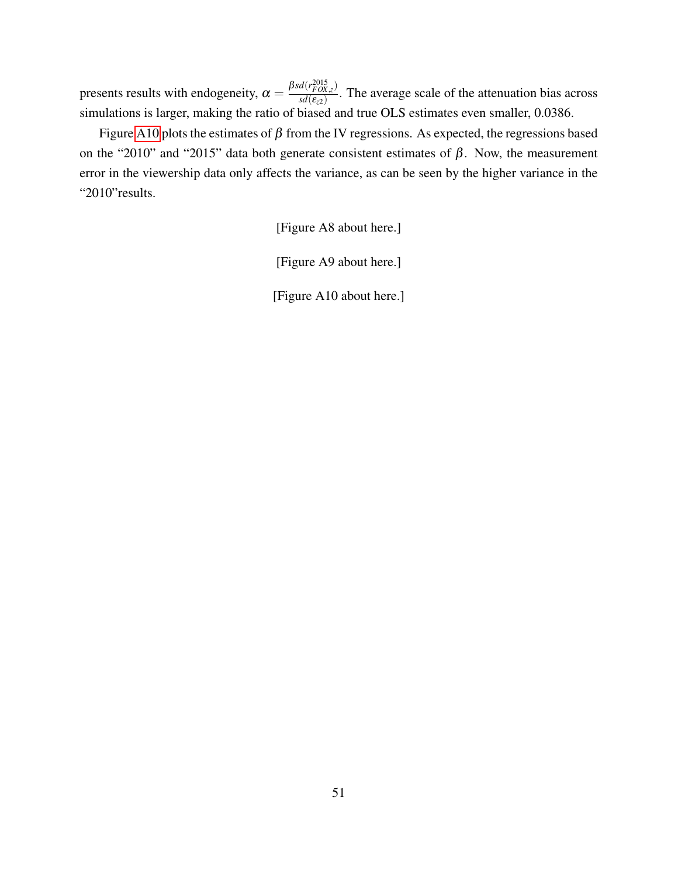presents results with endogeneity,  $\alpha = \frac{\beta s d(r_{FOX,z}^{2015})}{s d(s_2)}$  $\frac{d\sigma(P(X,z))}{s d(\epsilon_{2})}$ . The average scale of the attenuation bias across simulations is larger, making the ratio of biased and true OLS estimates even smaller, 0.0386.

Figure [A10](#page-61-0) plots the estimates of  $\beta$  from the IV regressions. As expected, the regressions based on the "2010" and "2015" data both generate consistent estimates of  $β$ . Now, the measurement error in the viewership data only affects the variance, as can be seen by the higher variance in the "2010" results.

[Figure A8 about here.]

[Figure A9 about here.]

[Figure A10 about here.]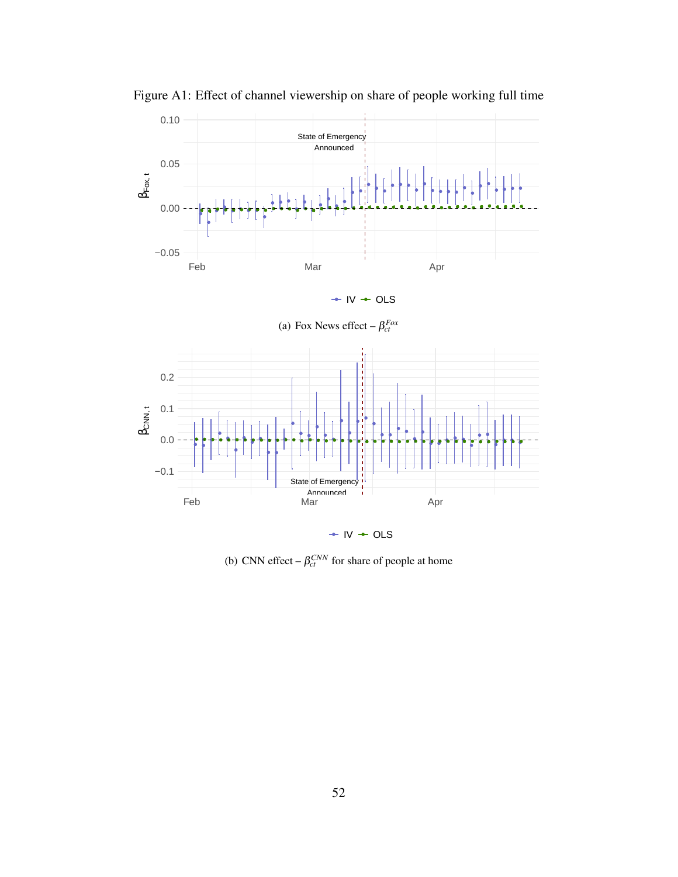

Figure A1: Effect of channel viewership on share of people working full time



 $\div$  IV  $\div$  OLS

(b) CNN effect  $-\beta_{ct}^{CNN}$  for share of people at home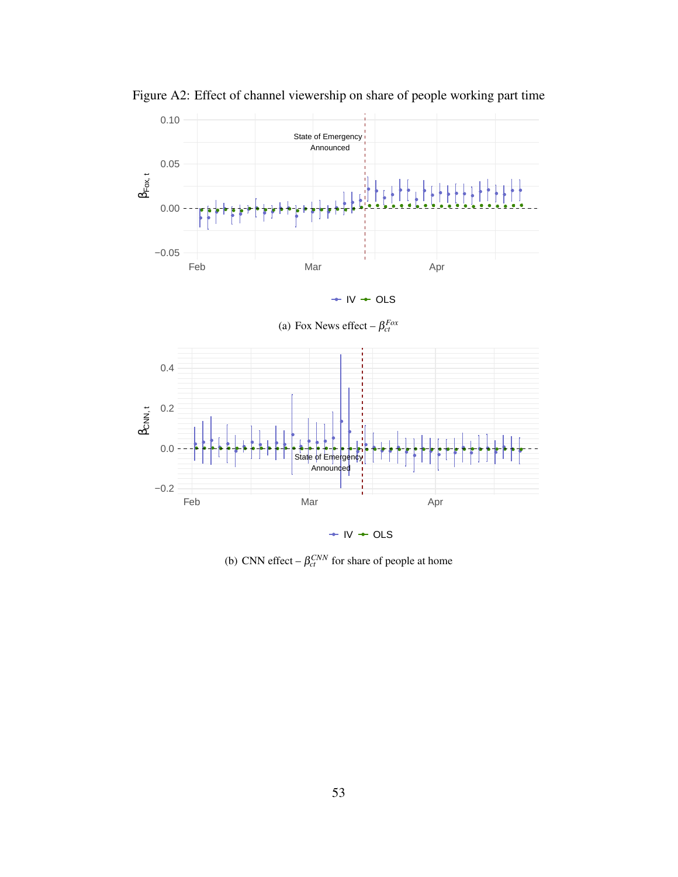

Figure A2: Effect of channel viewership on share of people working part time





 $\div$  IV  $\div$  OLS

(b) CNN effect  $-\beta_{ct}^{CNN}$  for share of people at home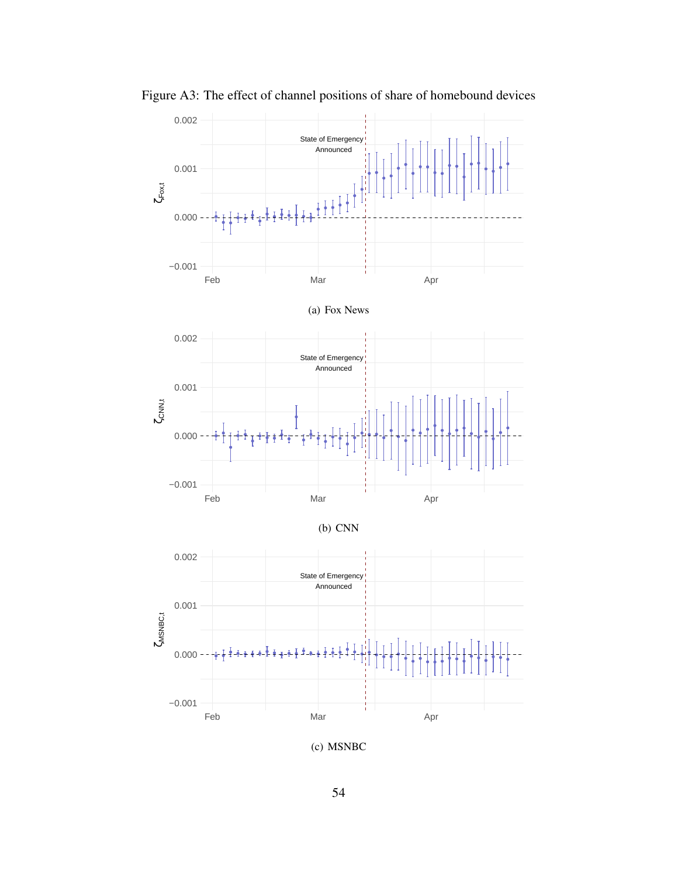

Figure A3: The effect of channel positions of share of homebound devices

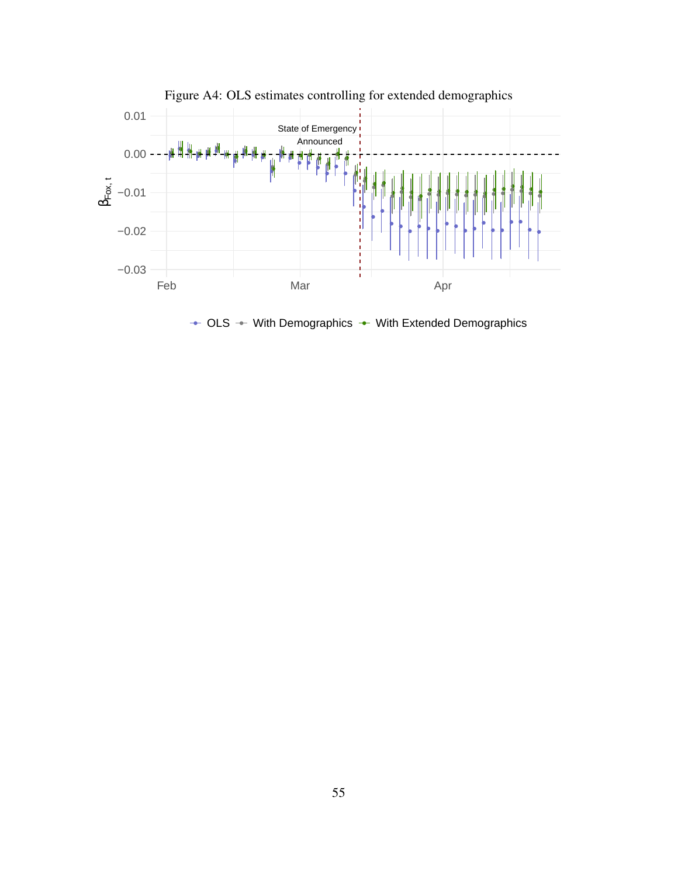

Figure A4: OLS estimates controlling for extended demographics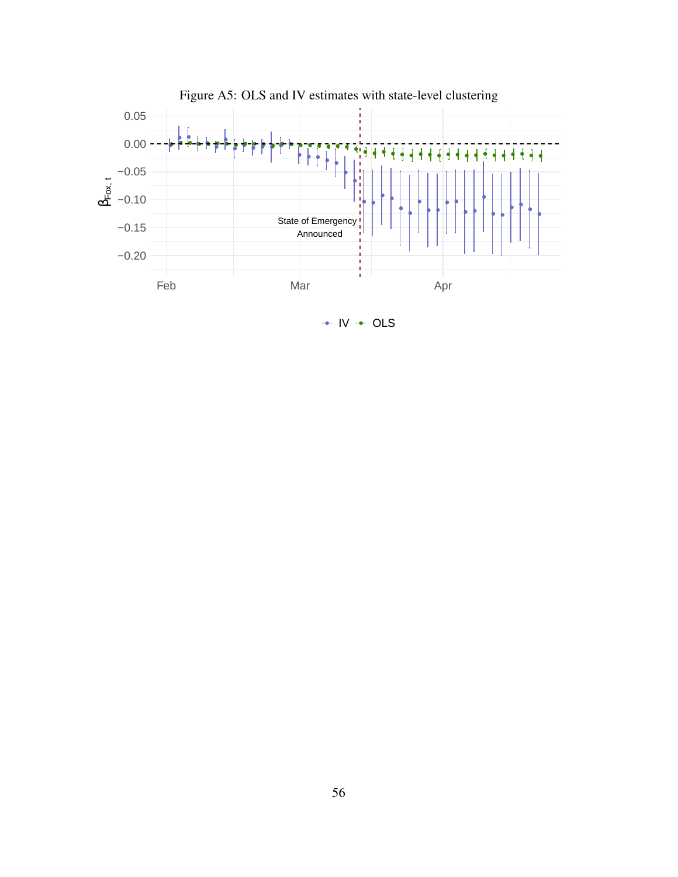

 $\div$  IV  $\div$  OLS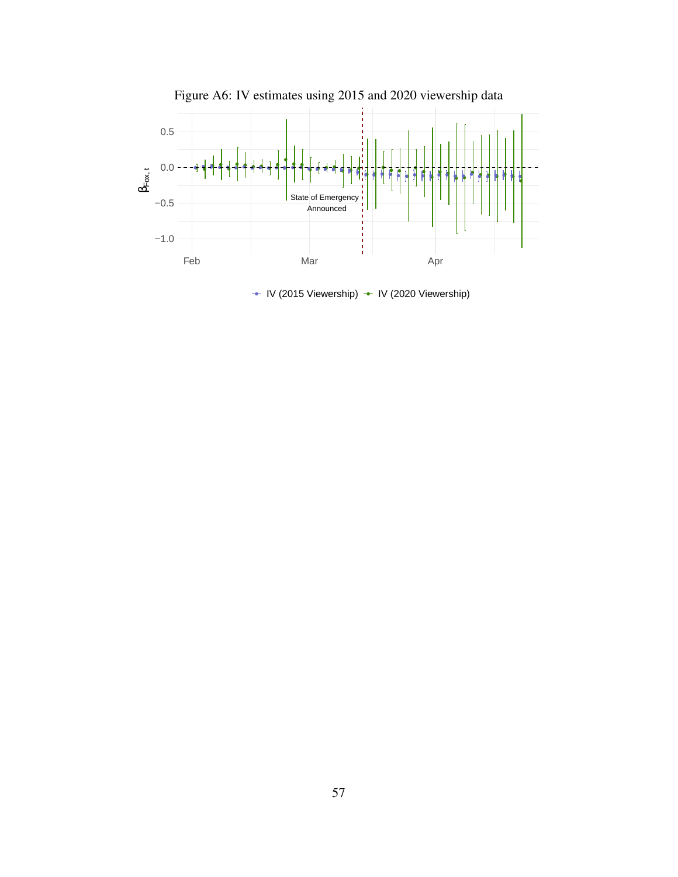<span id="page-57-0"></span>

 $\cdot$  IV (2015 Viewership)  $\cdot$  IV (2020 Viewership)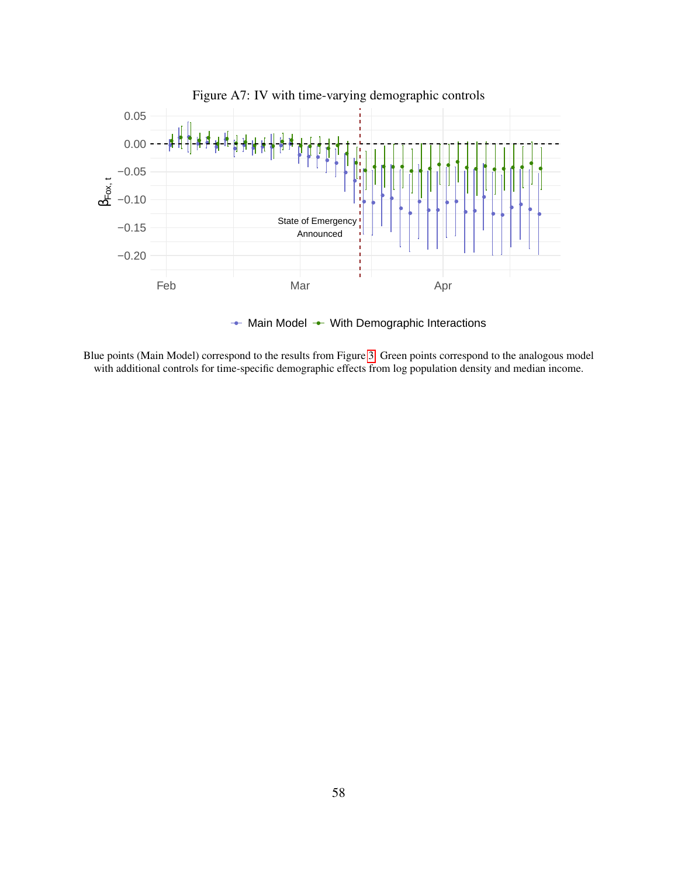<span id="page-58-0"></span>

Blue points (Main Model) correspond to the results from Figure [3.](#page-39-0) Green points correspond to the analogous model with additional controls for time-specific demographic effects from log population density and median income.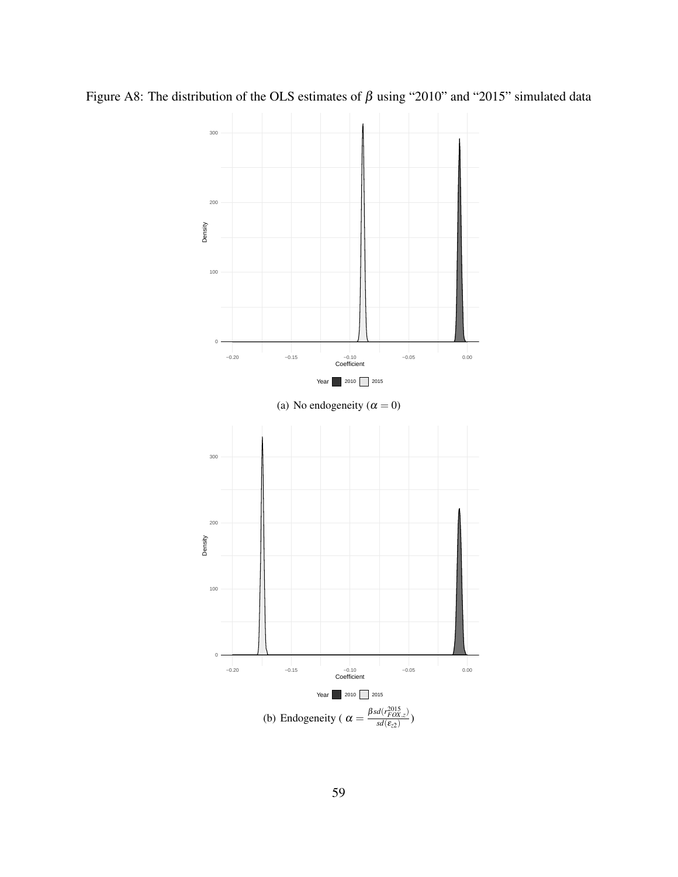Figure A8: The distribution of the OLS estimates of  $\beta$  using "2010" and "2015" simulated data

<span id="page-59-0"></span>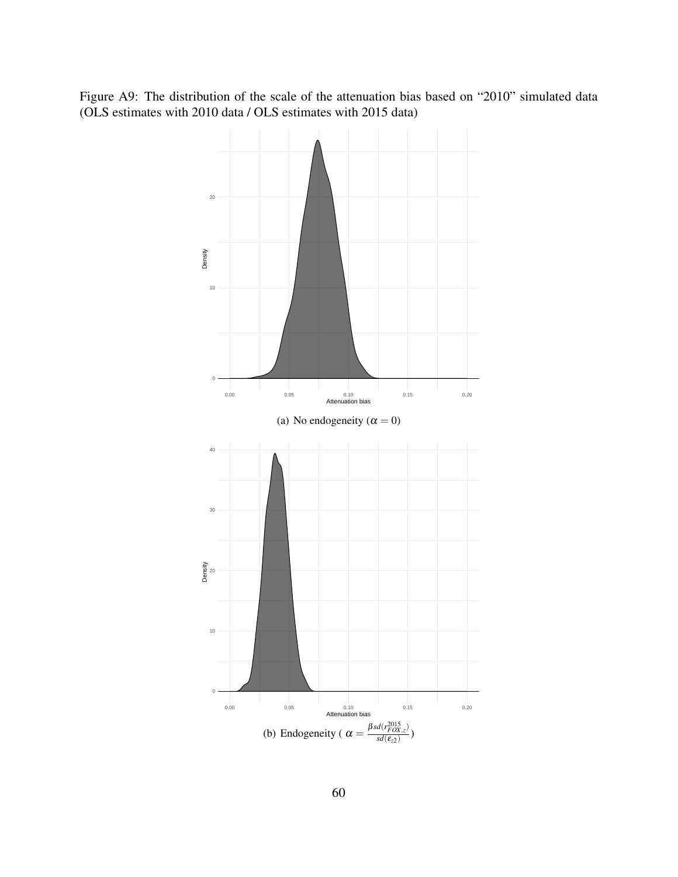Figure A9: The distribution of the scale of the attenuation bias based on "2010" simulated data (OLS estimates with 2010 data / OLS estimates with 2015 data)

<span id="page-60-0"></span>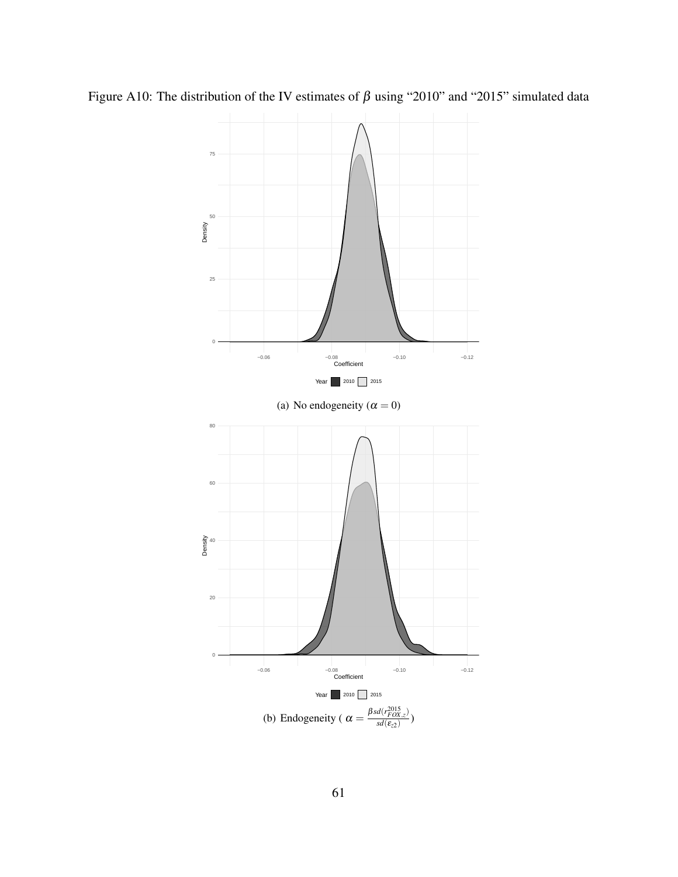Figure A10: The distribution of the IV estimates of  $\beta$  using "2010" and "2015" simulated data

<span id="page-61-0"></span>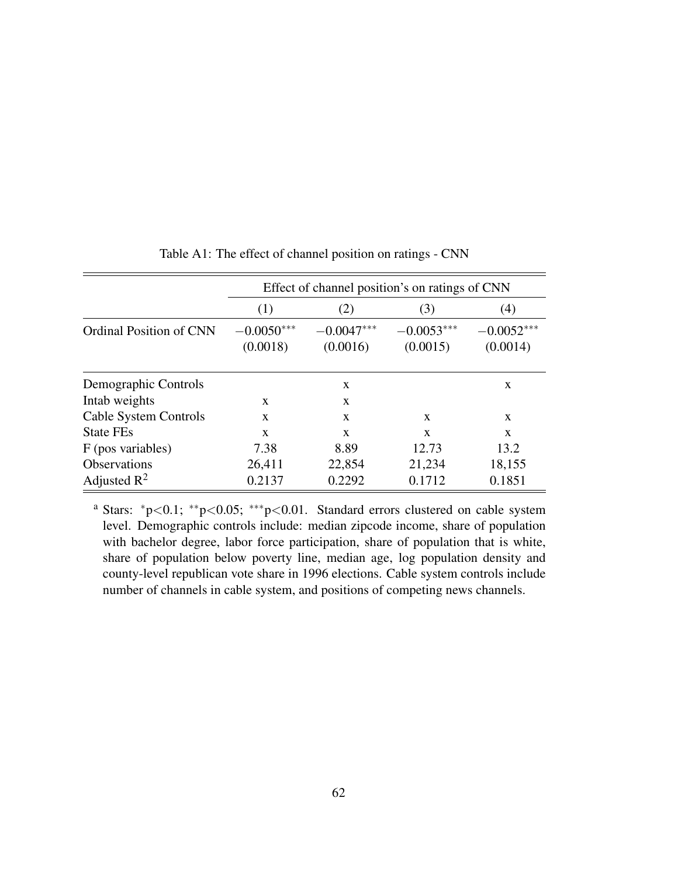|                                |                          | Effect of channel position's on ratings of CNN |                          |                          |
|--------------------------------|--------------------------|------------------------------------------------|--------------------------|--------------------------|
|                                | (1)                      | (2)                                            | (3)                      | (4)                      |
| <b>Ordinal Position of CNN</b> | $-0.0050***$<br>(0.0018) | $-0.0047***$<br>(0.0016)                       | $-0.0053***$<br>(0.0015) | $-0.0052***$<br>(0.0014) |
| Demographic Controls           |                          | X                                              |                          | X                        |
| Intab weights                  | X                        | $\mathbf{x}$                                   |                          |                          |
| Cable System Controls          | $\mathbf{x}$             | $\mathbf{x}$                                   | X                        | X                        |
| <b>State FEs</b>               | $\mathbf{X}$             | $\mathbf{X}$                                   | $\mathbf{x}$             | $\mathbf{x}$             |
| F (pos variables)              | 7.38                     | 8.89                                           | 12.73                    | 13.2                     |
| <b>Observations</b>            | 26,411                   | 22,854                                         | 21,234                   | 18,155                   |
| Adjusted $\mathbb{R}^2$        | 0.2137                   | 0.2292                                         | 0.1712                   | 0.1851                   |

Table A1: The effect of channel position on ratings - CNN

<sup>a</sup> Stars: <sup>∗</sup>p<0.1; ∗∗p<0.05; ∗∗∗p<0.01. Standard errors clustered on cable system level. Demographic controls include: median zipcode income, share of population with bachelor degree, labor force participation, share of population that is white, share of population below poverty line, median age, log population density and county-level republican vote share in 1996 elections. Cable system controls include number of channels in cable system, and positions of competing news channels.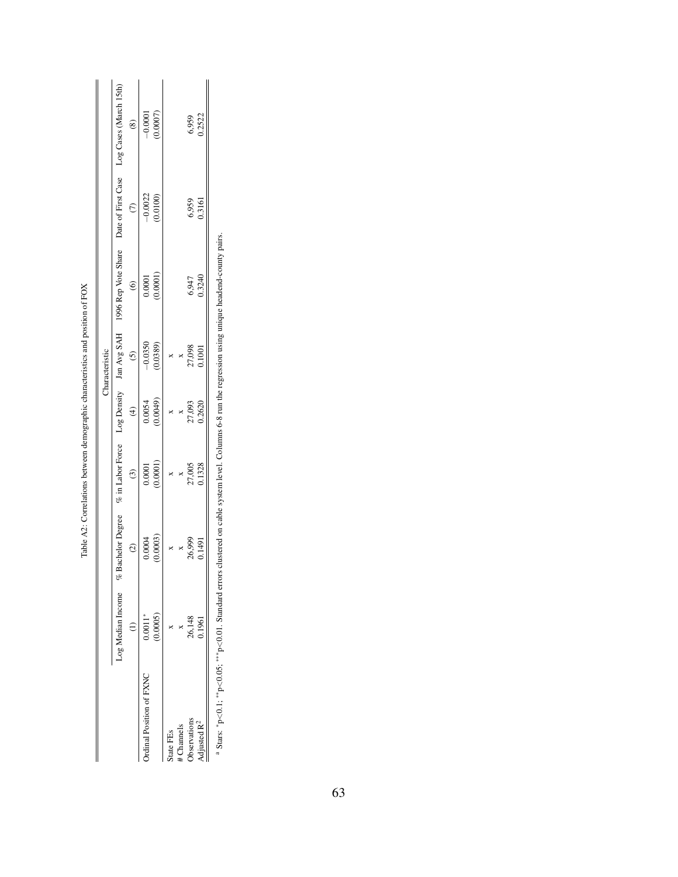|                         |                        |                                                          |                                                 |                                                      | Characteristic                                            |                        |                       |                                           |
|-------------------------|------------------------|----------------------------------------------------------|-------------------------------------------------|------------------------------------------------------|-----------------------------------------------------------|------------------------|-----------------------|-------------------------------------------|
|                         | Log Median Income $\%$ | <b>Bachelor Degree</b>                                   | $\%$ in Labor Force                             |                                                      | Log Density Jan Avg SAH                                   | 1996 Rep Vote Share    |                       | Date of First Case Log Cases (March 15th) |
|                         |                        | $\widehat{c}$                                            | $\odot$                                         | $\bigoplus$                                          | $\odot$                                                   | $\odot$                | $\tilde{c}$           | $\circ$                                   |
| rdinal Position of FXNC | $0.0011*$              |                                                          |                                                 |                                                      |                                                           |                        |                       |                                           |
|                         | 0.0005                 | $0.0004$<br>$(0.0003)$                                   | (10001)                                         | $0.0054$<br>$(0.0049)$                               | $-0.0350$<br>$(0.0389)$                                   | $0.0001$<br>$(0.0001)$ | $-0.0022$<br>(0.0100) | $-0.0001$<br>(0.0007)                     |
| itate FEs               |                        |                                                          |                                                 | $\times$                                             |                                                           |                        |                       |                                           |
| <b>Channels</b>         |                        |                                                          |                                                 |                                                      |                                                           |                        |                       |                                           |
| <b>Jbservations</b>     | 26,148<br>0.1961       | $\begin{array}{c}\n 8 \\ 26,999 \\ 0.1491\n \end{array}$ | $\begin{array}{c} 0.1328 \\ 0.1328 \end{array}$ | $\begin{array}{c} x \\ 27,093 \\ 0.2620 \end{array}$ | $\begin{array}{c} x \\ x \\ 27,098 \\ 0.1001 \end{array}$ | 6,947<br>0.3240        | 6,959<br>0.3161       | 6,959<br>0.2522                           |
| ljusted R <sup>2</sup>  |                        |                                                          |                                                 |                                                      |                                                           |                        |                       |                                           |

| i<br>í                                     |
|--------------------------------------------|
| compting and poortion of<br>í              |
|                                            |
| seed contact seed to see to the contact of |
|                                            |
| 10 <sup>4</sup> < 0.95 <sup>o</sup>        |
| うこう<br>ĺ                                   |

 ${}^{4}$  Stars:  ${}^{*}p<0.1;$   ${}^{**}p<0.05;$   ${}^{***}p<0.01$ . Standard errors clustered on cable system level. Columns 6-8 run the regression using unique headend-county pairs. Stars: ∗p<0.1; ∗∗p<0.05; ∗∗∗p<0.01. Standard errors clustered on cable system level. Columns 6-8 run the regression using unique headend-county pairs.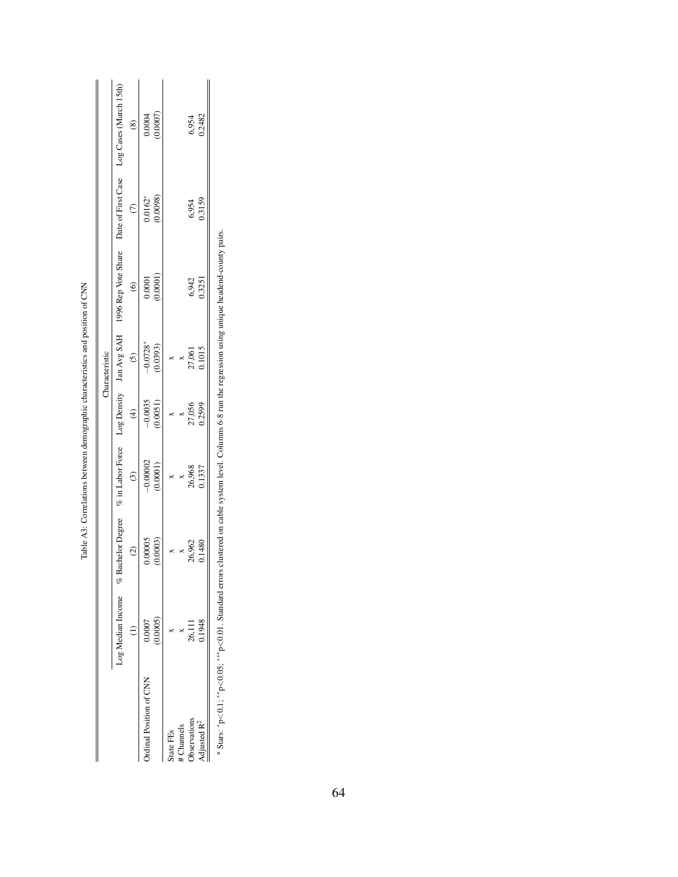|                        |                         |                           |                                   |                                                    | Characteristic                         |                                       |                         |                                                            |
|------------------------|-------------------------|---------------------------|-----------------------------------|----------------------------------------------------|----------------------------------------|---------------------------------------|-------------------------|------------------------------------------------------------|
|                        | $Log Median Income$ % 1 | achelor Degree<br>$\odot$ | % in Labor Force                  |                                                    | Log Density Jan Avg SAH<br>$\tilde{c}$ | 1996 Rep Vote Share<br>$\circledcirc$ | $\widehat{C}$           | Date of First Case Log Cases (March 15th)<br>$\circledast$ |
| rdinal Position of CNN | 0.0005<br>0.0007        | 0.00005<br>(0.0003)       | $-0.00002$<br>(0.0001)<br>$\odot$ | $-0.0035$<br>$(0.0051)$<br>$\widehat{\mathcal{F}}$ | $-0.0728$ * $(0.0393)$                 | (0.0001)                              | $0.0162*$<br>$(0.0098)$ | $0.0004$<br>$(0.0007)$                                     |
| tate FEs               |                         |                           |                                   |                                                    |                                        |                                       |                         |                                                            |
| Channels               |                         |                           |                                   |                                                    |                                        |                                       |                         |                                                            |
| <b>b</b> servations    | 26,111<br>0.1948        | $\frac{x}{26,962}$        | x<br>26,968<br>0.1337             | 27,056<br>0.2599                                   | 27,061<br>0.1015                       | 6,942<br>0.3251                       | 6,954<br>0.3159         | 6,954<br>0.2482                                            |
| $d$ justed $R^2$       |                         |                           |                                   |                                                    |                                        |                                       |                         |                                                            |

Table A3: Correlations between demographic characteristics and position of CNN Table A3: Correlations between demographic characteristics and position of CNN <sup>a</sup> Stars:  ${}^{\ast}p$  <0.1;  ${}^{\ast\ast}p$  <0.05;  ${}^{\ast\ast\ast}p$  <0.01. Standard errors clustered on cable system level. Columns 6-8 run the regression using unique headend-county pairs. a Stars: *\*p<0.05*; *∗\*\*p<0.05*; *∗\*\*p<0.01*. Standard errors clustered on cable system level. Columns 6-8 run the regression using unique headend-county pairs.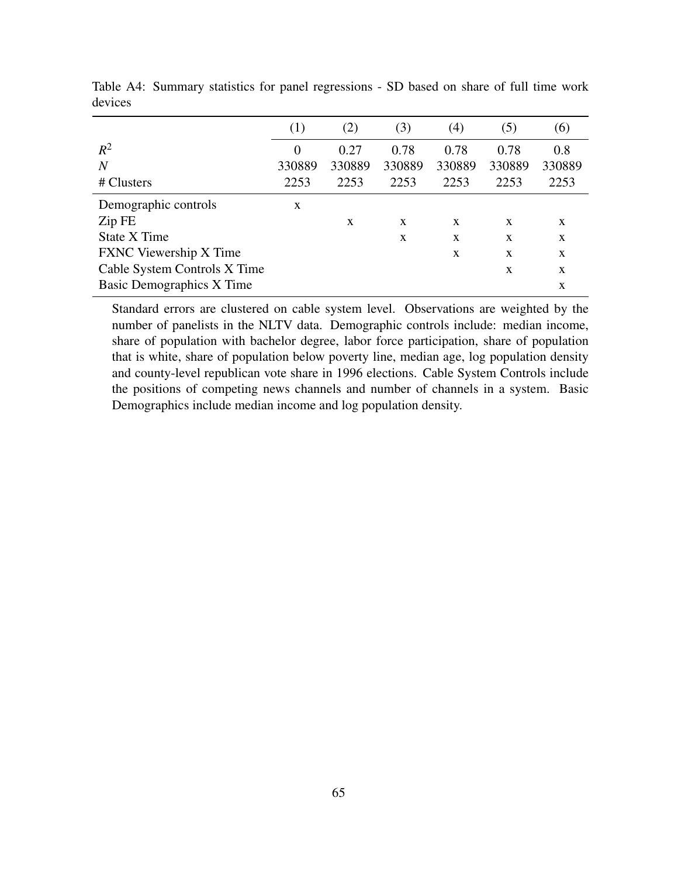|                                  | $\left(1\right)$ | (2)    | (3)    | (4)          | (5)          | (6)    |
|----------------------------------|------------------|--------|--------|--------------|--------------|--------|
| $R^2$                            | 0                | 0.27   | 0.78   | 0.78         | 0.78         | 0.8    |
| $\overline{N}$                   | 330889           | 330889 | 330889 | 330889       | 330889       | 330889 |
| # Clusters                       | 2253             | 2253   | 2253   | 2253         | 2253         | 2253   |
| Demographic controls             | X                |        |        |              |              |        |
| Zip FE                           |                  | X      | X      | X            | X            | X      |
| State X Time                     |                  |        | X      | X            | X            | X      |
| <b>FXNC</b> Viewership X Time    |                  |        |        | $\mathbf{x}$ | $\mathbf{x}$ | X      |
| Cable System Controls X Time     |                  |        |        |              | X            | X      |
| <b>Basic Demographics X Time</b> |                  |        |        |              |              | X      |

Table A4: Summary statistics for panel regressions - SD based on share of full time work devices

Standard errors are clustered on cable system level. Observations are weighted by the number of panelists in the NLTV data. Demographic controls include: median income, share of population with bachelor degree, labor force participation, share of population that is white, share of population below poverty line, median age, log population density and county-level republican vote share in 1996 elections. Cable System Controls include the positions of competing news channels and number of channels in a system. Basic Demographics include median income and log population density.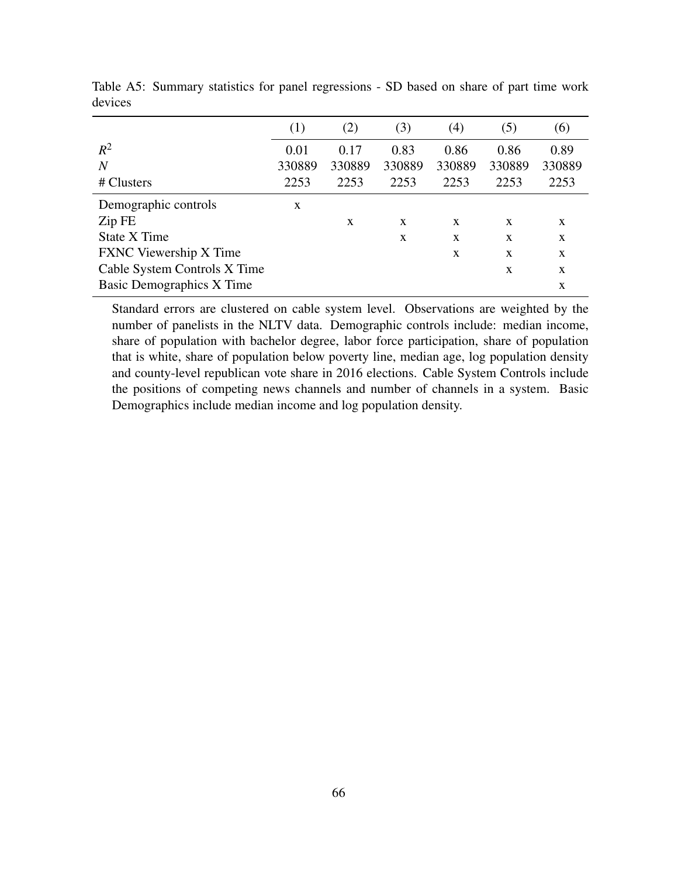|                                  | (1)    | (2)    | (3)    | $\left( 4\right)$ | (5)          | (6)    |
|----------------------------------|--------|--------|--------|-------------------|--------------|--------|
| $R^2$                            | 0.01   | 0.17   | 0.83   | 0.86              | 0.86         | 0.89   |
| $\overline{N}$                   | 330889 | 330889 | 330889 | 330889            | 330889       | 330889 |
| # Clusters                       | 2253   | 2253   | 2253   | 2253              | 2253         | 2253   |
| Demographic controls             | X      |        |        |                   |              |        |
| Zip FE                           |        | X      | X      | X                 | X            | X      |
| <b>State X Time</b>              |        |        | X      | X                 | X            | X      |
| <b>FXNC</b> Viewership X Time    |        |        |        | $\mathbf{x}$      | $\mathbf{x}$ | X      |
| Cable System Controls X Time     |        |        |        |                   | X            | X      |
| <b>Basic Demographics X Time</b> |        |        |        |                   |              | X      |

Table A5: Summary statistics for panel regressions - SD based on share of part time work devices

Standard errors are clustered on cable system level. Observations are weighted by the number of panelists in the NLTV data. Demographic controls include: median income, share of population with bachelor degree, labor force participation, share of population that is white, share of population below poverty line, median age, log population density and county-level republican vote share in 2016 elections. Cable System Controls include the positions of competing news channels and number of channels in a system. Basic Demographics include median income and log population density.